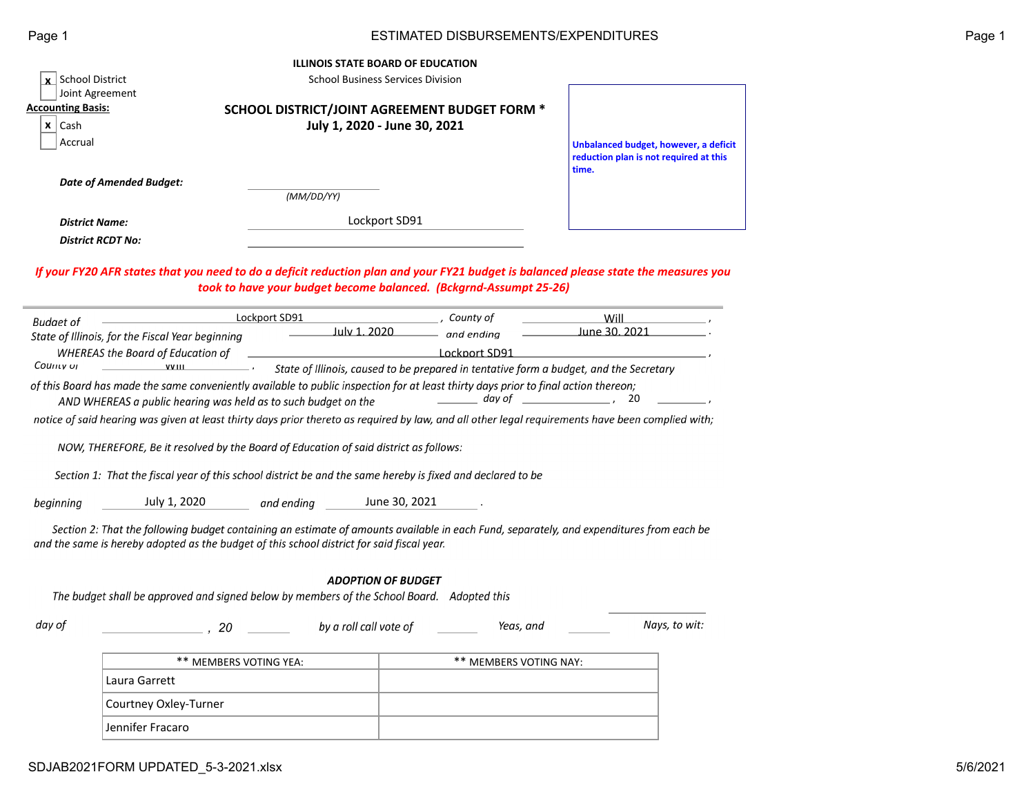| × |  |
|---|--|
|---|--|

|                                            |                                                                                                                                                                                                                                        | <b>ILLINOIS STATE BOARD OF EDUCATION</b>                          |                                 |                                                                                          |               |
|--------------------------------------------|----------------------------------------------------------------------------------------------------------------------------------------------------------------------------------------------------------------------------------------|-------------------------------------------------------------------|---------------------------------|------------------------------------------------------------------------------------------|---------------|
| <b>School District</b><br>$\boldsymbol{x}$ |                                                                                                                                                                                                                                        | <b>School Business Services Division</b>                          |                                 |                                                                                          |               |
| Joint Agreement                            |                                                                                                                                                                                                                                        |                                                                   |                                 |                                                                                          |               |
| <b>Accounting Basis:</b>                   |                                                                                                                                                                                                                                        | SCHOOL DISTRICT/JOINT AGREEMENT BUDGET FORM *                     |                                 |                                                                                          |               |
| $x \mid$ Cash                              |                                                                                                                                                                                                                                        | July 1, 2020 - June 30, 2021                                      |                                 |                                                                                          |               |
| Accrual                                    |                                                                                                                                                                                                                                        |                                                                   |                                 | Unbalanced budget, however, a deficit<br>reduction plan is not required at this<br>time. |               |
| <b>Date of Amended Budget:</b>             |                                                                                                                                                                                                                                        |                                                                   |                                 |                                                                                          |               |
|                                            |                                                                                                                                                                                                                                        | (MM/DD/YY)                                                        |                                 |                                                                                          |               |
| <b>District Name:</b>                      |                                                                                                                                                                                                                                        | Lockport SD91                                                     |                                 |                                                                                          |               |
| <b>District RCDT No:</b>                   |                                                                                                                                                                                                                                        |                                                                   |                                 |                                                                                          |               |
|                                            |                                                                                                                                                                                                                                        | took to have your budget become balanced. (Bckgrnd-Assumpt 25-26) |                                 |                                                                                          |               |
| Budaet of                                  | Lockport SD91                                                                                                                                                                                                                          |                                                                   | $\_$ , County of                | Will                                                                                     |               |
|                                            | State of Illinois, for the Fiscal Year beginning                                                                                                                                                                                       | July 1, 2020                                                      | - and ending                    | June 30, 2021                                                                            |               |
| <b>WHEREAS the Board of Education of</b>   |                                                                                                                                                                                                                                        |                                                                   | <b>Example 20 Lockport SD91</b> |                                                                                          |               |
| County up                                  | <b>Example 2016</b> State of Illinois, caused to be prepared in tentative form a budget, and the Secretary                                                                                                                             |                                                                   |                                 |                                                                                          |               |
|                                            | of this Board has made the same conveniently available to public inspection for at least thirty days prior to final action thereon;<br>AND WHEREAS a public hearing was held as to such budget on the                                  |                                                                   |                                 |                                                                                          |               |
|                                            | notice of said hearing was given at least thirty days prior thereto as required by law, and all other legal requirements have been complied with;                                                                                      |                                                                   |                                 |                                                                                          |               |
|                                            | NOW, THEREFORE, Be it resolved by the Board of Education of said district as follows:<br>Section 1: That the fiscal year of this school district be and the same hereby is fixed and declared to be                                    |                                                                   |                                 |                                                                                          |               |
| beginning                                  | July 1, 2020<br>and ending                                                                                                                                                                                                             | June 30, 2021                                                     |                                 |                                                                                          |               |
|                                            | Section 2: That the following budget containing an estimate of amounts available in each Fund, separately, and expenditures from each be<br>and the same is hereby adopted as the budget of this school district for said fiscal year. |                                                                   |                                 |                                                                                          |               |
|                                            | The budget shall be approved and signed below by members of the School Board. Adopted this                                                                                                                                             | <b>ADOPTION OF BUDGET</b>                                         |                                 |                                                                                          |               |
|                                            |                                                                                                                                                                                                                                        |                                                                   |                                 |                                                                                          |               |
| day of                                     | $\sim 20$                                                                                                                                                                                                                              | by a roll call vote of                                            | Yeas, and                       |                                                                                          | Nays, to wit: |

Courtney Oxley-Turner

Laura Garrett

Jennifer Fracaro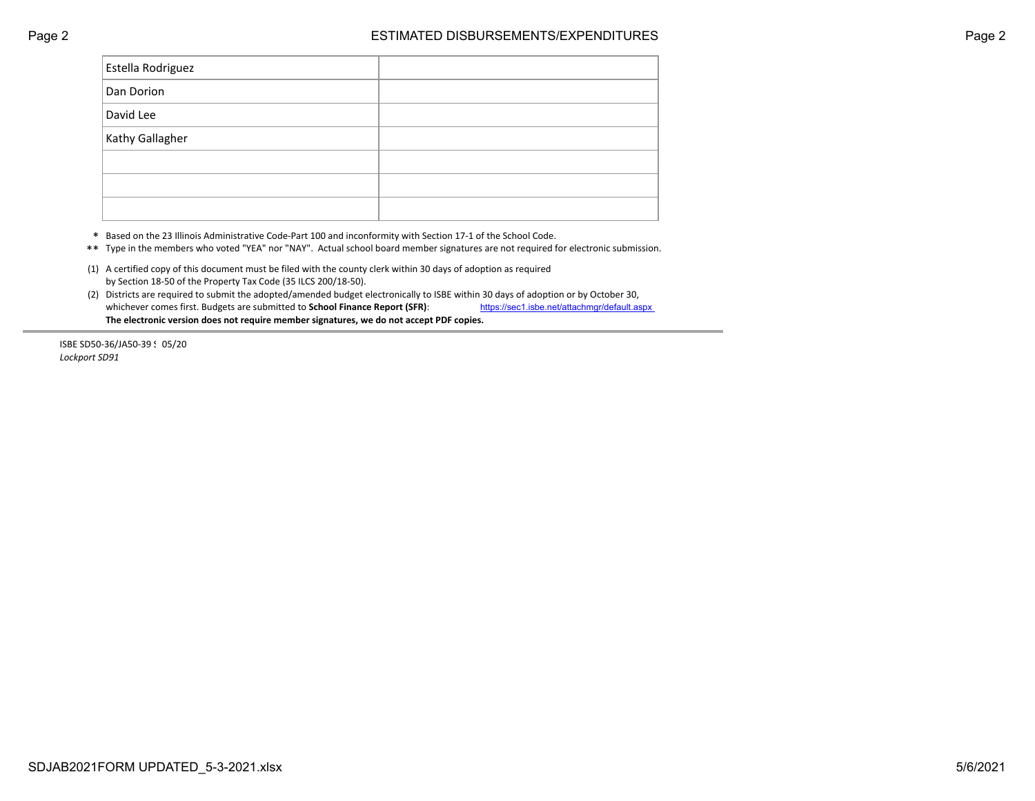\* Based on the 23 Illinois Administrative Code-Part 100 and inconformity with Section 17-1 of the School Code.

\*\* Type in the members who voted "YEA" nor "NAY". Actual school board member signatures are not required for electronic submission.

(1) A certified copy of this document must be filed with the county clerk within 30 days of adoption as required by Section 18-50 of the Property Tax Code (35 ILCS 200/18-50).

(2) Districts are required to submit the adopted/amended budget electronically to ISBE within 30 days of adoption or by October 30, whichever comes first. Budgets are submitted to **School Finance Report (SFR)**: https://sec1.isbe.net/attachmgr/default.aspx **The electronic version does not require member signatures, we do not accept PDF copies.**

ISBE SD50-36/JA50-39 S105/20 *Lockport SD91*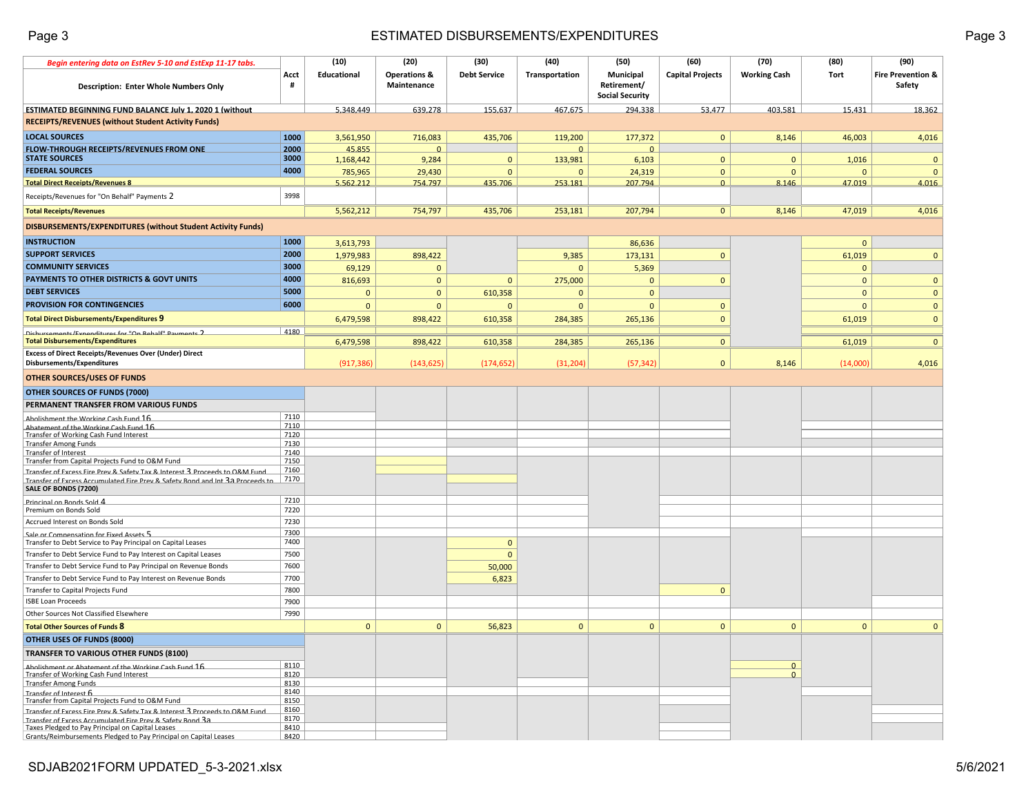# Page 3 ESTIMATED DISBURSEMENTS/EXPENDITURES Page 3

| Begin entering data on EstRev 5-10 and EstExp 11-17 tabs.<br>Description: Enter Whole Numbers Only            | Acct<br>#    | (10)<br>Educational | (20)<br><b>Operations &amp;</b><br>Maintenance | (30)<br><b>Debt Service</b> | (40)<br>Transportation | (50)<br><b>Municipal</b><br>Retirement/<br><b>Social Security</b> | (60)<br><b>Capital Projects</b> | (70)<br><b>Working Cash</b> | (80)<br>Tort | (90)<br><b>Fire Prevention &amp;</b><br>Safety |
|---------------------------------------------------------------------------------------------------------------|--------------|---------------------|------------------------------------------------|-----------------------------|------------------------|-------------------------------------------------------------------|---------------------------------|-----------------------------|--------------|------------------------------------------------|
|                                                                                                               |              |                     |                                                |                             |                        |                                                                   |                                 |                             |              |                                                |
| <b>ESTIMATED BEGINNING FUND BALANCE July 1. 2020 1 (without</b>                                               |              | 5.348.449           | 639.278                                        | 155.637                     | 467.675                | 294.338                                                           | 53.477                          | 403.581                     | 15.431       | 18.362                                         |
| <b>RECEIPTS/REVENUES (without Student Activity Funds)</b>                                                     |              |                     |                                                |                             |                        |                                                                   |                                 |                             |              |                                                |
| <b>LOCAL SOURCES</b>                                                                                          | 1000         | 3,561,950           | 716,083                                        | 435,706                     | 119,200                | 177,372                                                           | $\mathbf{0}$                    | 8,146                       | 46,003       | 4,016                                          |
| <b>FLOW-THROUGH RECEIPTS/REVENUES FROM ONE</b>                                                                | 2000         | 45.855              | $\mathbf{0}$                                   |                             | $\Omega$               | $\Omega$                                                          |                                 |                             |              |                                                |
| <b>STATE SOURCES</b>                                                                                          | 3000         | 1,168,442           | 9,284                                          | $\mathbf 0$                 | 133,981                | 6,103                                                             | $\mathbf{0}$                    | $\mathbf{0}$                | 1,016        | $\mathbf{0}$                                   |
| <b>FEDERAL SOURCES</b>                                                                                        | 4000         | 785,965             | 29,430                                         | $\mathbf{0}$                | $\mathbf{0}$           | 24,319                                                            | $\mathbf{0}$                    | $\Omega$                    | $\mathbf{0}$ | $\mathbf{0}$                                   |
| <b>Total Direct Receipts/Revenues 8</b>                                                                       |              | 5 562 212           | 754 797                                        | 435 706                     | 253 181                | 207 794                                                           | $\Omega$                        | 8 146                       | 47 019       | 4 0 1 6                                        |
| Receipts/Revenues for "On Behalf" Payments 2                                                                  | 3998         |                     |                                                |                             |                        |                                                                   |                                 |                             |              |                                                |
| <b>Total Receipts/Revenues</b>                                                                                |              | 5,562,212           | 754,797                                        | 435,706                     | 253,181                | 207,794                                                           | $\mathbf{0}$                    | 8,146                       | 47,019       | 4,016                                          |
|                                                                                                               |              |                     |                                                |                             |                        |                                                                   |                                 |                             |              |                                                |
| DISBURSEMENTS/EXPENDITURES (without Student Activity Funds)                                                   |              |                     |                                                |                             |                        |                                                                   |                                 |                             |              |                                                |
| <b>INSTRUCTION</b>                                                                                            | 1000         | 3,613,793           |                                                |                             |                        | 86,636                                                            |                                 |                             | $\mathbf{0}$ |                                                |
| <b>SUPPORT SERVICES</b>                                                                                       | 2000         | 1,979,983           | 898,422                                        |                             | 9,385                  | 173,131                                                           | $\mathbf{0}$                    |                             | 61,019       | $\mathbf{0}$                                   |
| <b>COMMUNITY SERVICES</b>                                                                                     | 3000         | 69,129              | $\mathbf{0}$                                   |                             | $\Omega$               | 5,369                                                             |                                 |                             | $\mathbf{0}$ |                                                |
| PAYMENTS TO OTHER DISTRICTS & GOVT UNITS                                                                      | 4000         | 816,693             | $\mathbf{0}$                                   | $\mathbf{0}$                | 275,000                | $\mathbf{0}$                                                      | $\mathbf{0}$                    |                             | $\mathbf{0}$ | $\mathbf{0}$                                   |
| <b>DEBT SERVICES</b>                                                                                          | 5000         |                     |                                                |                             |                        |                                                                   |                                 |                             |              |                                                |
|                                                                                                               |              | $\mathbf{0}$        | $\mathbf{0}$                                   | 610,358                     | $\mathbf{0}$           | $\mathbf{0}$                                                      |                                 |                             | $\mathbf{0}$ | $\mathbf{0}$                                   |
| <b>PROVISION FOR CONTINGENCIES</b>                                                                            | 6000         | $\mathbf{0}$        | $\mathbf{0}$                                   | $\mathbf{0}$                | $\mathbf{0}$           | $\mathbf{0}$                                                      | $\mathbf{0}$                    |                             | $\mathbf{0}$ | $\mathbf{0}$                                   |
| <b>Total Direct Disbursements/Expenditures 9</b>                                                              |              | 6,479,598           | 898,422                                        | 610,358                     | 284,385                | 265,136                                                           | $\mathbf{0}$                    |                             | 61,019       | $\mathbf{0}$                                   |
| Dichurcomonts/Exnonditures for "On Rohalf" Daymonts 7                                                         | 4180         |                     |                                                |                             |                        |                                                                   |                                 |                             |              |                                                |
| <b>Total Disbursements/Expenditures</b>                                                                       |              | 6,479,598           | 898,422                                        | 610,358                     | 284,385                | 265,136                                                           | $\mathbf{0}$                    |                             | 61,019       | $\overline{0}$                                 |
| <b>Excess of Direct Receipts/Revenues Over (Under) Direct</b><br><b>Disbursements/Expenditures</b>            |              | (917, 386)          | (143, 625)                                     | (174, 652)                  | (31, 204)              | (57, 342)                                                         | $\mathbf{0}$                    | 8,146                       | (14,000)     | 4,016                                          |
| <b>OTHER SOURCES/USES OF FUNDS</b>                                                                            |              |                     |                                                |                             |                        |                                                                   |                                 |                             |              |                                                |
| OTHER SOURCES OF FUNDS (7000)                                                                                 |              |                     |                                                |                             |                        |                                                                   |                                 |                             |              |                                                |
| PERMANENT TRANSFER FROM VARIOUS FUNDS                                                                         |              |                     |                                                |                             |                        |                                                                   |                                 |                             |              |                                                |
| Aholishment the Working Cash Fund 16                                                                          | 7110         |                     |                                                |                             |                        |                                                                   |                                 |                             |              |                                                |
| Abatement of the Working Cash Fund 16                                                                         | 7110         |                     |                                                |                             |                        |                                                                   |                                 |                             |              |                                                |
| Transfer of Working Cash Fund Interest                                                                        | 7120         |                     |                                                |                             |                        |                                                                   |                                 |                             |              |                                                |
| <b>Transfer Among Funds</b>                                                                                   | 7130         |                     |                                                |                             |                        |                                                                   |                                 |                             |              |                                                |
| Transfer of Interest<br>Transfer from Capital Projects Fund to O&M Fund                                       | 7140<br>7150 |                     |                                                |                             |                        |                                                                   |                                 |                             |              |                                                |
| Transfer of Excess Fire Prev & Safety Tax & Interest 3 Proceeds to O&M Fund                                   | 7160         |                     |                                                |                             |                        |                                                                   |                                 |                             |              |                                                |
| Transfer of Excess Accumulated Fire Prey & Safety Bond and Int 3a Proceeds to<br>SALE OF BONDS (7200)         | $7170$       |                     |                                                |                             |                        |                                                                   |                                 |                             |              |                                                |
| Princinal on Bonds Sold 4                                                                                     | 7210         |                     |                                                |                             |                        |                                                                   |                                 |                             |              |                                                |
| Premium on Bonds Sold                                                                                         | 7220         |                     |                                                |                             |                        |                                                                   |                                 |                             |              |                                                |
| Accrued Interest on Bonds Sold                                                                                | 7230         |                     |                                                |                             |                        |                                                                   |                                 |                             |              |                                                |
| Sale or Comnensation for Fixed Assets 5                                                                       | 7300<br>7400 |                     |                                                |                             |                        |                                                                   |                                 |                             |              |                                                |
| Transfer to Debt Service to Pay Principal on Capital Leases                                                   |              |                     |                                                | $\mathbf{0}$                |                        |                                                                   |                                 |                             |              |                                                |
| Transfer to Debt Service Fund to Pay Interest on Capital Leases                                               | 7500         |                     |                                                | $\overline{0}$              |                        |                                                                   |                                 |                             |              |                                                |
| Transfer to Debt Service Fund to Pay Principal on Revenue Bonds                                               | 7600         |                     |                                                | 50,000                      |                        |                                                                   |                                 |                             |              |                                                |
| Transfer to Debt Service Fund to Pay Interest on Revenue Bonds                                                | 7700         |                     |                                                | 6,823                       |                        |                                                                   |                                 |                             |              |                                                |
| Transfer to Capital Projects Fund<br><b>ISBE Loan Proceeds</b>                                                | 7800<br>7900 |                     |                                                |                             |                        |                                                                   | $\mathbf{0}$                    |                             |              |                                                |
|                                                                                                               |              |                     |                                                |                             |                        |                                                                   |                                 |                             |              |                                                |
| Other Sources Not Classified Elsewhere                                                                        | 7990         |                     |                                                |                             |                        |                                                                   |                                 |                             |              |                                                |
| <b>Total Other Sources of Funds 8</b>                                                                         |              | $\mathbf{0}$        | $\mathbf{0}$                                   | 56,823                      | $\mathbf{0}$           | $\mathbf{0}$                                                      | $\mathbf{0}$                    | $\mathbf{0}$                | $\mathbf{0}$ | $\mathbf{0}$                                   |
| OTHER USES OF FUNDS (8000)                                                                                    |              |                     |                                                |                             |                        |                                                                   |                                 |                             |              |                                                |
| TRANSFER TO VARIOUS OTHER FUNDS (8100)                                                                        |              |                     |                                                |                             |                        |                                                                   |                                 |                             |              |                                                |
| Abolishment or Abatement of the Working Cash Fund 16                                                          | 8110         |                     |                                                |                             |                        |                                                                   |                                 | $\mathbf{0}$                |              |                                                |
| Transfer of Working Cash Fund Interest<br>Transfer Among Funds                                                | 8120<br>8130 |                     |                                                |                             |                        |                                                                   |                                 | $\mathbf{0}$                |              |                                                |
| Transfer of Interest 6                                                                                        | 8140         |                     |                                                |                             |                        |                                                                   |                                 |                             |              |                                                |
| Transfer from Capital Projects Fund to O&M Fund                                                               | 8150         |                     |                                                |                             |                        |                                                                   |                                 |                             |              |                                                |
| Transfer of Excess Fire Prev & Safety Tax & Interest 3 Proceeds to O&M Fund                                   | 8160         |                     |                                                |                             |                        |                                                                   |                                 |                             |              |                                                |
| Transfer of Excess Accumulated Fire Prey & Safety Bond 3a<br>Taxes Pledged to Pay Principal on Capital Leases | 8170<br>8410 |                     |                                                |                             |                        |                                                                   |                                 |                             |              |                                                |
| Grants/Reimbursements Pledged to Pay Principal on Capital Leases                                              | 8420         |                     |                                                |                             |                        |                                                                   |                                 |                             |              |                                                |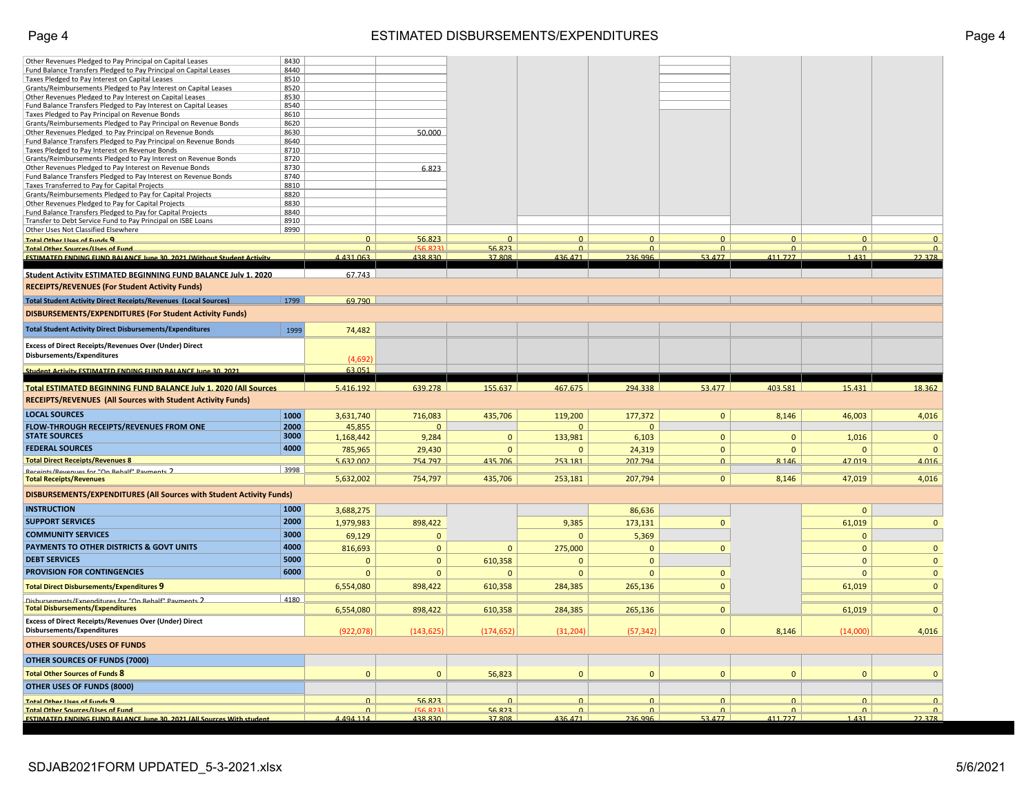# Page 4 ESTIMATED DISBURSEMENTS/EXPENDITURES Page 4

| Other Revenues Pledged to Pay Principal on Capital Leases<br>Fund Balance Transfers Pledged to Pay Principal on Capital Leases<br>Taxes Pledged to Pay Interest on Capital Leases<br>Grants/Reimbursements Pledged to Pay Interest on Capital Leases<br>Other Revenues Pledged to Pay Interest on Capital Leases<br>Fund Balance Transfers Pledged to Pay Interest on Capital Leases<br>Taxes Pledged to Pay Principal on Revenue Bonds<br>Grants/Reimbursements Pledged to Pay Principal on Revenue Bonds<br>Other Revenues Pledged to Pay Principal on Revenue Bonds<br>Fund Balance Transfers Pledged to Pay Principal on Revenue Bonds<br>Taxes Pledged to Pay Interest on Revenue Bonds<br>Grants/Reimbursements Pledged to Pay Interest on Revenue Bonds<br>Other Revenues Pledged to Pay Interest on Revenue Bonds<br>Fund Balance Transfers Pledged to Pay Interest on Revenue Bonds<br>Taxes Transferred to Pay for Capital Projects<br>Grants/Reimbursements Pledged to Pay for Capital Projects | 8430<br>8440<br>8510<br>8520<br>8530<br>8540<br>8610<br>8620<br>8630<br>8640<br>8710<br>8720<br>8730<br>8740<br>8810<br>8820 | 50.000<br>6.823                    |                         |                              |                           |                    |                     |                              |                            |
|------------------------------------------------------------------------------------------------------------------------------------------------------------------------------------------------------------------------------------------------------------------------------------------------------------------------------------------------------------------------------------------------------------------------------------------------------------------------------------------------------------------------------------------------------------------------------------------------------------------------------------------------------------------------------------------------------------------------------------------------------------------------------------------------------------------------------------------------------------------------------------------------------------------------------------------------------------------------------------------------------------|------------------------------------------------------------------------------------------------------------------------------|------------------------------------|-------------------------|------------------------------|---------------------------|--------------------|---------------------|------------------------------|----------------------------|
| Other Revenues Pledged to Pay for Capital Projects<br>Fund Balance Transfers Pledged to Pay for Capital Projects                                                                                                                                                                                                                                                                                                                                                                                                                                                                                                                                                                                                                                                                                                                                                                                                                                                                                           | 8830<br>8840                                                                                                                 |                                    |                         |                              |                           |                    |                     |                              |                            |
| Transfer to Debt Service Fund to Pay Principal on ISBE Loans<br>Other Uses Not Classified Elsewhere                                                                                                                                                                                                                                                                                                                                                                                                                                                                                                                                                                                                                                                                                                                                                                                                                                                                                                        | 8910<br>8990                                                                                                                 |                                    |                         |                              |                           |                    |                     |                              |                            |
| Total Other Heas of Funds 9                                                                                                                                                                                                                                                                                                                                                                                                                                                                                                                                                                                                                                                                                                                                                                                                                                                                                                                                                                                | $\Omega$                                                                                                                     | 56.823                             | $\Omega$                | $\Omega$                     | $\Omega$                  | $\Omega$           | $\Omega$            | $\Omega$                     | $\Omega$                   |
| Total Other Sources/Lises of Fund<br>FSTIMATED FNDING FLIND RALANCE June 30 2021 (Without Student Activity                                                                                                                                                                                                                                                                                                                                                                                                                                                                                                                                                                                                                                                                                                                                                                                                                                                                                                 | $\Omega$<br><b>A 431 063</b>                                                                                                 | (56.823)<br><b>A38 830</b>         | 56.823<br><b>27 ROR</b> | $\Omega$<br>436 471          | $\Omega$<br>226 996       | $\Omega$<br>53 477 | $\Omega$<br>411 727 | $\Omega$<br>1.431            | $\Omega$<br>22.378         |
|                                                                                                                                                                                                                                                                                                                                                                                                                                                                                                                                                                                                                                                                                                                                                                                                                                                                                                                                                                                                            |                                                                                                                              |                                    |                         |                              |                           |                    |                     |                              |                            |
| Student Activity ESTIMATED BEGINNING FUND BALANCE July 1. 2020                                                                                                                                                                                                                                                                                                                                                                                                                                                                                                                                                                                                                                                                                                                                                                                                                                                                                                                                             | 67.743                                                                                                                       |                                    |                         |                              |                           |                    |                     |                              |                            |
| <b>RECEIPTS/REVENUES (For Student Activity Funds)</b>                                                                                                                                                                                                                                                                                                                                                                                                                                                                                                                                                                                                                                                                                                                                                                                                                                                                                                                                                      |                                                                                                                              |                                    |                         |                              |                           |                    |                     |                              |                            |
| Total Student Activity Direct Receipts/Revenues (Local Sources)<br>DISBURSEMENTS/EXPENDITURES (For Student Activity Funds)                                                                                                                                                                                                                                                                                                                                                                                                                                                                                                                                                                                                                                                                                                                                                                                                                                                                                 | 1799<br>69 790                                                                                                               |                                    |                         |                              |                           |                    |                     |                              |                            |
|                                                                                                                                                                                                                                                                                                                                                                                                                                                                                                                                                                                                                                                                                                                                                                                                                                                                                                                                                                                                            |                                                                                                                              |                                    |                         |                              |                           |                    |                     |                              |                            |
| <b>Total Student Activity Direct Disbursements/Expenditures</b>                                                                                                                                                                                                                                                                                                                                                                                                                                                                                                                                                                                                                                                                                                                                                                                                                                                                                                                                            | 74,482<br>1999                                                                                                               |                                    |                         |                              |                           |                    |                     |                              |                            |
| Excess of Direct Receipts/Revenues Over (Under) Direct<br>Disbursements/Expenditures                                                                                                                                                                                                                                                                                                                                                                                                                                                                                                                                                                                                                                                                                                                                                                                                                                                                                                                       | (4,692)                                                                                                                      |                                    |                         |                              |                           |                    |                     |                              |                            |
| Student Activity ESTIMATED ENDING FUND RALANCE June 30 2021                                                                                                                                                                                                                                                                                                                                                                                                                                                                                                                                                                                                                                                                                                                                                                                                                                                                                                                                                | 63.051                                                                                                                       |                                    |                         |                              |                           |                    |                     |                              |                            |
| Total ESTIMATED BEGINNING FUND BALANCE July 1. 2020 (All Sources                                                                                                                                                                                                                                                                                                                                                                                                                                                                                                                                                                                                                                                                                                                                                                                                                                                                                                                                           | 5.416.192                                                                                                                    | 639.278                            | 155.637                 | 467.675                      | 294.338                   | 53.477             | 403.581             | 15.431                       | 18.362                     |
| RECEIPTS/REVENUES (All Sources with Student Activity Funds)                                                                                                                                                                                                                                                                                                                                                                                                                                                                                                                                                                                                                                                                                                                                                                                                                                                                                                                                                |                                                                                                                              |                                    |                         |                              |                           |                    |                     |                              |                            |
| <b>LOCAL SOURCES</b>                                                                                                                                                                                                                                                                                                                                                                                                                                                                                                                                                                                                                                                                                                                                                                                                                                                                                                                                                                                       | 1000<br>3,631,740                                                                                                            | 716,083                            | 435,706                 | 119,200                      | 177,372                   | $\mathbf{0}$       | 8,146               | 46,003                       | 4,016                      |
| FLOW-THROUGH RECEIPTS/REVENUES FROM ONE<br><b>STATE SOURCES</b>                                                                                                                                                                                                                                                                                                                                                                                                                                                                                                                                                                                                                                                                                                                                                                                                                                                                                                                                            | 2000<br>45.855<br>3000<br>1,168,442                                                                                          | $\Omega$<br>9,284                  | $\bf{0}$                | $\Omega$<br>133,981          | $\Omega$<br>6,103         | $\mathbf{0}$       | $\overline{0}$      | 1,016                        | $\mathbf{0}$               |
| <b>FEDERAL SOURCES</b>                                                                                                                                                                                                                                                                                                                                                                                                                                                                                                                                                                                                                                                                                                                                                                                                                                                                                                                                                                                     | 4000<br>785,965                                                                                                              | 29,430                             | $\mathbf{0}$            | $\mathbf{0}$                 | 24,319                    | $\mathbf{0}$       | $\mathbf{0}$        | $\mathbf{0}$                 | $\Omega$                   |
| <b>Total Direct Receipts/Revenues 8</b>                                                                                                                                                                                                                                                                                                                                                                                                                                                                                                                                                                                                                                                                                                                                                                                                                                                                                                                                                                    | 5.632.002                                                                                                                    | 754.797                            | 435.706                 | 253.181                      | 207.794                   | $\Omega$           | 8.146               | 47.019                       | 4.016                      |
| Pacainte/Pavanuac for "On Rabalf" Daymante 7                                                                                                                                                                                                                                                                                                                                                                                                                                                                                                                                                                                                                                                                                                                                                                                                                                                                                                                                                               | 3998                                                                                                                         |                                    |                         |                              |                           |                    |                     |                              |                            |
| <b>Total Receipts/Revenues</b>                                                                                                                                                                                                                                                                                                                                                                                                                                                                                                                                                                                                                                                                                                                                                                                                                                                                                                                                                                             | 5,632,002                                                                                                                    | 754,797                            | 435,706                 | 253,181                      | 207,794                   | $\mathbf{0}$       | 8,146               | 47,019                       | 4,016                      |
| DISBURSEMENTS/EXPENDITURES (All Sources with Student Activity Funds)                                                                                                                                                                                                                                                                                                                                                                                                                                                                                                                                                                                                                                                                                                                                                                                                                                                                                                                                       |                                                                                                                              |                                    |                         |                              |                           |                    |                     |                              |                            |
| <b>INSTRUCTION</b>                                                                                                                                                                                                                                                                                                                                                                                                                                                                                                                                                                                                                                                                                                                                                                                                                                                                                                                                                                                         | 1000<br>3,688,275                                                                                                            |                                    |                         |                              | 86,636                    |                    |                     | $\mathbf{0}$                 |                            |
| <b>SUPPORT SERVICES</b>                                                                                                                                                                                                                                                                                                                                                                                                                                                                                                                                                                                                                                                                                                                                                                                                                                                                                                                                                                                    | 2000<br>1,979,983                                                                                                            | 898,422                            |                         | 9,385                        | 173,131                   | $\mathbf{0}$       |                     | 61,019                       | $\mathbf{0}$               |
| <b>COMMUNITY SERVICES</b><br>PAYMENTS TO OTHER DISTRICTS & GOVT UNITS                                                                                                                                                                                                                                                                                                                                                                                                                                                                                                                                                                                                                                                                                                                                                                                                                                                                                                                                      | 3000<br>69,129                                                                                                               | $\mathbf{0}$                       |                         | $\mathbf{0}$                 | 5,369                     |                    |                     | $\mathbf 0$                  |                            |
| <b>DEBT SERVICES</b>                                                                                                                                                                                                                                                                                                                                                                                                                                                                                                                                                                                                                                                                                                                                                                                                                                                                                                                                                                                       | 4000<br>816,693<br>5000                                                                                                      | $\mathbf{0}$                       | $\mathbf{0}$            | 275,000                      | $\pmb{0}$<br>$\mathbf{0}$ | $\mathbf{0}$       |                     | $\mathbf{0}$<br>$\mathbf{0}$ | $\pmb{0}$                  |
| <b>PROVISION FOR CONTINGENCIES</b>                                                                                                                                                                                                                                                                                                                                                                                                                                                                                                                                                                                                                                                                                                                                                                                                                                                                                                                                                                         | $\mathbf{0}$<br>6000<br>$\mathbf 0$                                                                                          | $\mathbf{0}$<br>$\mathbf{0}$       | 610,358<br>$\Omega$     | $\mathbf{0}$<br>$\mathbf{0}$ | $\mathbf{0}$              | $\mathbf{0}$       |                     | $\mathbf{0}$                 | $\mathbf 0$<br>$\mathbf 0$ |
| <b>Total Direct Disbursements/Expenditures 9</b>                                                                                                                                                                                                                                                                                                                                                                                                                                                                                                                                                                                                                                                                                                                                                                                                                                                                                                                                                           | 6,554,080                                                                                                                    | 898,422                            | 610,358                 | 284,385                      | 265,136                   | $\mathbf{0}$       |                     | 61,019                       | $\mathbf{0}$               |
| Dichurcamante/Evnandituras for "On Rahalf" Daymante 7                                                                                                                                                                                                                                                                                                                                                                                                                                                                                                                                                                                                                                                                                                                                                                                                                                                                                                                                                      | 4180                                                                                                                         |                                    |                         |                              |                           |                    |                     |                              |                            |
| <b>Total Disbursements/Expenditures</b>                                                                                                                                                                                                                                                                                                                                                                                                                                                                                                                                                                                                                                                                                                                                                                                                                                                                                                                                                                    | 6,554,080                                                                                                                    | 898,422                            | 610,358                 | 284,385                      | 265,136                   | $\mathbf{0}$       |                     | 61,019                       | $\mathbf{0}$               |
| Excess of Direct Receipts/Revenues Over (Under) Direct<br>Disbursements/Expenditures                                                                                                                                                                                                                                                                                                                                                                                                                                                                                                                                                                                                                                                                                                                                                                                                                                                                                                                       | (922, 078)                                                                                                                   | (143, 625)                         | (174, 652)              | (31, 204)                    | (57, 342)                 | $\mathbf{0}$       | 8,146               | (14,000)                     | 4,016                      |
| <b>OTHER SOURCES/USES OF FUNDS</b>                                                                                                                                                                                                                                                                                                                                                                                                                                                                                                                                                                                                                                                                                                                                                                                                                                                                                                                                                                         |                                                                                                                              |                                    |                         |                              |                           |                    |                     |                              |                            |
| OTHER SOURCES OF FUNDS (7000)                                                                                                                                                                                                                                                                                                                                                                                                                                                                                                                                                                                                                                                                                                                                                                                                                                                                                                                                                                              |                                                                                                                              |                                    |                         |                              |                           |                    |                     |                              |                            |
| <b>Total Other Sources of Funds 8</b>                                                                                                                                                                                                                                                                                                                                                                                                                                                                                                                                                                                                                                                                                                                                                                                                                                                                                                                                                                      | $\mathbf{0}$                                                                                                                 | $\mathbf{0}$                       | 56,823                  | $\mathbf{0}$                 | $\mathbf{0}$              | $\mathbf{0}$       | $\mathbf{0}$        | $\mathbf{0}$                 | $\mathbf{0}$               |
| OTHER USES OF FUNDS (8000)                                                                                                                                                                                                                                                                                                                                                                                                                                                                                                                                                                                                                                                                                                                                                                                                                                                                                                                                                                                 |                                                                                                                              |                                    |                         |                              |                           |                    |                     |                              |                            |
| <b>Total Other Lises of Funds Q</b>                                                                                                                                                                                                                                                                                                                                                                                                                                                                                                                                                                                                                                                                                                                                                                                                                                                                                                                                                                        | $\Omega$                                                                                                                     | 56823                              | $\Omega$                | $\Omega$                     | $\Omega$                  | $\Omega$           | $\Omega$            | $\Omega$                     | $\Omega$                   |
| Total Other Sources/Lises of Fund<br><b>FSTIMATED FNDING FLIND RALANCE June 30 2021 (All Sources With student</b>                                                                                                                                                                                                                                                                                                                                                                                                                                                                                                                                                                                                                                                                                                                                                                                                                                                                                          | $\mathbf{v}$<br>A AQA 11A                                                                                                    | <u> ISG 8231</u><br><b>438.830</b> | 56.823<br>$27$ $808$    | $\Omega$<br>436 471          | $\mathbf{u}$<br>226 996   | $\Omega$<br>53 477 | $\Omega$<br>411 727 | $\Omega$<br>1 1 2 1          | $\Omega$<br>22.378         |
|                                                                                                                                                                                                                                                                                                                                                                                                                                                                                                                                                                                                                                                                                                                                                                                                                                                                                                                                                                                                            |                                                                                                                              |                                    |                         |                              |                           |                    |                     |                              |                            |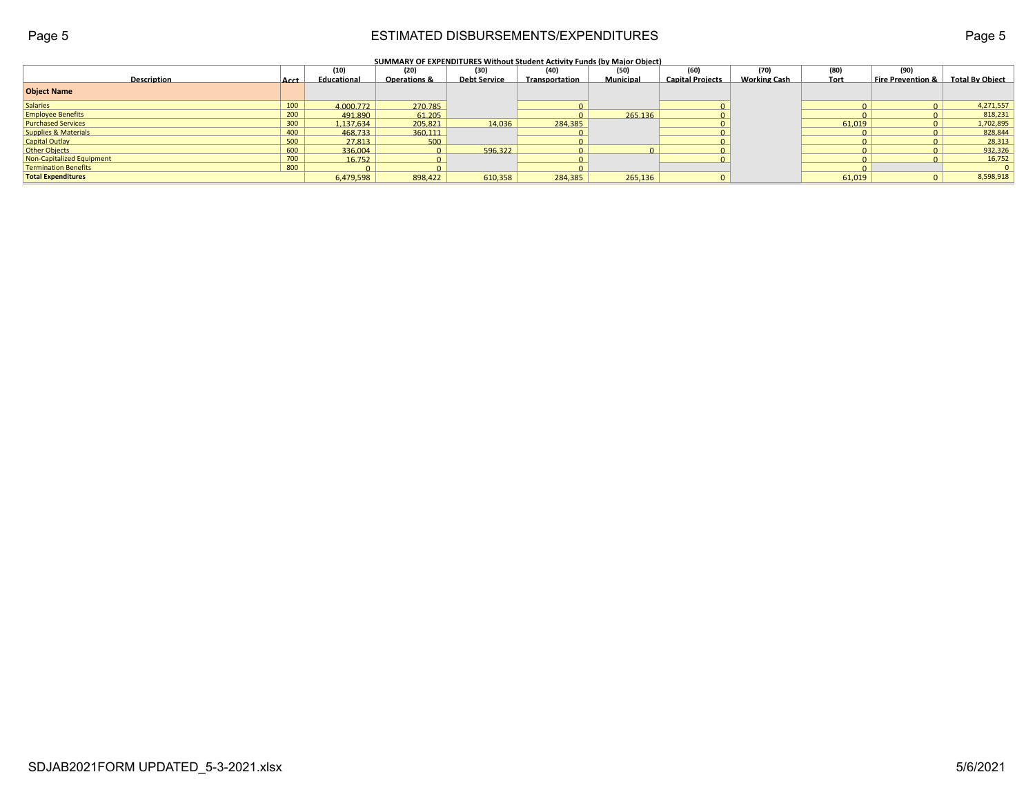# Page 5 ESTIMATED DISBURSEMENTS/EXPENDITURES Page 5

| <b>SUMMARY OF EXPENDITURES Without Student Activity Funds (by Major Object)</b> |      |             |                         |                     |                |                  |                         |                     |             |                   |                        |  |  |
|---------------------------------------------------------------------------------|------|-------------|-------------------------|---------------------|----------------|------------------|-------------------------|---------------------|-------------|-------------------|------------------------|--|--|
|                                                                                 |      | (10)        | (20)                    | (30)                | (40)           | (50)             | (60)                    | (70)                | (80)        | (90)              |                        |  |  |
| <b>Description</b>                                                              | Acct | Educational | <b>Operations &amp;</b> | <b>Debt Service</b> | Transportation | <b>Municipal</b> | <b>Capital Projects</b> | <b>Working Cash</b> | <b>Tort</b> | Fire Prevention & | <b>Total By Obiect</b> |  |  |
| <b>Object Name</b>                                                              |      |             |                         |                     |                |                  |                         |                     |             |                   |                        |  |  |
| <b>Salaries</b>                                                                 | 100  | 4.000.772   | 270.785                 |                     |                |                  |                         |                     |             |                   | 4,271,557              |  |  |
| <b>Employee Benefits</b>                                                        | 200  | 491.890     | 61.205                  |                     |                | 265.136          |                         |                     |             |                   | 818,231                |  |  |
| <b>Purchased Services</b>                                                       | 300  | 1.137.634   | 205.821                 | 14.036              | 284.385        |                  |                         |                     | 61.019      |                   | 1,702,895              |  |  |
| <b>Supplies &amp; Materials</b>                                                 | 400  | 468.733     | 360.111                 |                     |                |                  |                         |                     |             |                   | 828,844                |  |  |
| <b>Capital Outlay</b>                                                           | 500  | 27.813      | 500                     |                     |                |                  |                         |                     |             |                   | 28,313                 |  |  |
| Other Objects                                                                   | 600  | 336.004     |                         | 596.322             |                |                  |                         |                     |             |                   | 932,326                |  |  |
| Non-Capitalized Equipment                                                       | 700  | 16.752      |                         |                     |                |                  |                         |                     |             |                   | 16,752                 |  |  |
| <b>Termination Benefits</b>                                                     | 800  |             |                         |                     |                |                  |                         |                     |             |                   |                        |  |  |
| <b>Total Expenditures</b>                                                       |      | 6,479,598   | 898,422                 | 610,358             | 284,385        | 265,136          |                         |                     | 61,019      |                   | 8,598,918              |  |  |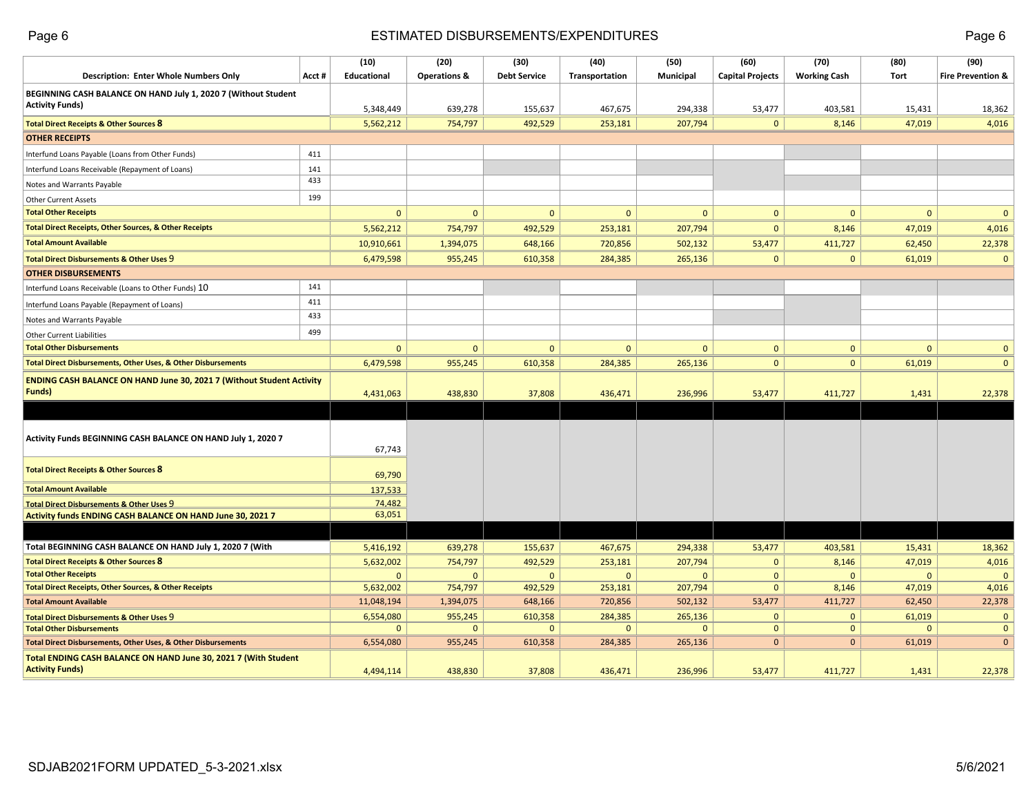## Page 6 ESTIMATED DISBURSEMENTS/EXPENDITURES Page 6 Page 6

| <b>Description: Enter Whole Numbers Only</b>                                              | Acct#      | (10)<br>Educational       | (20)<br><b>Operations &amp;</b> | (30)<br><b>Debt Service</b> | (40)<br>Transportation  | (50)<br><b>Municipal</b> | (60)<br><b>Capital Projects</b> | (70)<br><b>Working Cash</b>  | (80)<br>Tort           | (90)<br><b>Fire Prevention &amp;</b> |
|-------------------------------------------------------------------------------------------|------------|---------------------------|---------------------------------|-----------------------------|-------------------------|--------------------------|---------------------------------|------------------------------|------------------------|--------------------------------------|
| BEGINNING CASH BALANCE ON HAND July 1, 2020 7 (Without Student<br><b>Activity Funds)</b>  |            |                           |                                 |                             |                         |                          |                                 |                              |                        |                                      |
|                                                                                           |            | 5,348,449                 | 639,278                         | 155,637                     | 467,675                 | 294,338                  | 53,477                          | 403,581                      | 15,431                 | 18,362                               |
| <b>Total Direct Receipts &amp; Other Sources 8</b>                                        |            | 5,562,212                 | 754,797                         | 492,529                     | 253,181                 | 207,794                  | $\mathbf{0}$                    | 8,146                        | 47,019                 | 4,016                                |
| <b>OTHER RECEIPTS</b>                                                                     |            |                           |                                 |                             |                         |                          |                                 |                              |                        |                                      |
| Interfund Loans Payable (Loans from Other Funds)                                          | 411        |                           |                                 |                             |                         |                          |                                 |                              |                        |                                      |
| Interfund Loans Receivable (Repayment of Loans)                                           | 141<br>433 |                           |                                 |                             |                         |                          |                                 |                              |                        |                                      |
| Notes and Warrants Payable                                                                |            |                           |                                 |                             |                         |                          |                                 |                              |                        |                                      |
| <b>Other Current Assets</b>                                                               | 199        |                           |                                 |                             |                         |                          |                                 |                              |                        |                                      |
| <b>Total Other Receipts</b>                                                               |            | $\mathbf{0}$              | $\mathbf{0}$                    | $\mathbf{0}$                | $\mathbf{0}$            | $\mathbf{0}$             | $\mathbf{0}$                    | $\mathbf{0}$                 | $\mathbf{0}$           | $\mathbf{0}$                         |
| <b>Total Direct Receipts, Other Sources, &amp; Other Receipts</b>                         |            | 5,562,212                 | 754,797                         | 492,529                     | 253,181                 | 207,794                  | $\mathbf{0}$                    | 8,146                        | 47,019                 | 4,016                                |
| <b>Total Amount Available</b>                                                             |            | 10,910,661                | 1,394,075                       | 648,166                     | 720,856                 | 502,132                  | 53,477                          | 411,727                      | 62,450                 | 22,378                               |
| Total Direct Disbursements & Other Uses 9                                                 |            | 6,479,598                 | 955,245                         | 610,358                     | 284,385                 | 265,136                  | $\mathbf{0}$                    | $\mathbf{0}$                 | 61,019                 | $\mathbf{0}$                         |
| <b>OTHER DISBURSEMENTS</b>                                                                |            |                           |                                 |                             |                         |                          |                                 |                              |                        |                                      |
| Interfund Loans Receivable (Loans to Other Funds) 10                                      | 141        |                           |                                 |                             |                         |                          |                                 |                              |                        |                                      |
| Interfund Loans Payable (Repayment of Loans)                                              | 411        |                           |                                 |                             |                         |                          |                                 |                              |                        |                                      |
| Notes and Warrants Payable                                                                | 433        |                           |                                 |                             |                         |                          |                                 |                              |                        |                                      |
| <b>Other Current Liabilities</b>                                                          | 499        |                           |                                 |                             |                         |                          |                                 |                              |                        |                                      |
| <b>Total Other Disbursements</b>                                                          |            | $\mathbf{0}$              | $\mathbf{0}$                    | $\mathbf{0}$                | $\mathbf{0}$            | $\mathbf{0}$             | $\mathbf{0}$                    | $\mathbf{0}$                 | $\mathbf{0}$           | $\mathbf{0}$                         |
| Total Direct Disbursements, Other Uses, & Other Disbursements                             |            | 6,479,598                 | 955,245                         | 610,358                     | 284,385                 | 265,136                  | $\mathbf{0}$                    | $\mathbf{0}$                 | 61,019                 | $\mathbf{0}$                         |
| <b>ENDING CASH BALANCE ON HAND June 30, 2021 7 (Without Student Activity</b><br>Funds)    |            | 4,431,063                 | 438,830                         | 37,808                      | 436,471                 | 236,996                  | 53,477                          | 411,727                      | 1,431                  | 22,378                               |
|                                                                                           |            |                           |                                 |                             |                         |                          |                                 |                              |                        |                                      |
| Activity Funds BEGINNING CASH BALANCE ON HAND July 1, 2020 7                              |            | 67,743                    |                                 |                             |                         |                          |                                 |                              |                        |                                      |
| <b>Total Direct Receipts &amp; Other Sources 8</b>                                        |            | 69,790                    |                                 |                             |                         |                          |                                 |                              |                        |                                      |
| <b>Total Amount Available</b>                                                             |            | 137,533                   |                                 |                             |                         |                          |                                 |                              |                        |                                      |
| Total Direct Disbursements & Other Uses 9                                                 |            | 74,482                    |                                 |                             |                         |                          |                                 |                              |                        |                                      |
| Activity funds ENDING CASH BALANCE ON HAND June 30, 2021 7                                |            | 63,051                    |                                 |                             |                         |                          |                                 |                              |                        |                                      |
|                                                                                           |            |                           |                                 |                             |                         |                          |                                 |                              |                        |                                      |
| Total BEGINNING CASH BALANCE ON HAND July 1, 2020 7 (With                                 |            | 5,416,192                 | 639,278                         | 155,637                     | 467,675                 | 294,338                  | 53,477                          | 403,581                      | 15,431                 | 18,362                               |
| <b>Total Direct Receipts &amp; Other Sources 8</b>                                        |            | 5,632,002                 | 754,797                         | 492,529                     | 253,181                 | 207,794                  | $\mathbf{0}$                    | 8,146                        | 47,019                 | 4,016                                |
| <b>Total Other Receipts</b>                                                               |            | $\mathbf{0}$              | $\Omega$                        | $\Omega$                    | $\Omega$                | $\mathbf{0}$             | $\mathbf{0}$                    | $\Omega$                     | $\Omega$               | $\Omega$                             |
| <b>Total Direct Receipts, Other Sources, &amp; Other Receipts</b>                         |            | 5,632,002                 | 754,797                         | 492,529                     | 253,181                 | 207,794                  | $\mathbf{0}$                    | 8,146                        | 47,019                 | 4,016                                |
| <b>Total Amount Available</b>                                                             |            | 11,048,194                | 1,394,075                       | 648,166                     | 720,856                 | 502,132                  | 53,477                          | 411,727                      | 62,450                 | 22,378                               |
| Total Direct Disbursements & Other Uses 9<br><b>Total Other Disbursements</b>             |            | 6,554,080<br>$\mathbf{0}$ | 955,245<br>$\mathbf{0}$         | 610,358<br>$\mathbf{0}$     | 284,385<br>$\mathbf{0}$ | 265,136<br>$\mathbf{0}$  | $\mathbf{0}$<br>$\mathbf{0}$    | $\mathbf{0}$<br>$\mathbf{0}$ | 61,019<br>$\mathbf{0}$ | $\mathbf{0}$<br>$\mathbf{0}$         |
| Total Direct Disbursements, Other Uses, & Other Disbursements                             |            | 6,554,080                 | 955,245                         | 610,358                     | 284,385                 | 265,136                  | $\overline{0}$                  | $\mathbf{0}$                 | 61,019                 | $\mathbf{0}$                         |
| Total ENDING CASH BALANCE ON HAND June 30, 2021 7 (With Student<br><b>Activity Funds)</b> |            | 4,494,114                 | 438,830                         | 37,808                      | 436,471                 | 236,996                  | 53,477                          | 411,727                      | 1,431                  | 22,378                               |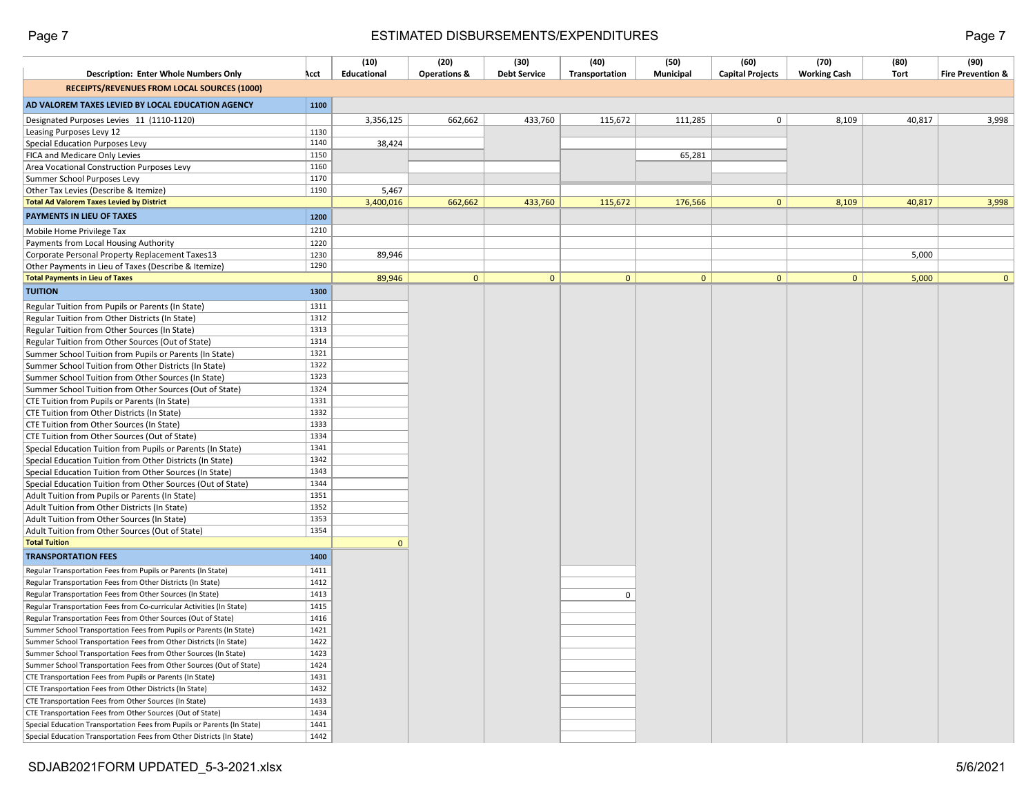## Page 7 ESTIMATED DISBURSEMENTS/EXPENDITURES Page 7

|                                                                         |      | (10)         | (20)                    | (30)                | (40)           | (50)         | (60)                    | (70)                | (80)   | (90)                         |
|-------------------------------------------------------------------------|------|--------------|-------------------------|---------------------|----------------|--------------|-------------------------|---------------------|--------|------------------------------|
| <b>Description: Enter Whole Numbers Only</b>                            | Acct | Educational  | <b>Operations &amp;</b> | <b>Debt Service</b> | Transportation | Municipal    | <b>Capital Projects</b> | <b>Working Cash</b> | Tort   | <b>Fire Prevention &amp;</b> |
| RECEIPTS/REVENUES FROM LOCAL SOURCES (1000)                             |      |              |                         |                     |                |              |                         |                     |        |                              |
| AD VALOREM TAXES LEVIED BY LOCAL EDUCATION AGENCY                       | 1100 |              |                         |                     |                |              |                         |                     |        |                              |
| Designated Purposes Levies 11 (1110-1120)                               |      | 3,356,125    | 662,662                 | 433,760             | 115,672        | 111,285      | $\mathbf 0$             | 8,109               | 40,817 | 3,998                        |
| Leasing Purposes Levy 12                                                | 1130 |              |                         |                     |                |              |                         |                     |        |                              |
| Special Education Purposes Levy                                         | 1140 | 38,424       |                         |                     |                |              |                         |                     |        |                              |
| FICA and Medicare Only Levies                                           | 1150 |              |                         |                     |                | 65,281       |                         |                     |        |                              |
| Area Vocational Construction Purposes Levy                              | 1160 |              |                         |                     |                |              |                         |                     |        |                              |
| Summer School Purposes Levy                                             | 1170 |              |                         |                     |                |              |                         |                     |        |                              |
| Other Tax Levies (Describe & Itemize)                                   | 1190 | 5,467        |                         |                     |                |              |                         |                     |        |                              |
| <b>Total Ad Valorem Taxes Levied by District</b>                        |      | 3,400,016    | 662,662                 | 433,760             | 115,672        | 176,566      | $\mathbf{0}$            | 8,109               | 40,817 | 3,998                        |
| PAYMENTS IN LIEU OF TAXES                                               | 1200 |              |                         |                     |                |              |                         |                     |        |                              |
| Mobile Home Privilege Tax                                               | 1210 |              |                         |                     |                |              |                         |                     |        |                              |
| Payments from Local Housing Authority                                   | 1220 |              |                         |                     |                |              |                         |                     |        |                              |
| Corporate Personal Property Replacement Taxes13                         | 1230 | 89,946       |                         |                     |                |              |                         |                     | 5,000  |                              |
| Other Payments in Lieu of Taxes (Describe & Itemize)                    | 1290 |              |                         |                     |                |              |                         |                     |        |                              |
| <b>Total Payments in Lieu of Taxes</b>                                  |      | 89,946       | $\overline{0}$          | $\mathbf{0}$        | $\overline{0}$ | $\mathbf{0}$ | $\overline{0}$          | $\overline{0}$      | 5,000  | $\mathbf{0}$                 |
| <b>TUITION</b>                                                          | 1300 |              |                         |                     |                |              |                         |                     |        |                              |
| Regular Tuition from Pupils or Parents (In State)                       | 1311 |              |                         |                     |                |              |                         |                     |        |                              |
| Regular Tuition from Other Districts (In State)                         | 1312 |              |                         |                     |                |              |                         |                     |        |                              |
| Regular Tuition from Other Sources (In State)                           | 1313 |              |                         |                     |                |              |                         |                     |        |                              |
| Regular Tuition from Other Sources (Out of State)                       | 1314 |              |                         |                     |                |              |                         |                     |        |                              |
| Summer School Tuition from Pupils or Parents (In State)                 | 1321 |              |                         |                     |                |              |                         |                     |        |                              |
| Summer School Tuition from Other Districts (In State)                   | 1322 |              |                         |                     |                |              |                         |                     |        |                              |
| Summer School Tuition from Other Sources (In State)                     | 1323 |              |                         |                     |                |              |                         |                     |        |                              |
| Summer School Tuition from Other Sources (Out of State)                 | 1324 |              |                         |                     |                |              |                         |                     |        |                              |
| CTE Tuition from Pupils or Parents (In State)                           | 1331 |              |                         |                     |                |              |                         |                     |        |                              |
| CTE Tuition from Other Districts (In State)                             | 1332 |              |                         |                     |                |              |                         |                     |        |                              |
| CTE Tuition from Other Sources (In State)                               | 1333 |              |                         |                     |                |              |                         |                     |        |                              |
| CTE Tuition from Other Sources (Out of State)                           | 1334 |              |                         |                     |                |              |                         |                     |        |                              |
| Special Education Tuition from Pupils or Parents (In State)             | 1341 |              |                         |                     |                |              |                         |                     |        |                              |
| Special Education Tuition from Other Districts (In State)               | 1342 |              |                         |                     |                |              |                         |                     |        |                              |
| Special Education Tuition from Other Sources (In State)                 | 1343 |              |                         |                     |                |              |                         |                     |        |                              |
| Special Education Tuition from Other Sources (Out of State)             | 1344 |              |                         |                     |                |              |                         |                     |        |                              |
| Adult Tuition from Pupils or Parents (In State)                         | 1351 |              |                         |                     |                |              |                         |                     |        |                              |
| Adult Tuition from Other Districts (In State)                           | 1352 |              |                         |                     |                |              |                         |                     |        |                              |
| Adult Tuition from Other Sources (In State)                             | 1353 |              |                         |                     |                |              |                         |                     |        |                              |
| Adult Tuition from Other Sources (Out of State)                         | 1354 |              |                         |                     |                |              |                         |                     |        |                              |
| <b>Total Tuition</b>                                                    |      | $\mathbf{0}$ |                         |                     |                |              |                         |                     |        |                              |
| <b>TRANSPORTATION FEES</b>                                              | 1400 |              |                         |                     |                |              |                         |                     |        |                              |
| Regular Transportation Fees from Pupils or Parents (In State)           | 1411 |              |                         |                     |                |              |                         |                     |        |                              |
| Regular Transportation Fees from Other Districts (In State)             | 1412 |              |                         |                     |                |              |                         |                     |        |                              |
| Regular Transportation Fees from Other Sources (In State)               | 1413 |              |                         |                     | $\Omega$       |              |                         |                     |        |                              |
| Regular Transportation Fees from Co-curricular Activities (In State)    | 1415 |              |                         |                     |                |              |                         |                     |        |                              |
| Regular Transportation Fees from Other Sources (Out of State)           | 1416 |              |                         |                     |                |              |                         |                     |        |                              |
| Summer School Transportation Fees from Pupils or Parents (In State)     | 1421 |              |                         |                     |                |              |                         |                     |        |                              |
| Summer School Transportation Fees from Other Districts (In State)       | 1422 |              |                         |                     |                |              |                         |                     |        |                              |
| Summer School Transportation Fees from Other Sources (In State)         | 1423 |              |                         |                     |                |              |                         |                     |        |                              |
| Summer School Transportation Fees from Other Sources (Out of State)     | 1424 |              |                         |                     |                |              |                         |                     |        |                              |
| CTE Transportation Fees from Pupils or Parents (In State)               | 1431 |              |                         |                     |                |              |                         |                     |        |                              |
| CTE Transportation Fees from Other Districts (In State)                 | 1432 |              |                         |                     |                |              |                         |                     |        |                              |
| CTE Transportation Fees from Other Sources (In State)                   | 1433 |              |                         |                     |                |              |                         |                     |        |                              |
| CTE Transportation Fees from Other Sources (Out of State)               | 1434 |              |                         |                     |                |              |                         |                     |        |                              |
| Special Education Transportation Fees from Pupils or Parents (In State) | 1441 |              |                         |                     |                |              |                         |                     |        |                              |
| Special Education Transportation Fees from Other Districts (In State)   | 1442 |              |                         |                     |                |              |                         |                     |        |                              |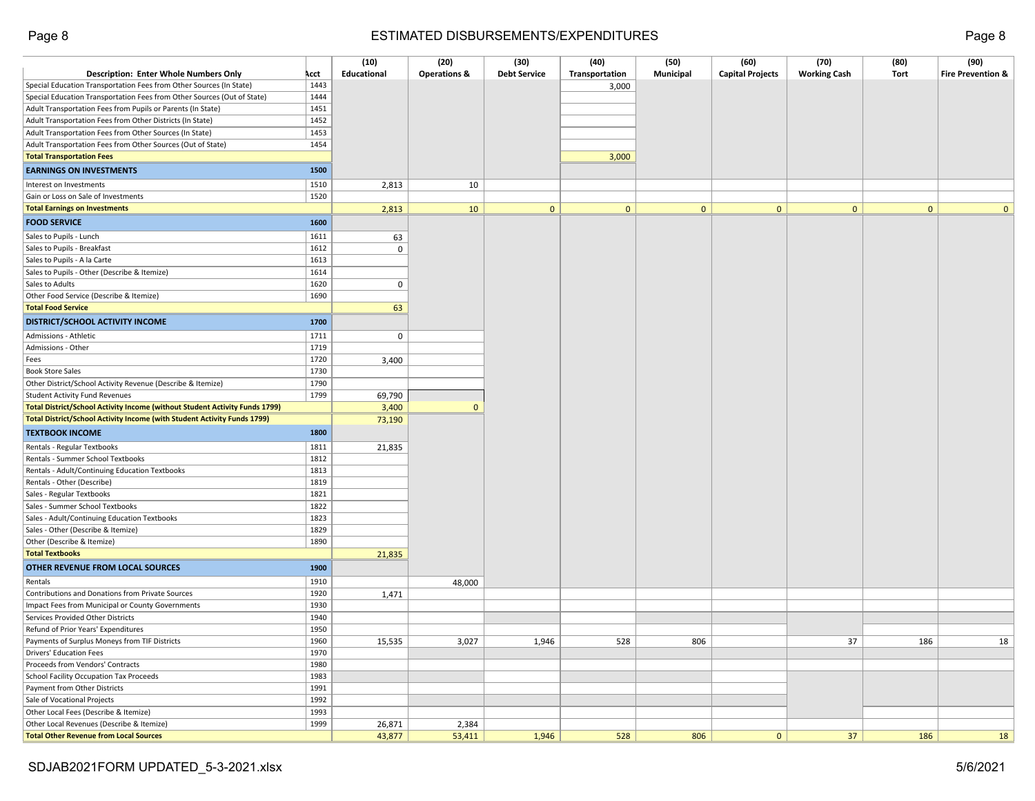## Page 8 ESTIMATED DISBURSEMENTS/EXPENDITURES Page 8 Page 8

|                                                                                 |      | (10)        | (20)                    | (30)                | (40)           | (50)         | (60)                    | (70)                | (80)         | (90)                         |
|---------------------------------------------------------------------------------|------|-------------|-------------------------|---------------------|----------------|--------------|-------------------------|---------------------|--------------|------------------------------|
| <b>Description: Enter Whole Numbers Only</b>                                    | Acct | Educational | <b>Operations &amp;</b> | <b>Debt Service</b> | Transportation | Municipal    | <b>Capital Projects</b> | <b>Working Cash</b> | <b>Tort</b>  | <b>Fire Prevention &amp;</b> |
| Special Education Transportation Fees from Other Sources (In State)             | 1443 |             |                         |                     | 3,000          |              |                         |                     |              |                              |
| Special Education Transportation Fees from Other Sources (Out of State)         | 1444 |             |                         |                     |                |              |                         |                     |              |                              |
| Adult Transportation Fees from Pupils or Parents (In State)                     | 1451 |             |                         |                     |                |              |                         |                     |              |                              |
| Adult Transportation Fees from Other Districts (In State)                       | 1452 |             |                         |                     |                |              |                         |                     |              |                              |
| Adult Transportation Fees from Other Sources (In State)                         | 1453 |             |                         |                     |                |              |                         |                     |              |                              |
| Adult Transportation Fees from Other Sources (Out of State)                     | 1454 |             |                         |                     |                |              |                         |                     |              |                              |
| <b>Total Transportation Fees</b>                                                |      |             |                         |                     | 3,000          |              |                         |                     |              |                              |
| <b>EARNINGS ON INVESTMENTS</b>                                                  | 1500 |             |                         |                     |                |              |                         |                     |              |                              |
| Interest on Investments                                                         | 1510 | 2,813       | 10                      |                     |                |              |                         |                     |              |                              |
| Gain or Loss on Sale of Investments                                             | 1520 |             |                         |                     |                |              |                         |                     |              |                              |
| <b>Total Earnings on Investments</b>                                            |      | 2,813       | 10                      | $\mathbf{0}$        | $\overline{0}$ | $\mathbf{0}$ | $\overline{0}$          | $\mathbf{0}$        | $\mathbf{0}$ | $\mathbf{0}$                 |
| <b>FOOD SERVICE</b>                                                             | 1600 |             |                         |                     |                |              |                         |                     |              |                              |
| Sales to Pupils - Lunch                                                         | 1611 | 63          |                         |                     |                |              |                         |                     |              |                              |
| Sales to Pupils - Breakfast                                                     | 1612 | $\mathbf 0$ |                         |                     |                |              |                         |                     |              |                              |
| Sales to Pupils - A la Carte                                                    | 1613 |             |                         |                     |                |              |                         |                     |              |                              |
| Sales to Pupils - Other (Describe & Itemize)                                    | 1614 |             |                         |                     |                |              |                         |                     |              |                              |
| Sales to Adults                                                                 | 1620 | $\mathbf 0$ |                         |                     |                |              |                         |                     |              |                              |
| Other Food Service (Describe & Itemize)                                         | 1690 |             |                         |                     |                |              |                         |                     |              |                              |
| <b>Total Food Service</b>                                                       |      | 63          |                         |                     |                |              |                         |                     |              |                              |
| DISTRICT/SCHOOL ACTIVITY INCOME                                                 | 1700 |             |                         |                     |                |              |                         |                     |              |                              |
| Admissions - Athletic                                                           | 1711 | $\mathbf 0$ |                         |                     |                |              |                         |                     |              |                              |
| Admissions - Other                                                              | 1719 |             |                         |                     |                |              |                         |                     |              |                              |
| Fees                                                                            | 1720 | 3,400       |                         |                     |                |              |                         |                     |              |                              |
| <b>Book Store Sales</b>                                                         | 1730 |             |                         |                     |                |              |                         |                     |              |                              |
| Other District/School Activity Revenue (Describe & Itemize)                     | 1790 |             |                         |                     |                |              |                         |                     |              |                              |
| <b>Student Activity Fund Revenues</b>                                           | 1799 | 69,790      |                         |                     |                |              |                         |                     |              |                              |
| Total District/School Activity Income (without Student Activity Funds 1799)     |      | 3,400       | $\overline{0}$          |                     |                |              |                         |                     |              |                              |
| <b>Total District/School Activity Income (with Student Activity Funds 1799)</b> |      | 73,190      |                         |                     |                |              |                         |                     |              |                              |
| <b>TEXTBOOK INCOME</b>                                                          | 1800 |             |                         |                     |                |              |                         |                     |              |                              |
| Rentals - Regular Textbooks                                                     | 1811 | 21,835      |                         |                     |                |              |                         |                     |              |                              |
| Rentals - Summer School Textbooks                                               | 1812 |             |                         |                     |                |              |                         |                     |              |                              |
| Rentals - Adult/Continuing Education Textbooks                                  | 1813 |             |                         |                     |                |              |                         |                     |              |                              |
| Rentals - Other (Describe)                                                      | 1819 |             |                         |                     |                |              |                         |                     |              |                              |
| Sales - Regular Textbooks                                                       | 1821 |             |                         |                     |                |              |                         |                     |              |                              |
| Sales - Summer School Textbooks                                                 | 1822 |             |                         |                     |                |              |                         |                     |              |                              |
| Sales - Adult/Continuing Education Textbooks                                    | 1823 |             |                         |                     |                |              |                         |                     |              |                              |
| Sales - Other (Describe & Itemize)                                              | 1829 |             |                         |                     |                |              |                         |                     |              |                              |
| Other (Describe & Itemize)                                                      | 1890 |             |                         |                     |                |              |                         |                     |              |                              |
| <b>Total Textbooks</b>                                                          |      | 21,835      |                         |                     |                |              |                         |                     |              |                              |
| OTHER REVENUE FROM LOCAL SOURCES                                                | 1900 |             |                         |                     |                |              |                         |                     |              |                              |
| Rentals                                                                         | 1910 |             | 48,000                  |                     |                |              |                         |                     |              |                              |
| Contributions and Donations from Private Sources                                | 1920 | 1,471       |                         |                     |                |              |                         |                     |              |                              |
| Impact Fees from Municipal or County Governments                                | 1930 |             |                         |                     |                |              |                         |                     |              |                              |
| Services Provided Other Districts                                               | 1940 |             |                         |                     |                |              |                         |                     |              |                              |
| Refund of Prior Years' Expenditures                                             | 1950 |             |                         |                     |                |              |                         |                     |              |                              |
| Payments of Surplus Moneys from TIF Districts                                   | 1960 | 15,535      | 3,027                   | 1,946               | 528            | 806          |                         | 37                  | 186          | 18                           |
| <b>Drivers' Education Fees</b>                                                  | 1970 |             |                         |                     |                |              |                         |                     |              |                              |
| Proceeds from Vendors' Contracts                                                | 1980 |             |                         |                     |                |              |                         |                     |              |                              |
| School Facility Occupation Tax Proceeds                                         | 1983 |             |                         |                     |                |              |                         |                     |              |                              |
| Payment from Other Districts                                                    | 1991 |             |                         |                     |                |              |                         |                     |              |                              |
| Sale of Vocational Projects                                                     | 1992 |             |                         |                     |                |              |                         |                     |              |                              |
| Other Local Fees (Describe & Itemize)                                           | 1993 |             |                         |                     |                |              |                         |                     |              |                              |
| Other Local Revenues (Describe & Itemize)                                       | 1999 | 26,871      | 2,384                   |                     |                |              |                         |                     |              |                              |
| <b>Total Other Revenue from Local Sources</b>                                   |      | 43,877      | 53,411                  | 1,946               | 528            | 806          | $\mathbf{0}$            | 37                  | 186          | 18                           |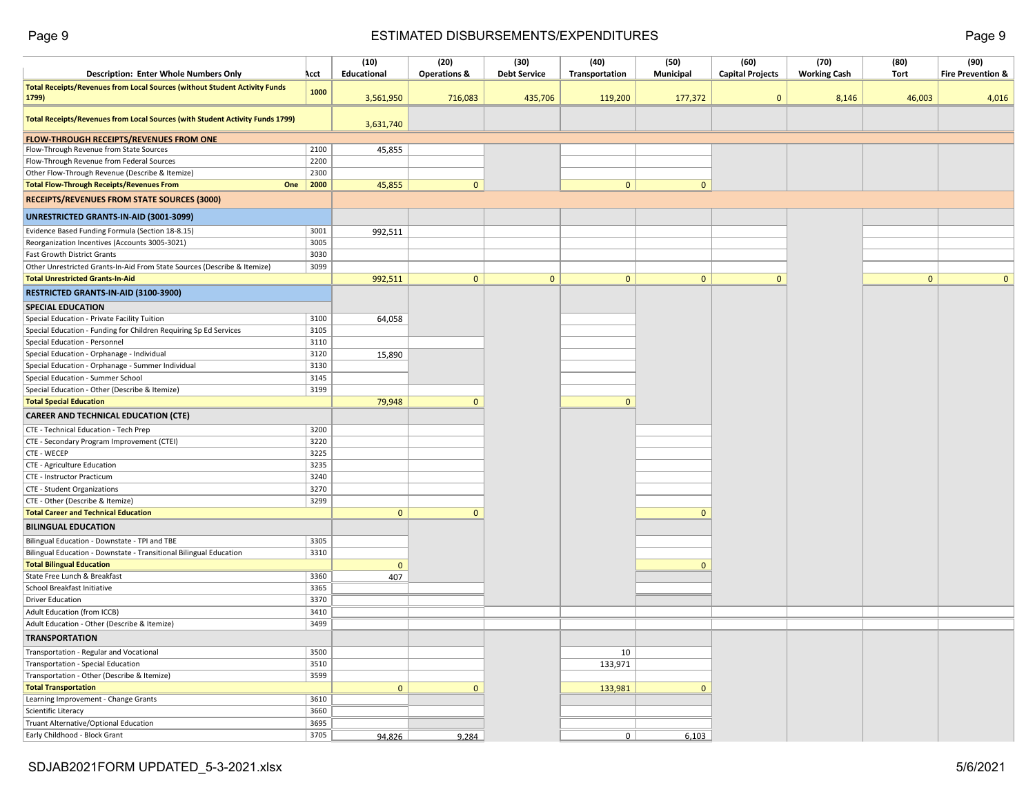## Page 9 ESTIMATED DISBURSEMENTS/EXPENDITURES Page 9

|                                                                                     |      | (10)         | (20)                    | (30)                | (40)           | (50)         | (60)                    | (70)                | (80)         | (90)                         |
|-------------------------------------------------------------------------------------|------|--------------|-------------------------|---------------------|----------------|--------------|-------------------------|---------------------|--------------|------------------------------|
| Description: Enter Whole Numbers Only                                               | Acct | Educational  | <b>Operations &amp;</b> | <b>Debt Service</b> | Transportation | Municipal    | <b>Capital Projects</b> | <b>Working Cash</b> | Tort         | <b>Fire Prevention &amp;</b> |
| Total Receipts/Revenues from Local Sources (without Student Activity Funds<br>1799) | 1000 | 3,561,950    | 716,083                 | 435,706             | 119,200        | 177,372      | $\mathbf{0}$            | 8,146               | 46,003       | 4,016                        |
| Total Receipts/Revenues from Local Sources (with Student Activity Funds 1799)       |      | 3,631,740    |                         |                     |                |              |                         |                     |              |                              |
| <b>FLOW-THROUGH RECEIPTS/REVENUES FROM ONE</b>                                      |      |              |                         |                     |                |              |                         |                     |              |                              |
| Flow-Through Revenue from State Sources                                             | 2100 | 45,855       |                         |                     |                |              |                         |                     |              |                              |
| Flow-Through Revenue from Federal Sources                                           | 2200 |              |                         |                     |                |              |                         |                     |              |                              |
| Other Flow-Through Revenue (Describe & Itemize)                                     | 2300 |              |                         |                     |                |              |                         |                     |              |                              |
| <b>Total Flow-Through Receipts/Revenues From</b><br>One                             | 2000 | 45,855       | $\mathbf{0}$            |                     | $\mathbf{0}$   | $\mathbf{0}$ |                         |                     |              |                              |
| RECEIPTS/REVENUES FROM STATE SOURCES (3000)                                         |      |              |                         |                     |                |              |                         |                     |              |                              |
| UNRESTRICTED GRANTS-IN-AID (3001-3099)                                              |      |              |                         |                     |                |              |                         |                     |              |                              |
| Evidence Based Funding Formula (Section 18-8.15)                                    | 3001 | 992,511      |                         |                     |                |              |                         |                     |              |                              |
| Reorganization Incentives (Accounts 3005-3021)                                      | 3005 |              |                         |                     |                |              |                         |                     |              |                              |
| Fast Growth District Grants                                                         | 3030 |              |                         |                     |                |              |                         |                     |              |                              |
| Other Unrestricted Grants-In-Aid From State Sources (Describe & Itemize)            | 3099 |              |                         |                     |                |              |                         |                     |              |                              |
| <b>Total Unrestricted Grants-In-Aid</b>                                             |      | 992,511      | $\mathbf{0}$            | $\mathbf{0}$        | $\mathbf{0}$   | $\mathbf{0}$ | $\mathbf{0}$            |                     | $\mathbf{0}$ | $\mathbf{0}$                 |
| RESTRICTED GRANTS-IN-AID (3100-3900)                                                |      |              |                         |                     |                |              |                         |                     |              |                              |
| <b>SPECIAL EDUCATION</b>                                                            |      |              |                         |                     |                |              |                         |                     |              |                              |
| Special Education - Private Facility Tuition                                        | 3100 | 64,058       |                         |                     |                |              |                         |                     |              |                              |
| Special Education - Funding for Children Requiring Sp Ed Services                   | 3105 |              |                         |                     |                |              |                         |                     |              |                              |
| Special Education - Personnel                                                       | 3110 |              |                         |                     |                |              |                         |                     |              |                              |
| Special Education - Orphanage - Individual                                          | 3120 | 15,890       |                         |                     |                |              |                         |                     |              |                              |
| Special Education - Orphanage - Summer Individual                                   | 3130 |              |                         |                     |                |              |                         |                     |              |                              |
| Special Education - Summer School                                                   | 3145 |              |                         |                     |                |              |                         |                     |              |                              |
| Special Education - Other (Describe & Itemize)                                      | 3199 |              |                         |                     |                |              |                         |                     |              |                              |
| <b>Total Special Education</b>                                                      |      | 79,948       | $\mathbf{0}$            |                     | $\mathbf{0}$   |              |                         |                     |              |                              |
| <b>CAREER AND TECHNICAL EDUCATION (CTE)</b>                                         |      |              |                         |                     |                |              |                         |                     |              |                              |
| CTE - Technical Education - Tech Prep                                               | 3200 |              |                         |                     |                |              |                         |                     |              |                              |
| CTE - Secondary Program Improvement (CTEI)                                          | 3220 |              |                         |                     |                |              |                         |                     |              |                              |
| CTE - WECEP                                                                         | 3225 |              |                         |                     |                |              |                         |                     |              |                              |
| CTE - Agriculture Education                                                         | 3235 |              |                         |                     |                |              |                         |                     |              |                              |
| CTE - Instructor Practicum                                                          | 3240 |              |                         |                     |                |              |                         |                     |              |                              |
| CTE - Student Organizations                                                         | 3270 |              |                         |                     |                |              |                         |                     |              |                              |
| CTE - Other (Describe & Itemize)                                                    | 3299 |              |                         |                     |                |              |                         |                     |              |                              |
| <b>Total Career and Technical Education</b>                                         |      | $\mathbf{0}$ | $\mathbf{0}$            |                     |                | $\mathbf{0}$ |                         |                     |              |                              |
| <b>BILINGUAL EDUCATION</b>                                                          |      |              |                         |                     |                |              |                         |                     |              |                              |
| Bilingual Education - Downstate - TPI and TBE                                       | 3305 |              |                         |                     |                |              |                         |                     |              |                              |
| Bilingual Education - Downstate - Transitional Bilingual Education                  | 3310 |              |                         |                     |                |              |                         |                     |              |                              |
| <b>Total Bilingual Education</b>                                                    |      | $\mathbf{0}$ |                         |                     |                | $\mathbf{0}$ |                         |                     |              |                              |
| State Free Lunch & Breakfast                                                        | 3360 | 407          |                         |                     |                |              |                         |                     |              |                              |
| School Breakfast Initiative                                                         | 3365 |              |                         |                     |                |              |                         |                     |              |                              |
| <b>Driver Education</b>                                                             | 3370 |              |                         |                     |                |              |                         |                     |              |                              |
| Adult Education (from ICCB)                                                         | 3410 |              |                         |                     |                |              |                         |                     |              |                              |
| Adult Education - Other (Describe & Itemize)                                        | 3499 |              |                         |                     |                |              |                         |                     |              |                              |
| <b>TRANSPORTATION</b>                                                               |      |              |                         |                     |                |              |                         |                     |              |                              |
| Transportation - Regular and Vocational                                             | 3500 |              |                         |                     | 10             |              |                         |                     |              |                              |
| Transportation - Special Education                                                  | 3510 |              |                         |                     | 133,971        |              |                         |                     |              |                              |
| Transportation - Other (Describe & Itemize)                                         | 3599 |              |                         |                     |                |              |                         |                     |              |                              |
| <b>Total Transportation</b>                                                         |      | $\mathbf{0}$ | $\mathbf{0}$            |                     | 133,981        | $\mathbf{0}$ |                         |                     |              |                              |
| Learning Improvement - Change Grants                                                | 3610 |              |                         |                     |                |              |                         |                     |              |                              |
| Scientific Literacy                                                                 | 3660 |              |                         |                     |                |              |                         |                     |              |                              |
| Truant Alternative/Optional Education                                               | 3695 |              |                         |                     |                |              |                         |                     |              |                              |
| Early Childhood - Block Grant                                                       | 3705 | 94.826       | 9.284                   |                     | $\mathbf{0}$   | 6,103        |                         |                     |              |                              |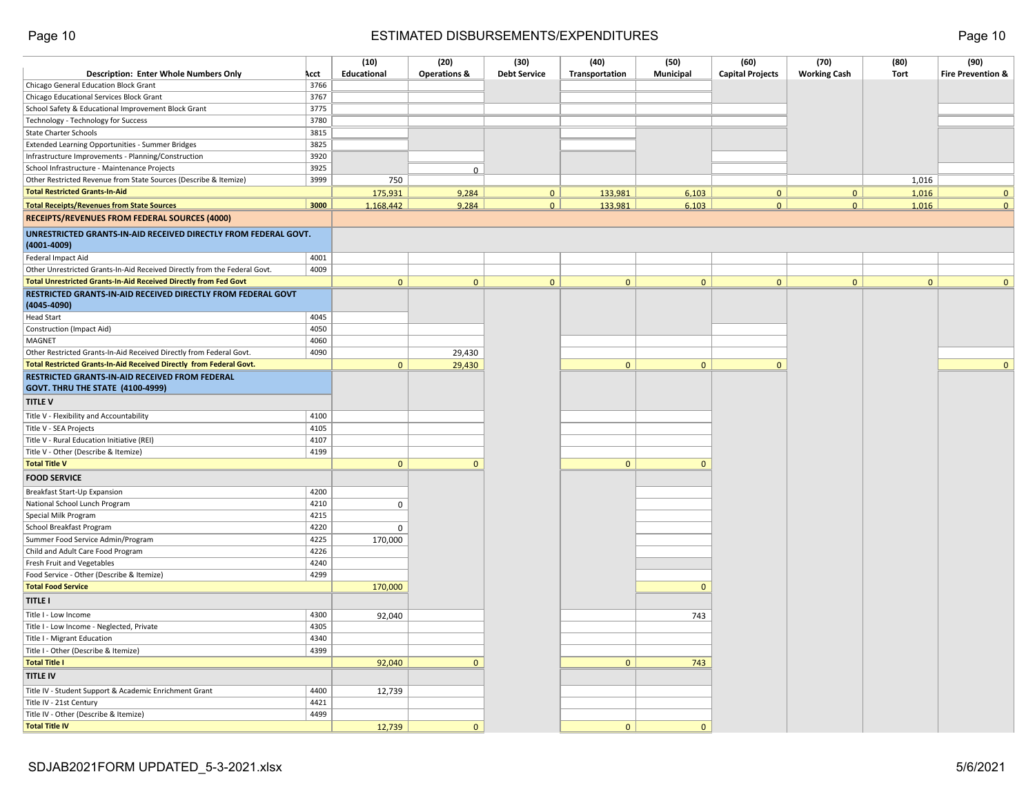## Page 10 **ESTIMATED DISBURSEMENTS/EXPENDITURES**

|                                                                                    |      | (10)         | (20)                    | (30)                | (40)           | (50)           | (60)                    | (70)                | (80)           | (90)                         |
|------------------------------------------------------------------------------------|------|--------------|-------------------------|---------------------|----------------|----------------|-------------------------|---------------------|----------------|------------------------------|
| <b>Description: Enter Whole Numbers Only</b>                                       | Acct | Educational  | <b>Operations &amp;</b> | <b>Debt Service</b> | Transportation | Municipal      | <b>Capital Projects</b> | <b>Working Cash</b> | Tort           | <b>Fire Prevention &amp;</b> |
| Chicago General Education Block Grant                                              | 3766 |              |                         |                     |                |                |                         |                     |                |                              |
| Chicago Educational Services Block Grant                                           | 3767 |              |                         |                     |                |                |                         |                     |                |                              |
| School Safety & Educational Improvement Block Grant                                | 3775 |              |                         |                     |                |                |                         |                     |                |                              |
| Technology - Technology for Success                                                | 3780 |              |                         |                     |                |                |                         |                     |                |                              |
| <b>State Charter Schools</b>                                                       | 3815 |              |                         |                     |                |                |                         |                     |                |                              |
| Extended Learning Opportunities - Summer Bridges                                   | 3825 |              |                         |                     |                |                |                         |                     |                |                              |
| Infrastructure Improvements - Planning/Construction                                | 3920 |              |                         |                     |                |                |                         |                     |                |                              |
| School Infrastructure - Maintenance Projects                                       | 3925 |              | $\mathbf{0}$            |                     |                |                |                         |                     |                |                              |
| Other Restricted Revenue from State Sources (Describe & Itemize)                   | 3999 | 750          |                         |                     |                |                |                         |                     | 1,016          |                              |
| <b>Total Restricted Grants-In-Aid</b>                                              |      | 175,931      | 9,284                   | $\overline{0}$      | 133,981        | 6,103          | 0 <sup>1</sup>          | $\overline{0}$      | 1,016          | $\overline{0}$               |
| <b>Total Receipts/Revenues from State Sources</b>                                  | 3000 | 1.168.442    | 9.284                   | 0                   | 133.981        | 6.103          | $\overline{0}$          | $\overline{0}$      | 1.016          | $\mathbf{0}$                 |
| RECEIPTS/REVENUES FROM FEDERAL SOURCES (4000)                                      |      |              |                         |                     |                |                |                         |                     |                |                              |
| UNRESTRICTED GRANTS-IN-AID RECEIVED DIRECTLY FROM FEDERAL GOVT.<br>$(4001 - 4009)$ |      |              |                         |                     |                |                |                         |                     |                |                              |
| Federal Impact Aid                                                                 | 4001 |              |                         |                     |                |                |                         |                     |                |                              |
| Other Unrestricted Grants-In-Aid Received Directly from the Federal Govt.          | 4009 |              |                         |                     |                |                |                         |                     |                |                              |
| Total Unrestricted Grants-In-Aid Received Directly from Fed Govt                   |      | $\mathbf{0}$ | $\mathbf{0}$            | $\overline{0}$      | $\mathbf{0}$   | $\overline{0}$ | $\overline{0}$          | $\overline{0}$      | $\overline{0}$ | $\mathbf{0}$                 |
| RESTRICTED GRANTS-IN-AID RECEIVED DIRECTLY FROM FEDERAL GOVT                       |      |              |                         |                     |                |                |                         |                     |                |                              |
| $(4045 - 4090)$                                                                    |      |              |                         |                     |                |                |                         |                     |                |                              |
| <b>Head Start</b>                                                                  | 4045 |              |                         |                     |                |                |                         |                     |                |                              |
| Construction (Impact Aid)                                                          | 4050 |              |                         |                     |                |                |                         |                     |                |                              |
| MAGNET                                                                             | 4060 |              |                         |                     |                |                |                         |                     |                |                              |
| Other Restricted Grants-In-Aid Received Directly from Federal Govt.                | 4090 |              | 29,430                  |                     |                |                |                         |                     |                |                              |
| Total Restricted Grants-In-Aid Received Directly from Federal Govt.                |      | $\mathbf{0}$ | 29,430                  |                     | $\mathbf{0}$   | $\mathbf{0}$   | $\overline{0}$          |                     |                | $\mathbf{0}$                 |
| RESTRICTED GRANTS-IN-AID RECEIVED FROM FEDERAL                                     |      |              |                         |                     |                |                |                         |                     |                |                              |
| GOVT. THRU THE STATE (4100-4999)                                                   |      |              |                         |                     |                |                |                         |                     |                |                              |
| <b>TITLE V</b>                                                                     |      |              |                         |                     |                |                |                         |                     |                |                              |
| Title V - Flexibility and Accountability                                           | 4100 |              |                         |                     |                |                |                         |                     |                |                              |
| Title V - SEA Projects                                                             | 4105 |              |                         |                     |                |                |                         |                     |                |                              |
| Title V - Rural Education Initiative (REI)                                         | 4107 |              |                         |                     |                |                |                         |                     |                |                              |
| Title V - Other (Describe & Itemize)                                               | 4199 |              |                         |                     |                |                |                         |                     |                |                              |
| <b>Total Title V</b>                                                               |      | $\mathbf{0}$ | $\mathbf{0}$            |                     | $\mathbf{0}$   | $\mathbf{0}$   |                         |                     |                |                              |
| <b>FOOD SERVICE</b>                                                                |      |              |                         |                     |                |                |                         |                     |                |                              |
| Breakfast Start-Up Expansion                                                       | 4200 |              |                         |                     |                |                |                         |                     |                |                              |
| National School Lunch Program                                                      | 4210 | $\mathbf 0$  |                         |                     |                |                |                         |                     |                |                              |
| Special Milk Program                                                               | 4215 |              |                         |                     |                |                |                         |                     |                |                              |
| School Breakfast Program                                                           | 4220 | $\mathsf 0$  |                         |                     |                |                |                         |                     |                |                              |
| Summer Food Service Admin/Program                                                  | 4225 | 170,000      |                         |                     |                |                |                         |                     |                |                              |
| Child and Adult Care Food Program                                                  | 4226 |              |                         |                     |                |                |                         |                     |                |                              |
| Fresh Fruit and Vegetables                                                         | 4240 |              |                         |                     |                |                |                         |                     |                |                              |
| Food Service - Other (Describe & Itemize)                                          | 4299 |              |                         |                     |                |                |                         |                     |                |                              |
| <b>Total Food Service</b>                                                          |      | 170,000      |                         |                     |                | $\mathbf{0}$   |                         |                     |                |                              |
| <b>TITLE I</b>                                                                     |      |              |                         |                     |                |                |                         |                     |                |                              |
| Title I - Low Income                                                               | 4300 | 92,040       |                         |                     |                | 743            |                         |                     |                |                              |
| Title I - Low Income - Neglected, Private                                          | 4305 |              |                         |                     |                |                |                         |                     |                |                              |
| Title I - Migrant Education                                                        | 4340 |              |                         |                     |                |                |                         |                     |                |                              |
| Title I - Other (Describe & Itemize)                                               | 4399 |              |                         |                     |                |                |                         |                     |                |                              |
| <b>Total Title I</b>                                                               |      | 92,040       | $\mathbf{0}$            |                     | $\mathbf{0}$   | 743            |                         |                     |                |                              |
| <b>TITLE IV</b>                                                                    |      |              |                         |                     |                |                |                         |                     |                |                              |
| Title IV - Student Support & Academic Enrichment Grant                             | 4400 | 12,739       |                         |                     |                |                |                         |                     |                |                              |
| Title IV - 21st Century                                                            | 4421 |              |                         |                     |                |                |                         |                     |                |                              |
| Title IV - Other (Describe & Itemize)                                              | 4499 |              |                         |                     |                |                |                         |                     |                |                              |
| <b>Total Title IV</b>                                                              |      | 12,739       | $\mathbf{0}$            |                     | $\mathbf{0}$   | $\Omega$       |                         |                     |                |                              |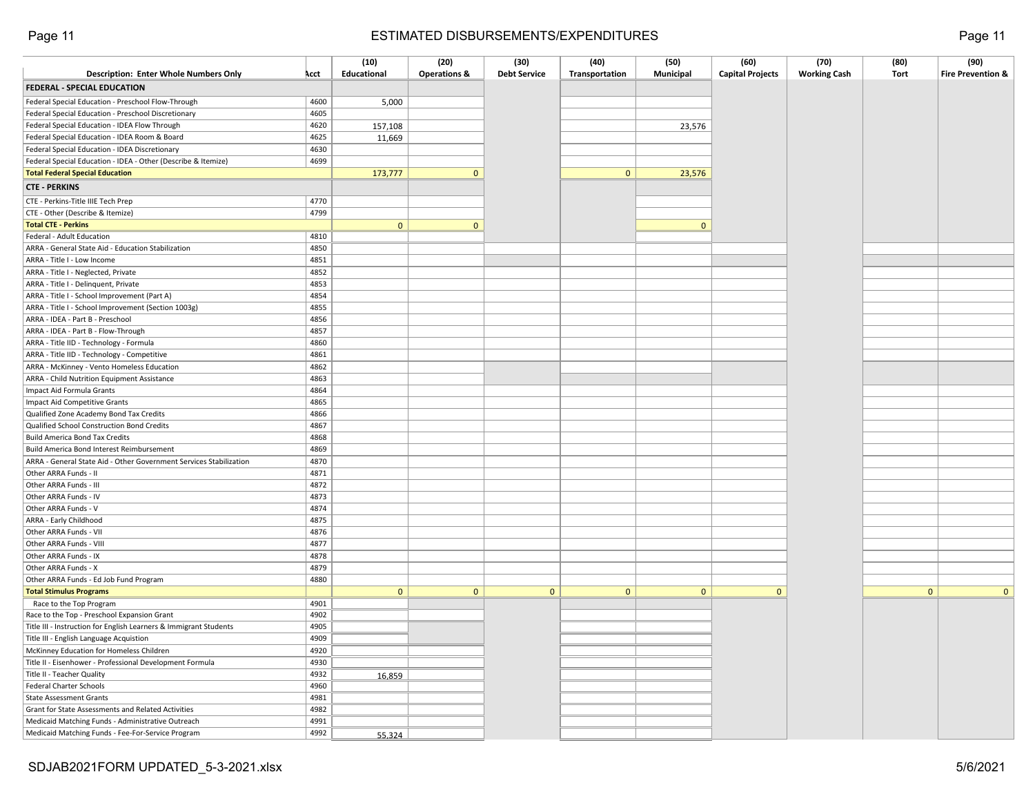## Page 11 **ESTIMATED DISBURSEMENTS/EXPENDITURES** Page 11

| <b>Description: Enter Whole Numbers Only</b>                                                            | Acct         | (10)<br>Educational | (20)<br><b>Operations &amp;</b> | (30)<br><b>Debt Service</b> | (40)<br>Transportation | (50)<br>Municipal | (60)<br><b>Capital Projects</b> | (70)<br><b>Working Cash</b> | (80)<br>Tort | (90)<br><b>Fire Prevention &amp;</b> |
|---------------------------------------------------------------------------------------------------------|--------------|---------------------|---------------------------------|-----------------------------|------------------------|-------------------|---------------------------------|-----------------------------|--------------|--------------------------------------|
| FEDERAL - SPECIAL EDUCATION                                                                             |              |                     |                                 |                             |                        |                   |                                 |                             |              |                                      |
|                                                                                                         |              |                     |                                 |                             |                        |                   |                                 |                             |              |                                      |
| Federal Special Education - Preschool Flow-Through                                                      | 4600         | 5,000               |                                 |                             |                        |                   |                                 |                             |              |                                      |
| Federal Special Education - Preschool Discretionary                                                     | 4605         |                     |                                 |                             |                        |                   |                                 |                             |              |                                      |
| Federal Special Education - IDEA Flow Through                                                           | 4620         | 157,108             |                                 |                             |                        | 23,576            |                                 |                             |              |                                      |
| Federal Special Education - IDEA Room & Board                                                           | 4625<br>4630 | 11,669              |                                 |                             |                        |                   |                                 |                             |              |                                      |
| Federal Special Education - IDEA Discretionary                                                          |              |                     |                                 |                             |                        |                   |                                 |                             |              |                                      |
| Federal Special Education - IDEA - Other (Describe & Itemize)<br><b>Total Federal Special Education</b> | 4699         |                     | $\mathbf{0}$                    |                             | $\overline{0}$         |                   |                                 |                             |              |                                      |
|                                                                                                         |              | 173,777             |                                 |                             |                        | 23,576            |                                 |                             |              |                                      |
| <b>CTE - PERKINS</b>                                                                                    |              |                     |                                 |                             |                        |                   |                                 |                             |              |                                      |
| CTE - Perkins-Title IIIE Tech Prep                                                                      | 4770         |                     |                                 |                             |                        |                   |                                 |                             |              |                                      |
| CTE - Other (Describe & Itemize)                                                                        | 4799         |                     |                                 |                             |                        |                   |                                 |                             |              |                                      |
| <b>Total CTE - Perkins</b>                                                                              |              | $\overline{0}$      | $\mathbf{0}$                    |                             |                        | $\mathbf{0}$      |                                 |                             |              |                                      |
| Federal - Adult Education                                                                               | 4810         |                     |                                 |                             |                        |                   |                                 |                             |              |                                      |
| ARRA - General State Aid - Education Stabilization                                                      | 4850         |                     |                                 |                             |                        |                   |                                 |                             |              |                                      |
| ARRA - Title I - Low Income                                                                             | 4851         |                     |                                 |                             |                        |                   |                                 |                             |              |                                      |
| ARRA - Title I - Neglected, Private                                                                     | 4852         |                     |                                 |                             |                        |                   |                                 |                             |              |                                      |
| ARRA - Title I - Delinquent, Private                                                                    | 4853         |                     |                                 |                             |                        |                   |                                 |                             |              |                                      |
| ARRA - Title I - School Improvement (Part A)                                                            | 4854         |                     |                                 |                             |                        |                   |                                 |                             |              |                                      |
| ARRA - Title I - School Improvement (Section 1003g)                                                     | 4855         |                     |                                 |                             |                        |                   |                                 |                             |              |                                      |
| ARRA - IDEA - Part B - Preschool                                                                        | 4856         |                     |                                 |                             |                        |                   |                                 |                             |              |                                      |
| ARRA - IDEA - Part B - Flow-Through                                                                     | 4857         |                     |                                 |                             |                        |                   |                                 |                             |              |                                      |
| ARRA - Title IID - Technology - Formula                                                                 | 4860         |                     |                                 |                             |                        |                   |                                 |                             |              |                                      |
| ARRA - Title IID - Technology - Competitive                                                             | 4861         |                     |                                 |                             |                        |                   |                                 |                             |              |                                      |
| ARRA - McKinney - Vento Homeless Education                                                              | 4862         |                     |                                 |                             |                        |                   |                                 |                             |              |                                      |
| ARRA - Child Nutrition Equipment Assistance                                                             | 4863         |                     |                                 |                             |                        |                   |                                 |                             |              |                                      |
| Impact Aid Formula Grants                                                                               | 4864         |                     |                                 |                             |                        |                   |                                 |                             |              |                                      |
| <b>Impact Aid Competitive Grants</b>                                                                    | 4865         |                     |                                 |                             |                        |                   |                                 |                             |              |                                      |
| Qualified Zone Academy Bond Tax Credits                                                                 | 4866         |                     |                                 |                             |                        |                   |                                 |                             |              |                                      |
| Qualified School Construction Bond Credits                                                              | 4867         |                     |                                 |                             |                        |                   |                                 |                             |              |                                      |
| <b>Build America Bond Tax Credits</b>                                                                   | 4868         |                     |                                 |                             |                        |                   |                                 |                             |              |                                      |
| Build America Bond Interest Reimbursement                                                               | 4869         |                     |                                 |                             |                        |                   |                                 |                             |              |                                      |
| ARRA - General State Aid - Other Government Services Stabilization                                      | 4870         |                     |                                 |                             |                        |                   |                                 |                             |              |                                      |
| Other ARRA Funds - II                                                                                   | 4871         |                     |                                 |                             |                        |                   |                                 |                             |              |                                      |
| Other ARRA Funds - III                                                                                  | 4872         |                     |                                 |                             |                        |                   |                                 |                             |              |                                      |
| Other ARRA Funds - IV                                                                                   | 4873         |                     |                                 |                             |                        |                   |                                 |                             |              |                                      |
| Other ARRA Funds - V                                                                                    | 4874         |                     |                                 |                             |                        |                   |                                 |                             |              |                                      |
| ARRA - Early Childhood                                                                                  | 4875         |                     |                                 |                             |                        |                   |                                 |                             |              |                                      |
| Other ARRA Funds - VII                                                                                  | 4876         |                     |                                 |                             |                        |                   |                                 |                             |              |                                      |
| Other ARRA Funds - VIII                                                                                 | 4877         |                     |                                 |                             |                        |                   |                                 |                             |              |                                      |
| Other ARRA Funds - IX                                                                                   | 4878         |                     |                                 |                             |                        |                   |                                 |                             |              |                                      |
| Other ARRA Funds - X                                                                                    | 4879         |                     |                                 |                             |                        |                   |                                 |                             |              |                                      |
| Other ARRA Funds - Ed Job Fund Program                                                                  | 4880         |                     |                                 |                             |                        |                   |                                 |                             |              |                                      |
| <b>Total Stimulus Programs</b>                                                                          |              | $\mathbf{0}$        | $\overline{0}$                  | $\mathbf{0}$                | $\overline{0}$         | $\mathbf{0}$      | $\mathbf{0}$                    |                             | $\mathbf{0}$ | $\Omega$                             |
| Race to the Top Program                                                                                 | 4901         |                     |                                 |                             |                        |                   |                                 |                             |              |                                      |
| Race to the Top - Preschool Expansion Grant                                                             | 4902         |                     |                                 |                             |                        |                   |                                 |                             |              |                                      |
| Title III - Instruction for English Learners & Immigrant Students                                       | 4905         |                     |                                 |                             |                        |                   |                                 |                             |              |                                      |
| Title III - English Language Acquistion                                                                 | 4909         |                     |                                 |                             |                        |                   |                                 |                             |              |                                      |
| McKinney Education for Homeless Children                                                                | 4920         |                     |                                 |                             |                        |                   |                                 |                             |              |                                      |
| Title II - Eisenhower - Professional Development Formula                                                | 4930         |                     |                                 |                             |                        |                   |                                 |                             |              |                                      |
| Title II - Teacher Quality                                                                              | 4932         | 16.859              |                                 |                             |                        |                   |                                 |                             |              |                                      |
| <b>Federal Charter Schools</b>                                                                          | 4960         |                     |                                 |                             |                        |                   |                                 |                             |              |                                      |
| <b>State Assessment Grants</b>                                                                          | 4981         |                     |                                 |                             |                        |                   |                                 |                             |              |                                      |
| Grant for State Assessments and Related Activities                                                      | 4982         |                     |                                 |                             |                        |                   |                                 |                             |              |                                      |
| Medicaid Matching Funds - Administrative Outreach                                                       | 4991         |                     |                                 |                             |                        |                   |                                 |                             |              |                                      |
| Medicaid Matching Funds - Fee-For-Service Program                                                       | 4992         | 55.324              |                                 |                             |                        |                   |                                 |                             |              |                                      |
|                                                                                                         |              |                     |                                 |                             |                        |                   |                                 |                             |              |                                      |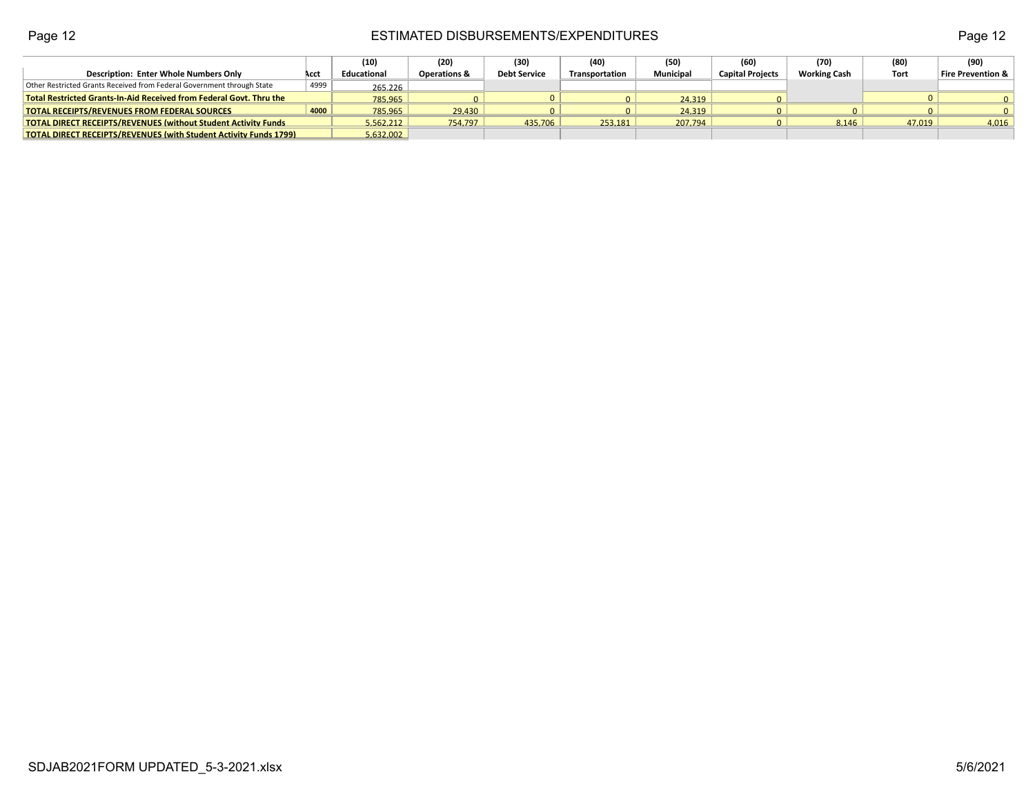## Page 12 **ESTIMATED DISBURSEMENTS/EXPENDITURES** Page 12

|                                                                        |      | (10)        | (20)                    | (30)                | (40)           | (50)             | (60)                    | (70)                | (80)        | (90)                         |
|------------------------------------------------------------------------|------|-------------|-------------------------|---------------------|----------------|------------------|-------------------------|---------------------|-------------|------------------------------|
| Description: Enter Whole Numbers Only                                  | Acc  | Educational | <b>Operations &amp;</b> | <b>Debt Service</b> | Transportation | <b>Municipal</b> | <b>Capital Projects</b> | <b>Working Cash</b> | <b>Tort</b> | <b>Fire Prevention &amp;</b> |
| Other Restricted Grants Received from Federal Government through State | 4999 | 265.226     |                         |                     |                |                  |                         |                     |             |                              |
| Total Restricted Grants-In-Aid Received from Federal Govt. Thru the    |      | 785.965     | $\Omega$                |                     |                | 24.319           |                         |                     |             | $\Omega$                     |
| TOTAL RECEIPTS/REVENUES FROM FEDERAL SOURCES                           | 4000 | 785.965     | 29.430                  |                     |                | 24.319           |                         |                     |             | $\Omega$                     |
| TOTAL DIRECT RECEIPTS/REVENUES (without Student Activity Funds         |      | 5.562.212   | 754.797                 | 435.706             | 253.181        | 207.794          |                         | 8.146               | 47.019      | 4.016                        |
| TOTAL DIRECT RECEIPTS/REVENUES (with Student Activity Funds 1799)      |      | 5.632.002   |                         |                     |                |                  |                         |                     |             |                              |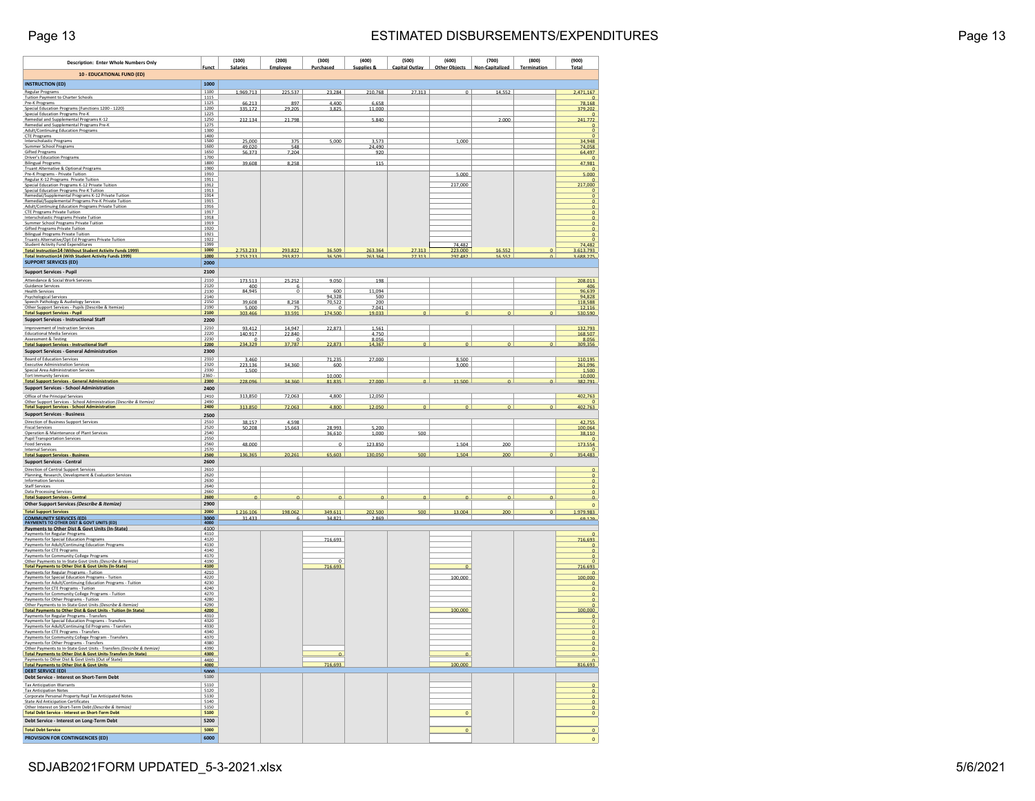## Page 13 **ESTIMATED DISBURSEMENTS/EXPENDITURES** Page 13

| <b>Description: Enter Whole Numbers Only</b>                                                                                             | Funct           | (100)               | (200)                              | (300)               | (400)                 | (500)                 | (600)                | (700)           | (800)<br>Termination | (900)                              |
|------------------------------------------------------------------------------------------------------------------------------------------|-----------------|---------------------|------------------------------------|---------------------|-----------------------|-----------------------|----------------------|-----------------|----------------------|------------------------------------|
| 10 - EDUCATIONAL FUND (ED)                                                                                                               |                 | <b>Salaries</b>     | Employee                           | Purchased           | <b>Supplies &amp;</b> | <b>Capital Outlay</b> | <b>Other Objects</b> | Non-Capitalized |                      | <b>Total</b>                       |
| <b>INSTRUCTION (ED)</b>                                                                                                                  | 1000            |                     |                                    |                     |                       |                       |                      |                 |                      |                                    |
| Regular Programs                                                                                                                         | 1100            | 1,969,713           | 225,537                            | 23,284              | 210,768               | 27,313                | $\mathbf{0}$         | 14,552          |                      | 2,471,167                          |
| Tuition Payment to Charter Schools<br>Pre-K Programs                                                                                     | 1115<br>1125    | 66.213              | 897                                | 4.400               | 6.658                 |                       |                      |                 |                      | $\overline{\phantom{a}}$<br>78.168 |
| Special Education Programs (Functions 1200 - 1220)<br>Special Education Programs Pre-K                                                   | 1200<br>1225    | 335.172             | 29.205                             | 3.825               | 11.000                |                       |                      |                 |                      | 379.202<br>$\overline{\mathbf{0}}$ |
| Remedial and Supplemental Programs K-12<br>Remedial and Supplemental Programs Pre-K                                                      | 1250<br>1275    | 212.134             | 21.798                             |                     | 5.840                 |                       |                      | 2.000           |                      | 241.772<br>$\circ$                 |
| <b>Adult/Continuing Education Programs</b>                                                                                               | 1300            |                     |                                    |                     |                       |                       |                      |                 |                      | $\bf{0}$                           |
| <b>CTE Programs</b><br><b>Interscholastic Programs</b>                                                                                   | 1400<br>1500    | 25,000              | 375                                | 5.000               | 3.573                 |                       | 1.000                |                 |                      | $\mathbf{0}$<br>34,948             |
| Summer School Programs                                                                                                                   | 1600<br>1650    | 49.020<br>56.373    | 548<br>7.204                       |                     | 24.490<br>920         |                       |                      |                 |                      | 74.058                             |
| <b>Gifted Programs</b><br><b>Driver's Education Programs</b>                                                                             | 1700            |                     |                                    |                     |                       |                       |                      |                 |                      | 64.497<br>$\overline{0}$           |
| <b>Bilingual Programs</b><br><b>Truant Alternative &amp; Optional Programs</b>                                                           | 1800<br>1900    | 39,608              | 8.258                              |                     | 115                   |                       |                      |                 |                      | 47.981<br>-0                       |
| Pre-K Programs - Private Tuition<br>Regular K-12 Programs Private Tuition                                                                | 1910<br>1911    |                     |                                    |                     |                       |                       | 5,000                |                 |                      | 5.000<br>$\overline{0}$            |
| Special Education Programs K-12 Private Tuition                                                                                          | 1912            |                     |                                    |                     |                       |                       | 217,000              |                 |                      | 217,000                            |
| Special Education Programs Pre-K Tuition<br>Remedial/Supplemental Programs K-12 Private Tuition                                          | 1913<br>1914    |                     |                                    |                     |                       |                       |                      |                 |                      | $\Omega$<br>$\Omega$               |
| Remedial/Supplemental Programs Pre-K Private Tuition<br>Adult/Continuing Education Programs Private Tuition                              | 1915<br>1916    |                     |                                    |                     |                       |                       |                      |                 |                      | $\mathbf{0}$<br>$\circ$            |
| <b>CTE Programs Private Tuition</b>                                                                                                      | 1917            |                     |                                    |                     |                       |                       |                      |                 |                      | $\Omega$                           |
| Interscholastic Programs Private Tuition<br>Summer School Programs Private Tuition                                                       | 1918<br>1919    |                     |                                    |                     |                       |                       |                      |                 |                      | $\circ$<br>$\overline{0}$          |
| Gifted Programs Private Tuition<br><b>Bilingual Programs Private Tuition</b>                                                             | 1920<br>1921    |                     |                                    |                     |                       |                       |                      |                 |                      | $\mathbf{0}$<br>$\Omega$           |
| Truants Alternative/Opt Ed Programs Private Tuition                                                                                      | 1922            |                     |                                    |                     |                       |                       |                      |                 |                      | $\Omega$                           |
| <b>Student Activity Fund Expenditures</b><br>Total Instruction14 (Without Student Activity Funds 1999)                                   | 1999<br>1000    | 2.753.233           | 293.822                            | 36.509              | 263.364               | 27.313                | 74.482<br>223,000    | 16.552          |                      | 74.482<br>3.613.793                |
| <b>Total Instruction14 (With Student Activity Funds 1999)</b><br><b>SUPPORT SERVICES (ED)</b>                                            | 1000            | 7753733             | 203.822                            | 36.500              | 263.364               | 27 313                | 207.482              | 16.552          | $\mathbf{a}$         | 3 688 775                          |
|                                                                                                                                          | 2000<br>2100    |                     |                                    |                     |                       |                       |                      |                 |                      |                                    |
| <b>Support Services - Pupil</b><br><b>Attendance &amp; Social Work Services</b>                                                          | 2110            | 173.513             | 25.252                             | 9.050               | 198                   |                       |                      |                 |                      | 208.013                            |
| <b>Guidance Services</b>                                                                                                                 | 2120            | 400                 | 6                                  |                     |                       |                       |                      |                 |                      | 406                                |
| <b>Health Services</b><br>Psychological Services                                                                                         | 2130<br>2140    | 84,945              | $\mathbf{0}$                       | 600<br>94.328       | 11,094<br>500         |                       |                      |                 |                      | 96,639<br>94,828                   |
| Speech Pathology & Audiology Services<br>Other Support Services - Pupils (Describe & Itemize)                                            | 2150<br>2190    | 39,608<br>5.000     | 8.258<br>75                        | 70.522              | 200<br>7.041          |                       |                      |                 |                      | 118,588<br>12.116                  |
| <b>Total Support Services - Pupil</b>                                                                                                    | 2100            | 303.466             | 33.591                             | $\Omega$<br>174.500 | 19.033                | $\Omega$              | $\Omega$             | $\Omega$        | $\Omega$             | 530.590                            |
| <b>Support Services - Instructional Staff</b>                                                                                            | 2200            |                     |                                    |                     |                       |                       |                      |                 |                      |                                    |
| Improvement of Instruction Services<br><b>Educational Media Services</b>                                                                 | 2210<br>2220    | 93.412<br>140.917   | 14.947<br>22,840                   | 22,873              | 1.561<br>4.750        |                       |                      |                 |                      | 132.793<br>168,507                 |
| <b>Assessment &amp; Testing</b><br><b>Total Support Services - Instructional Staff</b>                                                   | 2230<br>2200    | $\Omega$<br>234.329 | $\overline{\phantom{a}}$<br>37 787 |                     | 8.056<br>14.367       | $\Omega$              | $\Omega$             | $\Omega$        | $\Omega$             | 8.056                              |
| <b>Support Services - General Administration</b>                                                                                         | 2300            |                     |                                    | 22.873              |                       |                       |                      |                 |                      | 309.356                            |
| Board of Education Services                                                                                                              | 2310            | 3.460               |                                    | 71.235              | 27,000                |                       | 8.500                |                 |                      | 110.195                            |
| <b>Executive Administration Services</b><br>Special Area Administration Services                                                         | 2320<br>2330    | 223,136<br>1.500    | 34,360                             | 600                 |                       |                       | 3,000                |                 |                      | 261,096<br>1.500                   |
| <b>Tort Immunity Services</b><br><b>Total Support Services - General Administration</b>                                                  | 2360            |                     |                                    | 10.000              |                       |                       |                      |                 |                      | 10.000                             |
| <b>Support Services - School Administration</b>                                                                                          | 2300<br>2400    | 228.096             | 34.360                             | 81.835              | 27.000                | $\Omega$              | 11.500               | $\Omega$        | $\Omega$             | 382.791                            |
| Office of the Principal Services                                                                                                         | 2410            | 313,850             | 72,063                             | 4,800               | 12,050                |                       |                      |                 |                      | 402,763                            |
| Other Support Services - School Administration (Describe & Itemize)<br><b>Total Support Services - School Administration</b>             | 2490<br>2400    | 313.850             | 72.063                             | 4800                | 12.050                | $\Omega$              | $\Omega$             | $\Omega$        | $\Omega$             | $\Omega$<br>402.763                |
| <b>Support Services - Business</b>                                                                                                       | 2500            |                     |                                    |                     |                       |                       |                      |                 |                      |                                    |
| Direction of Business Support Services                                                                                                   | 2510            | 38.157              | 4.598                              |                     |                       |                       |                      |                 |                      | 42.755                             |
| <b>Fiscal Services</b><br>Operation & Maintenance of Plant Services                                                                      | 2520<br>2540    | 50,208              | 15,663                             | 28,993<br>36,610    | 5,200<br>1,000        | 500                   |                      |                 |                      | 100,064<br>38,110                  |
| <b>Pupil Transportation Services</b><br><b>Food Services</b>                                                                             | 2550<br>2560    | 48,000              |                                    | $\Omega$            | 123,850               |                       | 1.504                | 200             |                      | $\Omega$<br>173.554                |
| <b>Internal Services</b>                                                                                                                 | 2570            |                     |                                    |                     |                       |                       |                      |                 |                      | $\overline{\mathbf{0}}$            |
| <b>Total Support Services - Business</b><br><b>Support Services - Central</b>                                                            | 2500<br>2600    | 136.365             | 20.261                             | 65.603              | 130.050               | 500                   | 1.504                | 200             | $\Omega$             | 354.483                            |
| Direction of Central Support Services                                                                                                    | 2610            |                     |                                    |                     |                       |                       |                      |                 |                      | $\Omega$                           |
| Planning, Research, Development & Evaluation Services<br><b>Information Services</b>                                                     | 2620<br>2630    |                     |                                    |                     |                       |                       |                      |                 |                      | $\Omega$                           |
| Staff Services                                                                                                                           | 2640            |                     |                                    |                     |                       |                       |                      |                 |                      | $\Omega$<br>$\circ$                |
| Data Processing Services<br><b>Total Support Services - Central</b>                                                                      | 2660<br>2600    | $\Omega$            | $\Omega$                           | $\Omega$            | $\Omega$              | $\mathbf{0}$          | Ω                    | $\Omega$        | $\Omega$             | $\mathbf{0}$<br>$\mathbf{u}$       |
| <b>Other Support Services (Describe &amp; Itemize)</b>                                                                                   | 2900            |                     |                                    |                     |                       |                       |                      |                 |                      | $\mathbf{0}$                       |
| <b>Total Support Services</b>                                                                                                            | 2000            | 1.216.106           | 198.062                            | 349.611             | 202.500               | 500                   | 13.004               | 200             | $\Omega$             | 1979983                            |
| <b>COMMUNITY SERVICES (ED)</b><br>PAYMENTS TO OTHER DIST & GOVT UNITS (ED)                                                               | 3000<br>4000    | 31.433              | $\mathbf{f}$                       | 34 8 21             | 2.869                 |                       |                      |                 |                      | 60.130                             |
| Pavments to Other Dist & Govt Units (In-State)<br>Payments for Regular Programs                                                          | 4100<br>4110    |                     |                                    |                     |                       |                       |                      |                 |                      | $\Omega$                           |
| Payments for Special Education Programs<br>Payments for Adult/Continuing Education Programs                                              | 4120<br>4130    |                     |                                    | 716.693             |                       |                       |                      |                 |                      | 716.693<br>$\circ$                 |
| Payments for CTE Programs                                                                                                                | 4140            |                     |                                    |                     |                       |                       |                      |                 |                      | $\Omega$                           |
| Payments for Community College Programs<br>Other Payments to In-State Govt Units (Describe & Itemize)                                    | 4170<br>4190    |                     |                                    | $\Omega$            |                       |                       |                      |                 |                      | $\Omega$<br>$\Omega$               |
| Total Pavments to Other Dist & Govt Units (In-State)<br>Payments for Regular Programs - Tuition                                          | 4100<br>4210    |                     |                                    | 716.693             |                       |                       | $\Omega$             |                 |                      | 716.693                            |
| Payments for Special Education Programs - Tuition                                                                                        | 4220            |                     |                                    |                     |                       |                       | 100,000              |                 |                      | $\Omega$<br>100,000                |
| Payments for Adult/Continuing Education Programs - Tuition<br>Payments for CTE Programs - Tuition                                        | 4230<br>4240    |                     |                                    |                     |                       |                       |                      |                 |                      | $\circ$<br>$\circ$                 |
| Payments for Community College Programs - Tuition<br>Payments for Other Programs - Tuition                                               | 4270<br>4280    |                     |                                    |                     |                       |                       |                      |                 |                      | $\Omega$<br>$\Omega$               |
| Other Payments to In-State Govt Units (Describe & Itemize)<br>Total Payments to Other Dist & Govt Units - Tuition (In State)             | 4290            |                     |                                    |                     |                       |                       |                      |                 |                      | $\Omega$                           |
| Payments for Regular Programs - Transfers                                                                                                | 4200<br>4310    |                     |                                    |                     |                       |                       | 100,000              |                 |                      | 100,000<br>$\Omega$                |
| Payments for Special Education Programs - Transfers<br>Payments for Adult/Continuing Ed Programs - Transfers                             | 4320<br>4330    |                     |                                    |                     |                       |                       |                      |                 |                      | $\mathbf{0}$<br>$\bf{0}$           |
| Payments for CTE Programs - Transfers                                                                                                    | 4340            |                     |                                    |                     |                       |                       |                      |                 |                      | $\circ$                            |
| Payments for Community College Program - Transfers<br>Payments for Other Programs - Transfers                                            | 4370<br>4380    |                     |                                    |                     |                       |                       |                      |                 |                      | $\circ$<br>0                       |
| Other Payments to In-State Govt Units - Transfers (Describe & Itemize)<br>Total Pavments to Other Dist & Govt Units-Transfers (In State) | 4390<br>4300    |                     |                                    | $\Omega$            |                       |                       | $\Omega$             |                 |                      | $\mathbf{0}$                       |
| Payments to Other Dist & Govt Units (Out of State)                                                                                       | 4400            |                     |                                    |                     |                       |                       |                      |                 |                      | $\mathbf{u}$<br>$rac{0}{816.693}$  |
| <b>Total Payments to Other Dist &amp; Govt Units</b><br>DERT SERVICE (FD)                                                                | 4000<br>$S$ 000 |                     |                                    | 716.693             |                       |                       | 100.000              |                 |                      |                                    |
| Debt Service - Interest on Short-Term Debt                                                                                               | 5100            |                     |                                    |                     |                       |                       |                      |                 |                      |                                    |
| <b>Tax Anticipation Warrants</b>                                                                                                         | 5110            |                     |                                    |                     |                       |                       |                      |                 |                      | $\Omega$                           |
| <b>Tax Anticipation Notes</b><br>Corporate Personal Property Repl Tax Anticipated Notes                                                  | 5120<br>5130    |                     |                                    |                     |                       |                       |                      |                 |                      | $\Omega$<br>$\circ$                |
| <b>State Aid Anticipation Certificates</b><br>Other Interest on Short-Term Debt (Describe & Itemize)                                     | 5140<br>5150    |                     |                                    |                     |                       |                       |                      |                 |                      | $\bf{0}$<br>$\bf{0}$               |
| <b>Total Debt Service - Interest on Short-Term Debt</b>                                                                                  | 5100            |                     |                                    |                     |                       |                       | $\mathbf{0}$         |                 |                      | $\mathbf{0}$                       |
| Debt Service - Interest on Long-Term Debt                                                                                                | 5200            |                     |                                    |                     |                       |                       |                      |                 |                      |                                    |
| <b>Total Debt Service</b>                                                                                                                | 5000            |                     |                                    |                     |                       |                       | $\mathbf{0}$         |                 |                      | $\bf{0}$                           |
| PROVISION FOR CONTINGENCIES (ED)                                                                                                         | 6000            |                     |                                    |                     |                       |                       |                      |                 |                      | $\overline{0}$                     |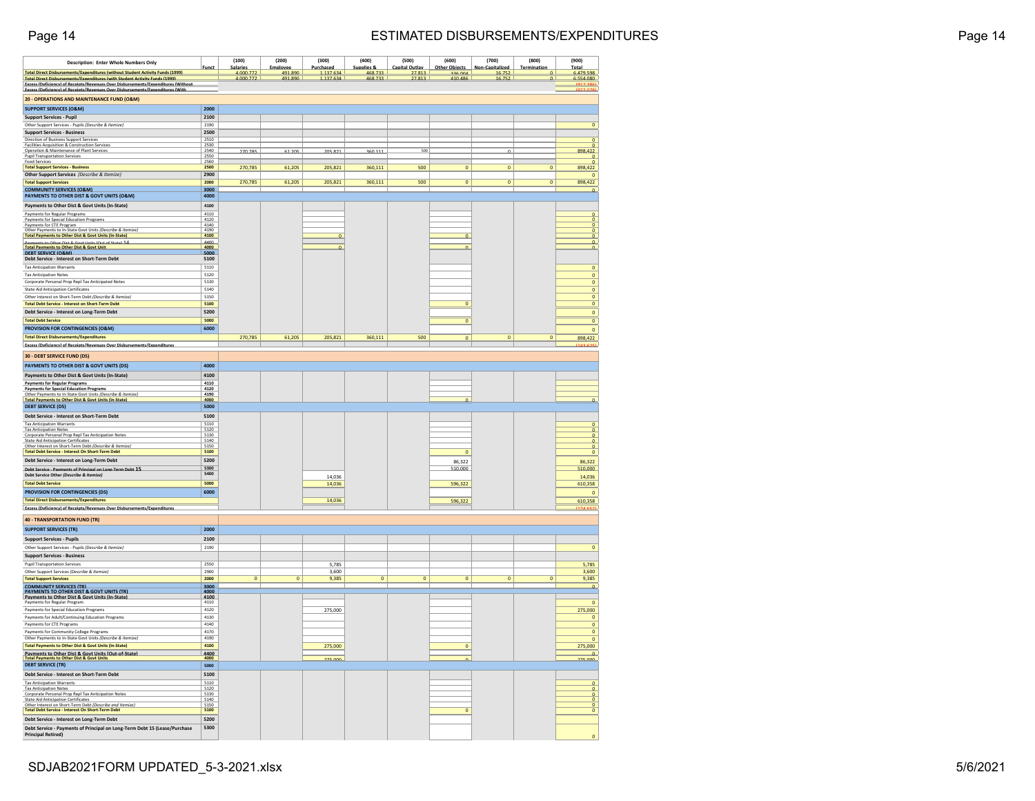## Page 14 **ESTIMATED DISBURSEMENTS/EXPENDITURES** Page 14

| <b>Description: Enter Whole Numbers Only</b>                                                                                                                  | Funct        | (100)<br><b>Salaries</b> | (200)<br><b>Employee</b> | (300)<br>Purchased | (400)<br><b>Supplies &amp;</b> | (500)<br><b>Capital Outlav</b> | (600)<br><b>Other Objects</b> | (700)<br>Non-Capitalized | (800)<br>Termination | (900)<br><b>Total</b>        |
|---------------------------------------------------------------------------------------------------------------------------------------------------------------|--------------|--------------------------|--------------------------|--------------------|--------------------------------|--------------------------------|-------------------------------|--------------------------|----------------------|------------------------------|
| Total Direct Disbursements/Expenditures (without Student Activity Funds (1999)<br>Total Direct Disbursements/Expenditures (with Student Activity Funds (1999) |              | 4 000 772                | 491 890                  | 1 137 634          | 468.733                        | 27.813                         | 226.004                       | 16.752                   | -0.                  | 6.479.598<br>6.554.080       |
| Fxcess (Deficiency) of Receints/Revenues Over Dishursements/Fxnenditures (Without                                                                             |              | 4.000.772                | <b>491 890</b>           | 1137634            | 468 733                        | 27 812                         | 410.486                       | 16.752                   | Ω.                   | (017.396                     |
| Evrace (Dafiriancul of Barainte/Bauanuae Quar Dichurea<br>ante/Funanditurae (With                                                                             |              |                          |                          |                    |                                |                                |                               |                          |                      | 1022.079                     |
| 20 - OPERATIONS AND MAINTENANCE FUND (O&M)                                                                                                                    |              |                          |                          |                    |                                |                                |                               |                          |                      |                              |
| <b>SUPPORT SERVICES (O&amp;M)</b>                                                                                                                             | 2000         |                          |                          |                    |                                |                                |                               |                          |                      |                              |
| <b>Support Services - Pupil</b><br>Other Support Services - Pupils (Describe & Itemize)                                                                       | 2100<br>2190 |                          |                          |                    |                                |                                |                               |                          |                      | O                            |
| <b>Support Services - Business</b>                                                                                                                            | 2500         |                          |                          |                    |                                |                                |                               |                          |                      |                              |
| Direction of Business Support Services                                                                                                                        | 2510         |                          |                          |                    |                                |                                |                               |                          |                      | $\Omega$                     |
| Facilities Acquisition & Construction Services<br>Operation & Maintenance of Plant Services                                                                   | 2530<br>2540 | 270.785                  | 61.205                   | 205.821            | 360 111                        | 500                            |                               | $\mathbf{v}$             |                      | $\circ$<br>898.422           |
| <b>Pupil Transportation Services</b><br>Food Services                                                                                                         | 2550<br>2560 |                          |                          |                    |                                |                                |                               |                          |                      | $\Omega$                     |
| <b>Total Support Services - Business</b>                                                                                                                      | 2500         | 270.785                  | 61,205                   | 205,821            | 360.111                        | 500                            | $\mathbf{0}$                  | $\mathbf{0}$             | $\mathbf{0}$         | 898,422                      |
| Other Support Services (Describe & Itemize)<br><b>Total Support Services</b>                                                                                  | 2900<br>2000 | 270,785                  | 61,205                   | 205,821            | 360,111                        | 500                            | $\pmb{0}$                     | $\pmb{0}$                | $\bf{0}$             | $\mathbf{0}$<br>898,422      |
| <b>COMMUNITY SERVICES (O&amp;M)</b>                                                                                                                           | 3000         |                          |                          |                    |                                |                                |                               |                          |                      | Ω                            |
| PAYMENTS TO OTHER DIST & GOVT UNITS (O&M)                                                                                                                     | 4000         |                          |                          |                    |                                |                                |                               |                          |                      |                              |
| Payments to Other Dist & Govt Units (In-State)                                                                                                                | 4100         |                          |                          |                    |                                |                                |                               |                          |                      |                              |
| Payments for Regular Programs<br>Payments for Special Education Programs                                                                                      | 4110<br>4120 |                          |                          |                    |                                |                                |                               |                          |                      | $\Omega$<br>0                |
| Payments for CTE Program                                                                                                                                      | 4140<br>4190 |                          |                          |                    |                                |                                |                               |                          |                      | $\bf{0}$                     |
| Other Payments to In-State Govt Units (Describe & Itemize)<br><b>Total Payments to Other Dist &amp; Govt Units (In-State)</b>                                 | 4100         |                          |                          | $\Omega$           |                                |                                | $\Omega$                      |                          |                      | $\overline{0}$<br>0          |
| te to Other Dist & Gout Linite (Out of State) 14<br>Total Payments to Other Dist & Govt Unit                                                                  | 4400<br>4000 |                          |                          | $\mathbf{0}$       |                                |                                | Ω.                            |                          |                      | $\Omega$<br>$\Omega$         |
| DERT SERVICE (O&M)                                                                                                                                            | 5000         |                          |                          |                    |                                |                                |                               |                          |                      |                              |
| Debt Service - Interest on Short-Term Debt<br><b>Tax Anticipation Warrants</b>                                                                                | 5100<br>5110 |                          |                          |                    |                                |                                |                               |                          |                      |                              |
| <b>Tax Anticipation Notes</b>                                                                                                                                 | 5120         |                          |                          |                    |                                |                                |                               |                          |                      | $\mathbf{0}$<br>0            |
| Corporate Personal Prop Repl Tax Anticipated Notes                                                                                                            | 5130         |                          |                          |                    |                                |                                |                               |                          |                      | $\pmb{0}$                    |
| <b>State Aid Anticipation Certificates</b>                                                                                                                    | 5140         |                          |                          |                    |                                |                                |                               |                          |                      | 0                            |
| Other Interest on Short-Term Debt (Describe & Itemize)<br><b>Total Debt Service - Interest on Short-Term Debt</b>                                             | 5150<br>5100 |                          |                          |                    |                                |                                | $\pmb{0}$                     |                          |                      | $\overline{0}$<br>$\pmb{0}$  |
| Debt Service - Interest on Long-Term Debt                                                                                                                     | 5200         |                          |                          |                    |                                |                                |                               |                          |                      | $\mathbf 0$                  |
| <b>Total Debt Service</b>                                                                                                                                     | 5000         |                          |                          |                    |                                |                                | $\bf{0}$                      |                          |                      | $\bf{0}$                     |
| PROVISION FOR CONTINGENCIES (O&M)                                                                                                                             | 6000         |                          |                          |                    |                                |                                |                               |                          |                      | $\pmb{0}$                    |
| <b>Total Direct Disbursements/Expenditures</b>                                                                                                                |              | 270,785                  | 61,205                   | 205,821            | 360,111                        | 500                            | $\mathbf{0}$                  | $\mathbf 0$              | $\mathbf 0$          | 898,422                      |
| Excess (Deficiency) of Receipts/Revenues Over Disbursements/Expenditures                                                                                      |              |                          |                          |                    |                                |                                |                               |                          |                      |                              |
| <b>30 - DEBT SERVICE FUND (DS)</b>                                                                                                                            |              |                          |                          |                    |                                |                                |                               |                          |                      |                              |
| PAYMENTS TO OTHER DIST & GOVT UNITS (DS)                                                                                                                      | 4000         |                          |                          |                    |                                |                                |                               |                          |                      |                              |
| Payments to Other Dist & Govt Units (In-State)                                                                                                                | 4100         |                          |                          |                    |                                |                                |                               |                          |                      |                              |
| <b>Payments for Regular Programs</b><br><b>Payments for Special Education Programs</b>                                                                        | 4110<br>4120 |                          |                          |                    |                                |                                |                               |                          |                      |                              |
| Other Payments to In-State Govt Units (Describe & Itemize)                                                                                                    | 4190         |                          |                          |                    |                                |                                |                               |                          |                      |                              |
| Total Payments to Other Dist & Govt Units (In-State)<br><b>DEBT SERVICE (DS)</b>                                                                              | 4000<br>5000 |                          |                          |                    |                                |                                |                               |                          |                      |                              |
| Debt Service - Interest on Short-Term Debt                                                                                                                    | 5100         |                          |                          |                    |                                |                                |                               |                          |                      |                              |
| <b>Tax Anticipation Warrants</b>                                                                                                                              | 5110         |                          |                          |                    |                                |                                |                               |                          |                      | $\Omega$                     |
| <b>Tax Anticipation Notes</b><br>Corporate Personal Prop Repl Tax Anticipation Notes                                                                          | 5120<br>5130 |                          |                          |                    |                                |                                |                               |                          |                      | $\mathbf{0}$<br>$\mathbf{0}$ |
| <b>State Aid Anticipation Certificates</b><br>Other Interest on Short-Term Debt (Describe & Itemize)                                                          | 5140<br>5150 |                          |                          |                    |                                |                                |                               |                          |                      | $\mathbf{0}$<br>$\mathbf{0}$ |
| <b>Total Debt Service - Interest On Short-Term Debt</b>                                                                                                       | 5100         |                          |                          |                    |                                |                                | $\overline{0}$                |                          |                      | $\mathbf{0}$                 |
| Debt Service - Interest on Long-Term Debt                                                                                                                     | 5200         |                          |                          |                    |                                |                                | 86,322                        |                          |                      | 86,322                       |
| Deht Service - Payments of Princinal on Long-Term Deht 15<br>Debt Service Other (Describe & Itemize)                                                          | 5300<br>5400 |                          |                          |                    |                                |                                | 510.000                       |                          |                      | 510.000                      |
| <b>Total Debt Service</b>                                                                                                                                     | 5000         |                          |                          | 14,036<br>14,036   |                                |                                | 596,322                       |                          |                      | 14,036<br>610,358            |
| PROVISION FOR CONTINGENCIES (DS)                                                                                                                              | 6000         |                          |                          |                    |                                |                                |                               |                          |                      | $\mathbf{0}$                 |
| <b>Total Direct Disbursements/Expenditures</b>                                                                                                                |              |                          |                          | 14,036             |                                |                                | 596,322                       |                          |                      | 610,358                      |
| Excess (Deficiency) of Receipts/Revenues Over Disbursements/Expenditures                                                                                      |              |                          |                          |                    |                                |                                |                               |                          |                      | 11.74                        |
| 40 - TRANSPORTATION FUND (TR)                                                                                                                                 |              |                          |                          |                    |                                |                                |                               |                          |                      |                              |
| <b>SUPPORT SERVICES (TR)</b>                                                                                                                                  | 2000         |                          |                          |                    |                                |                                |                               |                          |                      |                              |
| <b>Support Services - Pupils</b>                                                                                                                              | 2100         |                          |                          |                    |                                |                                |                               |                          |                      |                              |
| Other Support Services - Pupils (Describe & Itemize)                                                                                                          | 2190         |                          |                          |                    |                                |                                |                               |                          |                      | $\mathbf{0}$                 |
| <b>Support Services - Business</b>                                                                                                                            |              |                          |                          |                    |                                |                                |                               |                          |                      |                              |
| <b>Pupil Transportation Services</b>                                                                                                                          | 2550         |                          |                          | 5,785              |                                |                                |                               |                          |                      | 5,785                        |
| Other Support Services (Describe & Itemize)                                                                                                                   | 2900<br>2000 |                          |                          | 3,600              |                                |                                |                               |                          | $\bf{0}$             | 3,600                        |
| <b>Total Support Services</b><br><b>COMMUNITY SERVICES (TR)</b>                                                                                               | 3000         | $\pmb{0}$                | $\mathbf 0$              | 9,385              | $\pmb{0}$                      | $\pmb{0}$                      | $\bf{0}$                      | $\pmb{0}$                |                      | 9,385<br>$\Omega$            |
| PAYMENTS TO OTHER DIST & GOVT UNITS (TR)                                                                                                                      | 4000<br>4100 |                          |                          |                    |                                |                                |                               |                          |                      |                              |
| Payments to Other Dist & Govt Units (In-State)<br>Payments for Regular Program                                                                                | 4110         |                          |                          |                    |                                |                                |                               |                          |                      | $\mathbf{0}$                 |
| Payments for Special Education Programs                                                                                                                       | 4120         |                          |                          | 275,000            |                                |                                |                               |                          |                      | 275,000                      |
| Payments for Adult/Continuing Education Programs<br>Payments for CTE Programs                                                                                 | 4130<br>4140 |                          |                          |                    |                                |                                |                               |                          |                      | 0<br>$\overline{0}$          |
| Payments for Community College Programs                                                                                                                       | 4170         |                          |                          |                    |                                |                                |                               |                          |                      | $\pmb{0}$                    |
| Other Payments to In-State Govt Units (Describe & Itemize)                                                                                                    | 4190         |                          |                          |                    |                                |                                |                               |                          |                      | $\pmb{0}$                    |
| <b>Total Payments to Other Dist &amp; Govt Units (In-State)</b><br>Payments to Other Dist & Govt Units (Out-of-State)                                         | 4100<br>4400 |                          |                          | 275,000            |                                |                                | $\mathbf{0}$                  |                          |                      | 275,000                      |
| <b>Total Payments to Other Dist &amp; Govt Units</b>                                                                                                          | 4000         |                          |                          | 275,000            |                                |                                | $\Omega$                      |                          |                      | $\mathbf{a}$<br>275,000      |
| <b>DEBT SERVICE (TR)</b>                                                                                                                                      | 5000         |                          |                          |                    |                                |                                |                               |                          |                      |                              |
| Debt Service - Interest on Short-Term Debt                                                                                                                    | 5100         |                          |                          |                    |                                |                                |                               |                          |                      |                              |
| <b>Tax Anticipation Warrants</b><br><b>Tax Anticipation Notes</b>                                                                                             | 5110<br>5120 |                          |                          |                    |                                |                                |                               |                          |                      | $\Omega$<br>$\mathbf{0}$     |
| Corporate Personal Prop Repl Tax Anticipation Notes<br><b>State Aid Anticipation Certificates</b>                                                             | 5130<br>5140 |                          |                          |                    |                                |                                |                               |                          |                      | $\bf{0}$<br>0                |
| Other Interest on Short-Term Debt (Describe and Itemize)                                                                                                      | 5150         |                          |                          |                    |                                |                                |                               |                          |                      | $\Omega$                     |
| Total Debt Service - Interest On Short-Term Debt                                                                                                              | 5100<br>5200 |                          |                          |                    |                                |                                | $\mathbf{0}$                  |                          |                      | 0                            |
| Debt Service - Interest on Long-Term Debt<br>Debt Service - Payments of Principal on Long-Term Debt 15 (Lease/Purchase                                        | 5300         |                          |                          |                    |                                |                                |                               |                          |                      |                              |
| <b>Principal Retired)</b>                                                                                                                                     |              |                          |                          |                    |                                |                                |                               |                          |                      | $\overline{0}$               |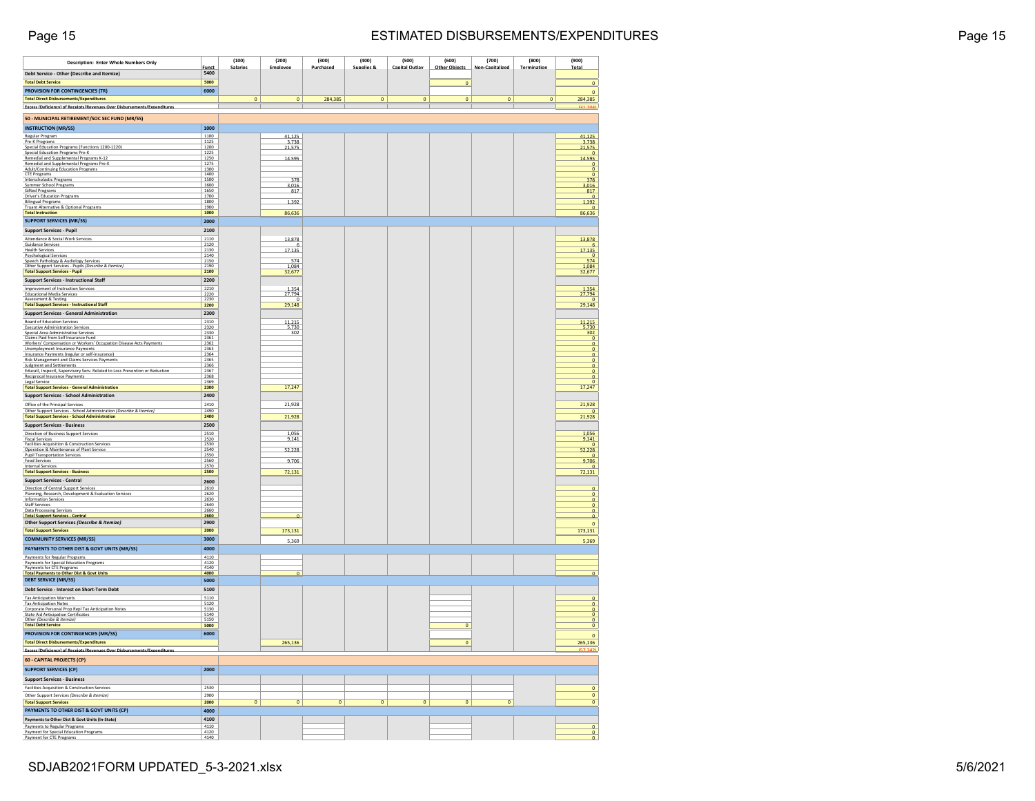| <b>Description: Enter Whole Numbers Only</b>                                                                                                           | Func                        | (100)<br><b>Salaries</b> | (200)<br>Emplovee  | (300)<br>Purchased | (400)<br><b>Supplies &amp;</b> | (500)<br><b>Capital Outlav</b> | (600)<br><b>Other Obiects</b> | (700)<br>Non-Capitalized | (800)<br>Termination | (900)<br><b>Total</b>                      |
|--------------------------------------------------------------------------------------------------------------------------------------------------------|-----------------------------|--------------------------|--------------------|--------------------|--------------------------------|--------------------------------|-------------------------------|--------------------------|----------------------|--------------------------------------------|
| Debt Service - Other (Describe and Itemize)                                                                                                            | 5400                        |                          |                    |                    |                                |                                |                               |                          |                      |                                            |
| <b>Total Debt Service</b>                                                                                                                              | 5000                        |                          |                    |                    |                                |                                | $\mathbf 0$                   |                          |                      | $\mathbf 0$                                |
| <b>PROVISION FOR CONTINGENCIES (TR)</b><br><b>Total Direct Disbursements/Expenditures</b>                                                              | 6000                        | $\mathbf{0}$             | $\pmb{0}$          | 284,385            | $\mathbf{0}$                   | $\pmb{\mathsf{o}}$             | $\overline{0}$                | $\overline{0}$           | $\pmb{0}$            | $\overline{0}$<br>284.385                  |
| <b>Excess (Deficiency) of Receints/Revenues Over Dishursements/Exnenditures</b>                                                                        |                             |                          |                    |                    |                                |                                |                               |                          |                      | 121,2041                                   |
| 50 - MUNICIPAL RETIREMENT/SOC SEC FUND (MR/SS)                                                                                                         |                             |                          |                    |                    |                                |                                |                               |                          |                      |                                            |
| <b>INSTRUCTION (MR/SS)</b>                                                                                                                             | 1000                        |                          |                    |                    |                                |                                |                               |                          |                      |                                            |
| <b>Regular Program</b><br>Pre-K Programs                                                                                                               | 1100                        |                          | 41,125             |                    |                                |                                |                               |                          |                      | 41,125                                     |
| Special Education Programs (Functions 1200-1220)                                                                                                       | 1125<br>1200                |                          | 3.738<br>21.575    |                    |                                |                                |                               |                          |                      | 3.738<br>21.575                            |
| Special Education Programs Pre-K                                                                                                                       | 1225<br>1250                |                          | 14.595             |                    |                                |                                |                               |                          |                      | $\overline{0}$<br>14.595                   |
| <b>Remedial and Supplemental Programs K-12</b><br>Remedial and Supplemental Programs Pre-K                                                             | 1275<br>1300                |                          |                    |                    |                                |                                |                               |                          |                      | $\overline{\phantom{0}}$<br>$\overline{0}$ |
| <b>Adult/Continuing Education Programs</b><br>CTE Programs<br>Interscholastic Programs                                                                 | 1400                        |                          |                    |                    |                                |                                |                               |                          |                      |                                            |
| Summer School Programs<br>Gifted Programs                                                                                                              | 1500<br>1600                |                          | 378<br>3.016       |                    |                                |                                |                               |                          |                      | 378<br>3.016                               |
| Driver's Education Programs                                                                                                                            | 1650<br>1700                |                          | 817                |                    |                                |                                |                               |                          |                      | 817<br>$\Omega$                            |
| <b>Example Programs</b><br><b>Bilingual Programs</b><br>Truant Alternative & Optional Programs<br><b>Total Instruction</b>                             | 1800<br>1900                |                          | 1.392              |                    |                                |                                |                               |                          |                      | 1.392<br>$\overline{0}$                    |
|                                                                                                                                                        | 1000                        |                          | 86,636             |                    |                                |                                |                               |                          |                      | 86,636                                     |
| <b>SUPPORT SERVICES (MR/SS)</b>                                                                                                                        | 2000                        |                          |                    |                    |                                |                                |                               |                          |                      |                                            |
| <b>Support Services - Pupil</b>                                                                                                                        | 2100                        |                          |                    |                    |                                |                                |                               |                          |                      |                                            |
| Attendance & Social Work Services<br><b>Guidance Services</b><br>Health Services                                                                       | 2110<br>2120                |                          | 13.878             |                    |                                |                                |                               |                          |                      | 13.878<br>6                                |
| Psychological Services                                                                                                                                 | 2130<br>2140                |                          | 17.135             |                    |                                |                                |                               |                          |                      | 17.135<br>$\overline{0}$                   |
| -<br><b>Speech Pathology &amp; Audiology Services</b><br>Other Support Services - Pupils (Describe & Itemize)<br><b>Total Support Services - Pupil</b> | 2150<br>2190                |                          | 574<br>1,084       |                    |                                |                                |                               |                          |                      | 574<br>1,084                               |
|                                                                                                                                                        | 2100                        |                          | 32.677             |                    |                                |                                |                               |                          |                      | 32.677                                     |
| <b>Support Services - Instructional Staff</b>                                                                                                          | 2200                        |                          |                    |                    |                                |                                |                               |                          |                      |                                            |
| Improvement of Instruction Services<br><b>Educational Media Services</b>                                                                               | 2210<br>2220                |                          | 1.354<br>27,794    |                    |                                |                                |                               |                          |                      | 1.354<br>27.794                            |
| <b>Assessment &amp; Testing<br/> Total Support Services - Instructional Staff</b>                                                                      | 2230<br>2200                |                          | $\Omega$<br>29,148 |                    |                                |                                |                               |                          |                      | 29,148                                     |
| <b>Support Services - General Administration</b>                                                                                                       | 2300                        |                          |                    |                    |                                |                                |                               |                          |                      |                                            |
| <b>Board of Education Services</b>                                                                                                                     | 2310                        |                          | 11.215             |                    |                                |                                |                               |                          |                      | 11.215                                     |
| Executive Administration Services<br>Special Area Administrative Services                                                                              | 2320<br>2330                |                          | 5.730<br>302       |                    |                                |                                |                               |                          |                      | 5.730<br>302                               |
| Claims Paid from Self Insurance Fund<br>Workers' Compensation or Workers' Occupation Disease Acts Payments                                             | 2361<br>2362                |                          |                    |                    |                                |                                |                               |                          |                      | $\frac{1}{2}$                              |
| Unemployment Insurance Payments                                                                                                                        | 2363<br>2364                |                          |                    |                    |                                |                                |                               |                          |                      | $\overline{0}$<br>$\overline{0}$           |
| Insurance Payments (regular or self-insurance)<br>Risk Management and Claims Services Payments                                                         | 2365                        |                          |                    |                    |                                |                                |                               |                          |                      | $\mathbf{0}$                               |
| Judgment and Settlements<br>Educatl, Inspectl, Supervisory Serv. Related to Loss Prevention or Reduction<br>Reciprocal Insurance Payments              | 2366<br>$\frac{2367}{2368}$ |                          |                    |                    |                                |                                |                               |                          |                      | $\overline{0}$<br>$\Omega$                 |
|                                                                                                                                                        |                             |                          |                    |                    |                                |                                |                               |                          |                      | $\overline{0}$                             |
| Legal Service<br>Total Support Services - General Administration                                                                                       | 2369<br>2300                |                          | 17,247             |                    |                                |                                |                               |                          |                      | $\frac{0}{17,247}$                         |
| <b>Support Services - School Administration</b>                                                                                                        | 2400                        |                          |                    |                    |                                |                                |                               |                          |                      |                                            |
| Office of the Principal Services                                                                                                                       | 2410<br>2490                |                          | 21,928             |                    |                                |                                |                               |                          |                      | 21,928<br>$\Omega$                         |
| Other Support Services - School Administration (Describe & Itemize)<br>Total Support Services - School Administration                                  | 2400                        |                          | 21,928             |                    |                                |                                |                               |                          |                      | 21,928                                     |
| <b>Support Services - Business</b>                                                                                                                     | 2500                        |                          |                    |                    |                                |                                |                               |                          |                      |                                            |
| Direction of Business Support Services                                                                                                                 | 2510                        |                          | 1.056<br>9.141     |                    |                                |                                |                               |                          |                      | 1.056<br>9.141                             |
| Fiscal Services<br>Facilities Acquisition & Construction Services<br>Operation & Maintenance of Plant Service                                          | $\frac{2520}{2530}$<br>2540 |                          | 52.228             |                    |                                |                                |                               |                          |                      | $\overline{0}$<br>52.228                   |
| <b>Pupil Transportation Services</b>                                                                                                                   | 2550                        |                          |                    |                    |                                |                                |                               |                          |                      | $\mathbf{0}$                               |
| Food Services<br>Internal Services<br>Total Support Services - Business                                                                                | 2560<br>2570                |                          | 9.706              |                    |                                |                                |                               |                          |                      | 9.706<br>$\sqrt{2}$                        |
|                                                                                                                                                        |                             |                          | 72,131             |                    |                                |                                |                               |                          |                      | 72,131                                     |
| <b>Support Services - Central</b><br>Direction of Central Support Services                                                                             | 2600<br>2610                |                          |                    |                    |                                |                                |                               |                          |                      | $\Omega$                                   |
| Planning, Research, Development & Evaluation Services                                                                                                  | 2620                        |                          |                    |                    |                                |                                |                               |                          |                      | $\overline{0}$                             |
| <b>Information Services</b><br>Staff Services<br>Data Processing Services                                                                              | 2630<br>2640                |                          |                    |                    |                                |                                |                               |                          |                      | $\overline{0}$<br>$\frac{0}{0}$            |
| <b>Total Support Services - Central</b>                                                                                                                | 2660<br>2600                |                          | $\Omega$           |                    |                                |                                |                               |                          |                      | $\Omega$                                   |
| Other Support Services (Describe & Itemize)                                                                                                            | 2900                        |                          |                    |                    |                                |                                |                               |                          |                      | $\pmb{0}$                                  |
| <b>Total Support Services</b>                                                                                                                          | 2000                        |                          | 173,131            |                    |                                |                                |                               |                          |                      | 173,131                                    |
| <b>COMMUNITY SERVICES (MR/SS)</b>                                                                                                                      | 3000                        |                          | 5.369              |                    |                                |                                |                               |                          |                      | 5,369                                      |
| PAYMENTS TO OTHER DIST & GOVT UNITS (MR/SS)<br>Payments for Regular Programs                                                                           | 4000<br>4110                |                          |                    |                    |                                |                                |                               |                          |                      |                                            |
| Payments for Special Education Programs                                                                                                                | 4120                        |                          |                    |                    |                                |                                |                               |                          |                      |                                            |
| Payments for CTE Programs<br><b>Total Payments to Other Dist &amp; Govt Units</b>                                                                      | 4140<br>4000                |                          | $\Omega$           |                    |                                |                                |                               |                          |                      | $\mathfrak{a}$                             |
| <b>DEBT SERVICE (MR/SS)</b>                                                                                                                            | 5000                        |                          |                    |                    |                                |                                |                               |                          |                      |                                            |
| Debt Service - Interest on Short-Term Debt                                                                                                             | 5100                        |                          |                    |                    |                                |                                |                               |                          |                      |                                            |
| <b>Tax Anticipation Warrants</b><br>Tax Anticipation Woman<br>Tax Anticipation Notes<br>Corporate Personal Prop Repl Tax Anticipation Notes            | 5110<br>5120                |                          |                    |                    |                                |                                |                               |                          |                      | $\begin{smallmatrix}0\\0\end{smallmatrix}$ |
|                                                                                                                                                        | 5130<br>5140                |                          |                    |                    |                                |                                |                               |                          |                      | $\mathbf{0}$                               |
| State Aid Anticipation Certificates<br>Other (Describe & Itemize)<br><b>Total Debt Service</b>                                                         | 5150<br>5000                |                          |                    |                    |                                |                                | $\circ$                       |                          |                      | $\frac{1}{2}$                              |
| PROVISION FOR CONTINGENCIES (MR/SS)                                                                                                                    | 6000                        |                          |                    |                    |                                |                                |                               |                          |                      | $\pmb{\mathsf{o}}$                         |
| <b>Total Direct Disbursements/Expenditures</b>                                                                                                         |                             |                          | 265,136            |                    |                                |                                | $\mathbf{0}$                  |                          |                      | 265,136                                    |
| Excess (Deficiency) of Receipts/Revenues Over Disbursements/Expenditures                                                                               |                             |                          |                    |                    |                                |                                |                               |                          |                      | 157, 2421                                  |
| <b>60 - CAPITAL PROJECTS (CP)</b>                                                                                                                      |                             |                          |                    |                    |                                |                                |                               |                          |                      |                                            |
| <b>SUPPORT SERVICES (CP)</b>                                                                                                                           | 2000                        |                          |                    |                    |                                |                                |                               |                          |                      |                                            |
| <b>Support Services - Business</b>                                                                                                                     |                             |                          |                    |                    |                                |                                |                               |                          |                      |                                            |
| Facilities Acquisition & Construction Services                                                                                                         | 2530                        |                          |                    |                    |                                |                                |                               |                          |                      | $\pmb{0}$                                  |
| Other Support Services (Describe & Itemize)<br><b>Total Support Services</b>                                                                           | 2900<br>2000                | $\overline{0}$           | $\pmb{0}$          | $\pmb{0}$          | $\overline{0}$                 | $\mathbf 0$                    | $\pmb{0}$                     | $\pmb{0}$                |                      | $\pmb{0}$<br>$\pmb{\mathsf{0}}$            |
| PAYMENTS TO OTHER DIST & GOVT UNITS (CP)                                                                                                               | 4000                        |                          |                    |                    |                                |                                |                               |                          |                      |                                            |
| Payments to Other Dist & Govt Units (In-State)                                                                                                         | 4100                        |                          |                    |                    |                                |                                |                               |                          |                      |                                            |
| Payments to Regular Programs                                                                                                                           | 4110                        |                          |                    |                    |                                |                                |                               |                          |                      | $\overline{\mathbf{0}}$                    |
| Payment for Special Education Programs<br>Payment for CTE Programs                                                                                     | 4120<br>4140                |                          |                    |                    |                                |                                |                               |                          |                      | $\circ$<br>$\overline{0}$                  |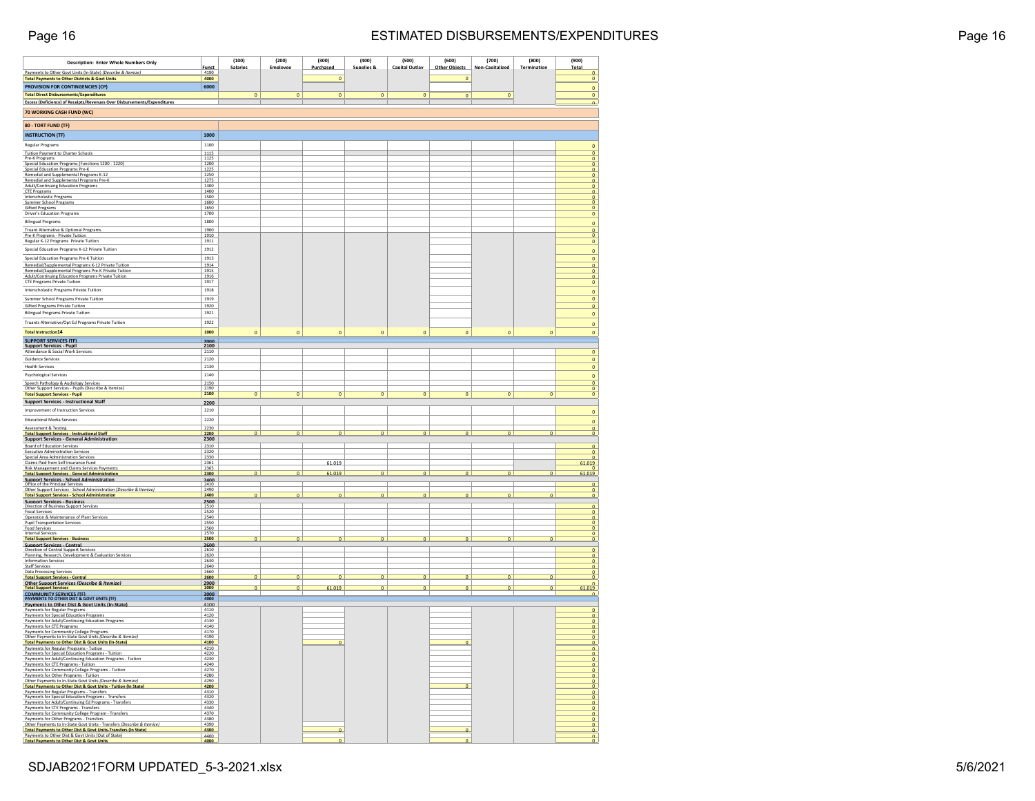## Page 16 **ESTIMATED DISBURSEMENTS/EXPENDITURES** Page 16

| <b>Description: Enter Whole Numbers Only</b>                                                                                 |                      | (100)           | (200)           | (300)        | (400)                 | (500)                 | (600)                | (700)           | (800)              | (900)                             |
|------------------------------------------------------------------------------------------------------------------------------|----------------------|-----------------|-----------------|--------------|-----------------------|-----------------------|----------------------|-----------------|--------------------|-----------------------------------|
| Payments to Other Govt Units (In-State) (Describe & Itemize)                                                                 | <b>Funct</b><br>4190 | <b>Salaries</b> | <b>Employee</b> | Purchased    | <b>Supplies &amp;</b> | <b>Capital Outlav</b> | <b>Other Objects</b> | Non-Capitalized | <b>Termination</b> | <b>Total</b><br>$\Omega$          |
| <b>Total Payments to Other Districts &amp; Govt Units</b>                                                                    | 4000                 |                 |                 | $\pmb{0}$    |                       |                       | $\mathbf{0}$         |                 |                    | 0                                 |
| PROVISION FOR CONTINGENCIES (CP)                                                                                             | 6000                 |                 |                 |              |                       |                       |                      |                 |                    | $\mathbf 0$                       |
| <b>Total Direct Disbursements/Expenditures</b>                                                                               |                      | $\circ$         | $\bf{0}$        | $\mathbf{0}$ | $\circ$               | $\overline{0}$        | $\mathbf 0$          | $\bf{0}$        |                    | $\bf{0}$                          |
| <b>Excess (Deficiency) of Receipts/Revenues Over Disbursements/Expenditures</b>                                              |                      |                 |                 |              |                       |                       |                      |                 |                    | $\Omega$                          |
| 70 WORKING CASH FUND (WC)                                                                                                    |                      |                 |                 |              |                       |                       |                      |                 |                    |                                   |
| 80 - TORT FUND (TF)                                                                                                          |                      |                 |                 |              |                       |                       |                      |                 |                    |                                   |
| <b>INSTRUCTION (TF)</b>                                                                                                      |                      |                 |                 |              |                       |                       |                      |                 |                    |                                   |
|                                                                                                                              | 1000                 |                 |                 |              |                       |                       |                      |                 |                    |                                   |
| Regular Programs                                                                                                             | 1100                 |                 |                 |              |                       |                       |                      |                 |                    | 0                                 |
| Tuition Payment to Charter Schools<br>Pre-K Programs                                                                         | 1115<br>1125         |                 |                 |              |                       |                       |                      |                 |                    | $\Omega$<br>$\mathbf{0}$          |
| Special Education Programs (Functions 1200 - 1220)                                                                           | 1200                 |                 |                 |              |                       |                       |                      |                 |                    |                                   |
| Special Education Programs Pre-K<br>Remedial and Supplemental Programs K-12                                                  | 1225<br>1250         |                 |                 |              |                       |                       |                      |                 |                    | $\mathbf 0$<br>$\mathbf{0}$       |
| Remedial and Supplemental Programs Pre-K                                                                                     | 1275                 |                 |                 |              |                       |                       |                      |                 |                    | $\mathbf{0}$                      |
| Adult/Continuing Education Programs<br><b>CTE Programs</b>                                                                   | 1300<br>1400         |                 |                 |              |                       |                       |                      |                 |                    | 0<br>$\overline{0}$               |
| Interscholastic Programs                                                                                                     | 1500                 |                 |                 |              |                       |                       |                      |                 |                    | $\Omega$                          |
| Summer School Programs<br><b>Gifted Programs</b>                                                                             | 1600<br>1650         |                 |                 |              |                       |                       |                      |                 |                    | $\Omega$<br>0                     |
| <b>Driver's Education Programs</b>                                                                                           | 1700                 |                 |                 |              |                       |                       |                      |                 |                    | $\bf{0}$                          |
| <b>Bilingual Programs</b>                                                                                                    | 1800                 |                 |                 |              |                       |                       |                      |                 |                    | $\mathbf 0$                       |
| Truant Alternative & Optional Programs                                                                                       | 1900                 |                 |                 |              |                       |                       |                      |                 |                    | $\mathbf{0}$                      |
| Pre-K Programs - Private Tuition<br>Regular K-12 Programs Private Tuition                                                    | 1910<br>1911         |                 |                 |              |                       |                       |                      |                 |                    | $\mathbf{0}$<br>$\mathbf 0$       |
| Special Education Programs K-12 Private Tuition                                                                              | 1912                 |                 |                 |              |                       |                       |                      |                 |                    |                                   |
|                                                                                                                              | 1913                 |                 |                 |              |                       |                       |                      |                 |                    | $\mathbf 0$                       |
| Special Education Programs Pre-K Tuition<br>Remedial/Supplemental Programs K-12 Private Tuition                              | 1914                 |                 |                 |              |                       |                       |                      |                 |                    | $\mathbf 0$<br>$\Omega$           |
| Remedial/Supplemental Programs Pre-K Private Tuition                                                                         | 1915                 |                 |                 |              |                       |                       |                      |                 |                    | $\Omega$                          |
| Adult/Continuing Education Programs Private Tuition                                                                          | 1916<br>1917         |                 |                 |              |                       |                       |                      |                 |                    | $\mathbf{0}$                      |
| <b>CTE Programs Private Tuition</b>                                                                                          | 1918                 |                 |                 |              |                       |                       |                      |                 |                    | $\bf{0}$                          |
| Interscholastic Programs Private Tuition                                                                                     |                      |                 |                 |              |                       |                       |                      |                 |                    | $\mathbf 0$                       |
| Summer School Programs Private Tuition<br><b>Gifted Programs Private Tuition</b>                                             | 1919<br>1920         |                 |                 |              |                       |                       |                      |                 |                    | $\pmb{0}$<br>$\mathbf 0$          |
| <b>Bilingual Programs Private Tuition</b>                                                                                    | 1921                 |                 |                 |              |                       |                       |                      |                 |                    | $\mathbf 0$                       |
| Truants Alternative/Opt Ed Programs Private Tuition                                                                          | 1922                 |                 |                 |              |                       |                       |                      |                 |                    |                                   |
|                                                                                                                              |                      |                 |                 |              |                       |                       |                      |                 |                    | $\mathbf{0}$                      |
| <b>Total Instruction14</b>                                                                                                   | 1000                 | $\Omega$        | $\bf{0}$        | $\pmb{0}$    | $\circ$               | $\overline{0}$        | $\mathbf{0}$         | $\mathbf{0}$    | $\mathbf{0}$       | $\mathbf 0$                       |
| <b>SUPPORT SERVICES (TF)</b><br><b>Support Services - Pupil</b>                                                              | 2000<br>2100         |                 |                 |              |                       |                       |                      |                 |                    |                                   |
| Attendance & Social Work Services                                                                                            | 2110                 |                 |                 |              |                       |                       |                      |                 |                    | $\mathbf{0}$                      |
| <b>Guidance Services</b>                                                                                                     | 2120                 |                 |                 |              |                       |                       |                      |                 |                    | $\mathbf{0}$                      |
| <b>Health Services</b>                                                                                                       | 2130                 |                 |                 |              |                       |                       |                      |                 |                    | $\mathbf 0$                       |
| Psychological Services                                                                                                       | 2140                 |                 |                 |              |                       |                       |                      |                 |                    | $\mathbf 0$                       |
| Speech Pathology & Audiology Services                                                                                        | 2150                 |                 |                 |              |                       |                       |                      |                 |                    | $\Omega$                          |
| Other Support Services - Pupils (Describe & Itemize)<br><b>Total Support Services - Pupil</b>                                | 2190<br>2100         | $\pmb{0}$       | $\mathbf 0$     | $\pmb{0}$    | $\pmb{0}$             | $\mathbf{0}$          | $\mathbf 0$          | $\mathbf 0$     | $\pmb{0}$          | 0<br>$\pmb{0}$                    |
| <b>Support Services - Instructional Staff</b>                                                                                | 2200                 |                 |                 |              |                       |                       |                      |                 |                    |                                   |
| Improvement of Instruction Services                                                                                          | 2210                 |                 |                 |              |                       |                       |                      |                 |                    |                                   |
| <b>Educational Media Services</b>                                                                                            | 2220                 |                 |                 |              |                       |                       |                      |                 |                    | $\bf{0}$                          |
| <b>Assessment &amp; Testing</b>                                                                                              | 2230                 |                 |                 |              |                       |                       |                      |                 |                    | $\pmb{0}$<br>$\mathbf{0}$         |
| <b>Total Support Services - Instructional Staff</b>                                                                          | 2200                 | $\Omega$        |                 | $\Omega$     |                       |                       |                      | $\Omega$        | $\Omega$           | ۵                                 |
| <b>Support Services - General Administration</b>                                                                             | 2300                 |                 |                 |              |                       |                       |                      |                 |                    |                                   |
| <b>Board of Education Services</b><br><b>Executive Administration Services</b>                                               | 2310<br>2320         |                 |                 |              |                       |                       |                      |                 |                    | $\Omega$<br>0                     |
| Special Area Administration Services                                                                                         | 2330                 |                 |                 |              |                       |                       |                      |                 |                    | $\Omega$                          |
| Claims Paid from Self Insurance Fund<br><b>Risk Management and Claims Services Payments</b>                                  | 2361<br>2365         |                 |                 | 61.019       |                       |                       |                      |                 |                    | 61.019                            |
| <b>Total Support Services - General Administration</b>                                                                       | 2300                 | $\Omega$        | $\Omega$        | 61.019       | $\Omega$              | $\Omega$              | $\Omega$             | $\Omega$        | $\Omega$           | 61.019                            |
| <b>Sunnort Services - School Administration</b><br>Office of the Principal Services                                          | 2400<br>2410         |                 |                 |              |                       |                       |                      |                 |                    | $\bf{0}$                          |
| Other Support Services - School Administration (Describe & Itemize)                                                          | 2490                 |                 |                 |              |                       |                       |                      |                 |                    |                                   |
| <b>Total Support Services - School Administration</b><br><b>Support Services - Business</b>                                  | 2400<br>2500         | $\Omega$        | $\Omega$        | $\Omega$     | $\Omega$              | $\mathbf{0}$          | $\Omega$             | $\Omega$        | $\mathbf{0}$       | $\Omega$                          |
| Direction of Business Support Services                                                                                       | 2510                 |                 |                 |              |                       |                       |                      |                 |                    | $\Omega$                          |
| <b>Fiscal Services</b><br>Operation & Maintenance of Plant Services                                                          | 2520<br>2540         |                 |                 |              |                       |                       |                      |                 |                    | 0<br>o                            |
| <b>Pupil Transportation Services</b>                                                                                         | 2550                 |                 |                 |              |                       |                       |                      |                 |                    | $\mathbf{0}$                      |
| <b>Food Services</b><br><b>Internal Services</b>                                                                             | 2560<br>2570         |                 |                 |              |                       |                       |                      |                 |                    | $\circ$<br>$\overline{0}$         |
| <b>Total Support Services - Business</b>                                                                                     | 2500                 | $\Omega$        | $\Omega$        | $\Omega$     | $\Omega$              | $\mathbf{0}$          | $\Omega$             | $\mathbf{0}$    | $\mathbf{0}$       | $\Omega$                          |
| <b>Support Services - Central</b><br>Direction of Central Support Services                                                   | 2600<br>2610         |                 |                 |              |                       |                       |                      |                 |                    | $\Omega$                          |
| Planning, Research, Development & Evaluation Services                                                                        | 2620                 |                 |                 |              |                       |                       |                      |                 |                    | $\Omega$                          |
| <b>Information Services</b><br>Staff Services                                                                                | 2630<br>2640         |                 |                 |              |                       |                       |                      |                 |                    | ٥                                 |
| <b>Data Processing Services</b>                                                                                              | 2660                 |                 |                 |              |                       |                       |                      |                 |                    | 0<br>$\overline{0}$               |
| <b>Total Support Services - Central</b><br>Other Support Services (Describe & Itemize)                                       | 2600                 | $\Omega$        | $\Omega$        | $\Omega$     | $\Omega$              | $\Omega$              | $\Omega$             | $\Omega$        | $\mathbf{0}$       | $\Omega$                          |
| <b>Total Support Services</b>                                                                                                | 2900<br>2000         | $\mathbf{0}$    | $\mathbf{0}$    | 61.019       | $\mathbf{0}$          | $\Omega$              | $\Omega$             | $\mathbf{0}$    | $\Omega$           | $\Omega$<br>61.019                |
| <b>COMMUNITY SERVICES (TF)</b>                                                                                               | 3000<br>4000         |                 |                 |              |                       |                       |                      |                 |                    | $\mathbf{a}$                      |
| PAYMENTS TO OTHER DIST & GOVT UNITS (TF)<br>Payments to Other Dist & Govt Units (In-State)                                   | 4100                 |                 |                 |              |                       |                       |                      |                 |                    |                                   |
| Payments for Regular Programs<br>Payments for Special Education Programs                                                     | 4110<br>4120         |                 |                 |              |                       |                       |                      |                 |                    | $\mathbf{0}$<br>o                 |
| Payments for Adult/Continuing Education Programs                                                                             | 4130                 |                 |                 |              |                       |                       |                      |                 |                    | $\mathbf{0}$                      |
| Payments for CTE Programs<br>Payments for Community College Programs                                                         | 4140<br>4170         |                 |                 |              |                       |                       |                      |                 |                    | $\mathbf{0}$<br>$\mathbf{0}$      |
| Other Payments to In-State Govt Units (Describe & Itemize)                                                                   | 4190                 |                 |                 |              |                       |                       |                      |                 |                    | $\Omega$                          |
| Total Payments to Other Dist & Govt Units (In-State)                                                                         | 4100<br>4210         |                 |                 |              |                       |                       |                      |                 |                    |                                   |
| Payments for Regular Programs - Tuition<br>Payments for Special Education Programs - Tuition                                 | 4220                 |                 |                 |              |                       |                       |                      |                 |                    | $\Omega$<br>$\Omega$              |
| Payments for Adult/Continuing Education Programs - Tuition                                                                   | 4230<br>4240         |                 |                 |              |                       |                       |                      |                 |                    | $\mathbf{0}$                      |
| Payments for CTE Programs - Tuition<br>Payments for Community College Programs - Tuition                                     | 4270                 |                 |                 |              |                       |                       |                      |                 |                    | $\mathbf{0}$<br>$\overline{0}$    |
| Payments for Other Programs - Tuition                                                                                        | 4280                 |                 |                 |              |                       |                       |                      |                 |                    | $\mathbf{0}$                      |
| Other Payments to In-State Govt Units (Describe & Itemize)<br>Total Payments to Other Dist & Govt Units - Tuition (In State) | 4290<br>4200         |                 |                 |              |                       |                       | Ω                    |                 |                    | $\Omega$<br>$\boldsymbol{\Omega}$ |
| Payments for Regular Programs - Transfers                                                                                    | 4310                 |                 |                 |              |                       |                       |                      |                 |                    | $\Omega$                          |
| Payments for Special Education Programs - Transfers<br>Payments for Adult/Continuing Ed Programs - Transfers                 | 4320<br>4330         |                 |                 |              |                       |                       |                      |                 |                    | $\Omega$<br>$\circ$               |
| Payments for CTE Programs - Transfers                                                                                        | 4340                 |                 |                 |              |                       |                       |                      |                 |                    | $\mathbf{0}$                      |
| Payments for Community College Program - Transfers                                                                           | 4370<br>4380         |                 |                 |              |                       |                       |                      |                 |                    | 0<br>$\overline{0}$               |
| Payments for Other Programs - Transfers<br>Other Payments to In-State Govt Units - Transfers (Describe & Itemize)            | 4390                 |                 |                 |              |                       |                       |                      |                 |                    | $\mathbf{0}$                      |
| Total Payments to Other Dist & Govt Units-Transfers (In State)<br>Payments to Other Dist & Govt Units (Out of State)         | 4300<br>4400         |                 |                 | $\Omega$     |                       |                       | $\Omega$             |                 |                    | $\Omega$<br>$\Omega$              |
| <b>Total Payments to Other Dist &amp; Govt Units</b>                                                                         | 4000                 |                 |                 |              |                       |                       |                      |                 |                    |                                   |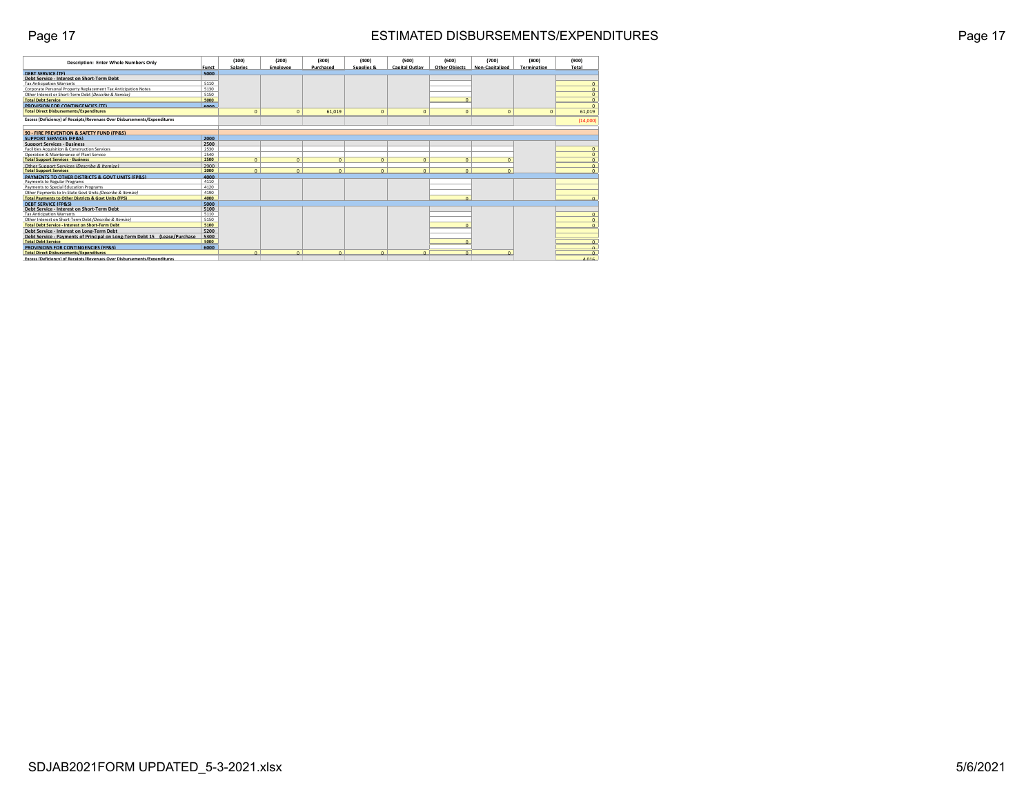## Page 17 **ESTIMATED DISBURSEMENTS/EXPENDITURES** Page 17

| <b>Description: Enter Whole Numbers Only</b>                              |       | (100)           | (200)        | (300)      | (400)      | (500)                 | (600)                | (700)           | (800)       | (900)        |
|---------------------------------------------------------------------------|-------|-----------------|--------------|------------|------------|-----------------------|----------------------|-----------------|-------------|--------------|
|                                                                           | Funct | <b>Salaries</b> | Employee     | Purchased  | Supplies & | <b>Capital Outlav</b> | <b>Other Objects</b> | Non-Capitalized | Termination | Total        |
| DEBT SERVICE (TE)                                                         | 5000  |                 |              |            |            |                       |                      |                 |             |              |
| Debt Service - Interest on Short-Term Debt                                |       |                 |              |            |            |                       |                      |                 |             |              |
| <b>Tax Anticipation Warrants</b>                                          | 5110  |                 |              |            |            |                       |                      |                 |             | $\mathbf{0}$ |
| Corporate Personal Property Replacement Tax Anticipation Notes            | 5130  |                 |              |            |            |                       |                      |                 |             | $\mathbf{0}$ |
| Other Interest or Short-Term Debt (Describe & Itemize)                    | 5150  |                 |              |            |            |                       |                      |                 |             | $\mathbf{0}$ |
| <b>Total Debt Service</b>                                                 | 5000  |                 |              |            |            |                       | $\Omega$             |                 |             | $\Omega$     |
| <b>PROVISION FOR CONTINGENCIES (TE)</b>                                   | 6000  |                 |              |            |            |                       |                      |                 |             | $\Omega$     |
| <b>Total Direct Disbursements/Expenditures</b>                            |       | $\mathbf{0}$    | $\mathbf{0}$ | 61.019     | $\circ$    | $\Omega$              | $\mathbf{0}$         | $\Omega$        | $\circ$     | 61.019       |
| Excess (Deficiency) of Receipts/Revenues Over Disbursements/Expenditures  |       |                 |              |            |            |                       |                      |                 |             | (14,000)     |
| 90 - FIRE PREVENTION & SAFETY FUND (FP&S)                                 |       |                 |              |            |            |                       |                      |                 |             |              |
| <b>SUPPORT SERVICES (FP&amp;S)</b>                                        | 2000  |                 |              |            |            |                       |                      |                 |             |              |
| <b>Support Services - Business</b>                                        | 2500  |                 |              |            |            |                       |                      |                 |             |              |
| Facilities Acquisition & Construction Services                            | 2530  |                 |              |            |            |                       |                      |                 |             | $\circ$      |
| Operation & Maintenance of Plant Service                                  | 2540  |                 |              |            |            |                       |                      |                 |             | $\Omega$     |
| <b>Total Support Services - Business</b>                                  | 2500  |                 |              |            | $\sqrt{2}$ |                       | $\sqrt{2}$           |                 |             | $\Omega$     |
| Other Support Services (Describe & Itemize)                               | 2900  |                 |              |            |            |                       |                      |                 |             | $\Omega$     |
| <b>Total Support Services</b>                                             | 2000  | n               | $\sqrt{2}$   | $\sqrt{2}$ | $\Omega$   | $\Omega$              | $\sqrt{2}$           |                 |             | $\Omega$     |
| PAYMENTS TO OTHER DISTRICTS & GOVT UNITS (FP&S)                           | 4000  |                 |              |            |            |                       |                      |                 |             |              |
| Payments to Regular Programs                                              | 4110  |                 |              |            |            |                       |                      |                 |             |              |
| Payments to Special Education Programs                                    | 4120  |                 |              |            |            |                       |                      |                 |             |              |
| Other Payments to In-State Govt Units (Describe & Itemize)                | 4190  |                 |              |            |            |                       |                      |                 |             |              |
| <b>Total Payments to Other Districts &amp; Govt Units (FPS)</b>           | 4000  |                 |              |            |            |                       | $\sqrt{2}$           |                 |             | $\Omega$     |
| <b>DEBT SERVICE (FP&amp;S)</b>                                            | 5000  |                 |              |            |            |                       |                      |                 |             |              |
| Debt Service - Interest on Short-Term Debt                                | 5100  |                 |              |            |            |                       |                      |                 |             |              |
| <b>Tax Anticipation Warrants</b>                                          | 5110  |                 |              |            |            |                       |                      |                 |             | $\circ$      |
| Other Interest on Short-Term Debt (Describe & Itemize)                    | 5150  |                 |              |            |            |                       |                      |                 |             | $\circ$      |
| <b>Total Debt Service - Interest on Short-Term Debt</b>                   | 5100  |                 |              |            |            |                       |                      |                 |             | $\Omega$     |
| Debt Service - Interest on Long-Term Debt                                 | 5200  |                 |              |            |            |                       |                      |                 |             |              |
| Debt Service - Payments of Principal on Long-Term Debt 15 (Lease/Purchase | 5300  |                 |              |            |            |                       |                      |                 |             |              |
| <b>Total Debt Service</b>                                                 | 5000  |                 |              |            |            |                       |                      |                 |             | $\Omega$     |
| PROVISIONS FOR CONTINGENCIES (FP&S)                                       | 6000  |                 |              |            |            |                       |                      |                 |             | $\Omega$     |
| <b>Total Direct Disbursements/Expenditures</b>                            |       | $\overline{ }$  | $\sqrt{2}$   | $\sim$     | $\Omega$   | $\sim$                | $\sqrt{2}$           | $\sqrt{2}$      |             | $\Omega$     |
| Excess (Deficiency) of Receipts/Revenues Over Disbursements/Expenditures  |       |                 |              |            |            |                       |                      |                 |             | 0.016        |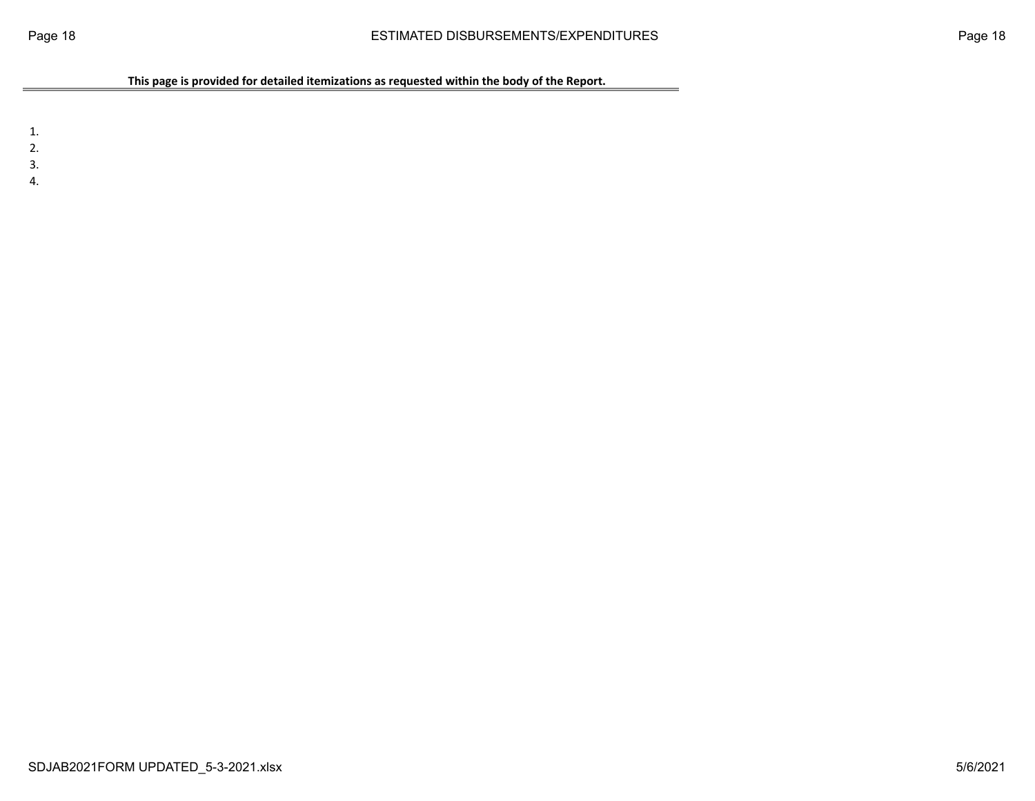**This page is provided for detailed itemizations as requested within the body of the Report.**

1. 2. 3.

4.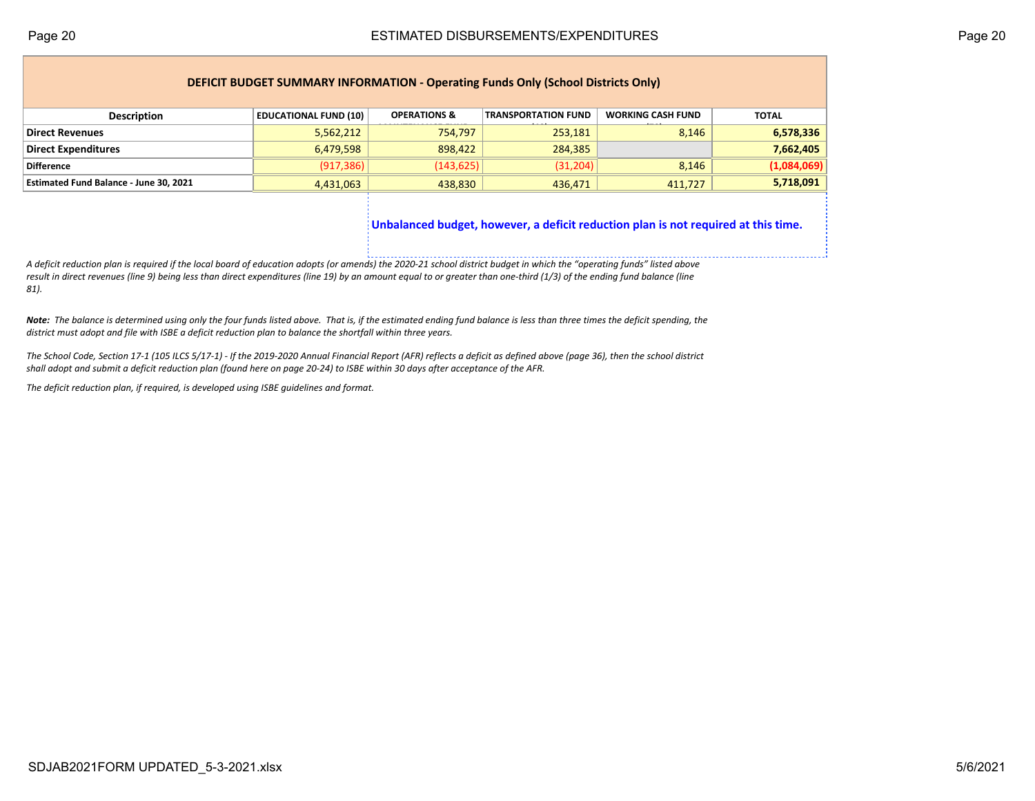## **DEFICIT BUDGET SUMMARY INFORMATION - Operating Funds Only (School Districts Only)**

| <b>Description</b>                            | <b>EDUCATIONAL FUND (10)</b> | <b>OPERATIONS &amp;</b> | <b>TRANSPORTATION FUND</b> | <b>WORKING CASH FUND</b> | <b>TOTAL</b> |
|-----------------------------------------------|------------------------------|-------------------------|----------------------------|--------------------------|--------------|
| Direct Revenues                               | 5,562,212                    | 754,797                 | 253,181                    | 8,146                    | 6,578,336    |
| Direct Expenditures                           | 6,479,598                    | 898,422                 | 284,385                    |                          | 7,662,405    |
| <b>Difference</b>                             | (917, 386)                   | (143, 625)              | (31, 204)                  | 8,146                    | (1,084,069)  |
| <b>Estimated Fund Balance - June 30, 2021</b> | 4,431,063                    | 438,830                 | 436,471                    | 411,727                  | 5,718,091    |

**Unbalanced budget, however, a deficit reduction plan is not required at this time.**

*A deficit reduction plan is required if the local board of education adopts (or amends) the 2020-21 school district budget in which the "operating funds" listed above*  result in direct revenues (line 9) being less than direct expenditures (line 19) by an amount equal to or greater than one-third (1/3) of the ending fund balance (line *81).*

*Note: The balance is determined using only the four funds listed above. That is, if the estimated ending fund balance is less than three times the deficit spending, the district must adopt and file with ISBE a deficit reduction plan to balance the shortfall within three years.*

*The School Code, Section 17-1 (105 ILCS 5/17-1) - If the 2019-2020 Annual Financial Report (AFR) reflects a deficit as defined above (page 36), then the school district shall adopt and submit a deficit reduction plan (found here on page 20-24) to ISBE within 30 days after acceptance of the AFR.*

*The deficit reduction plan, if required, is developed using ISBE guidelines and format.*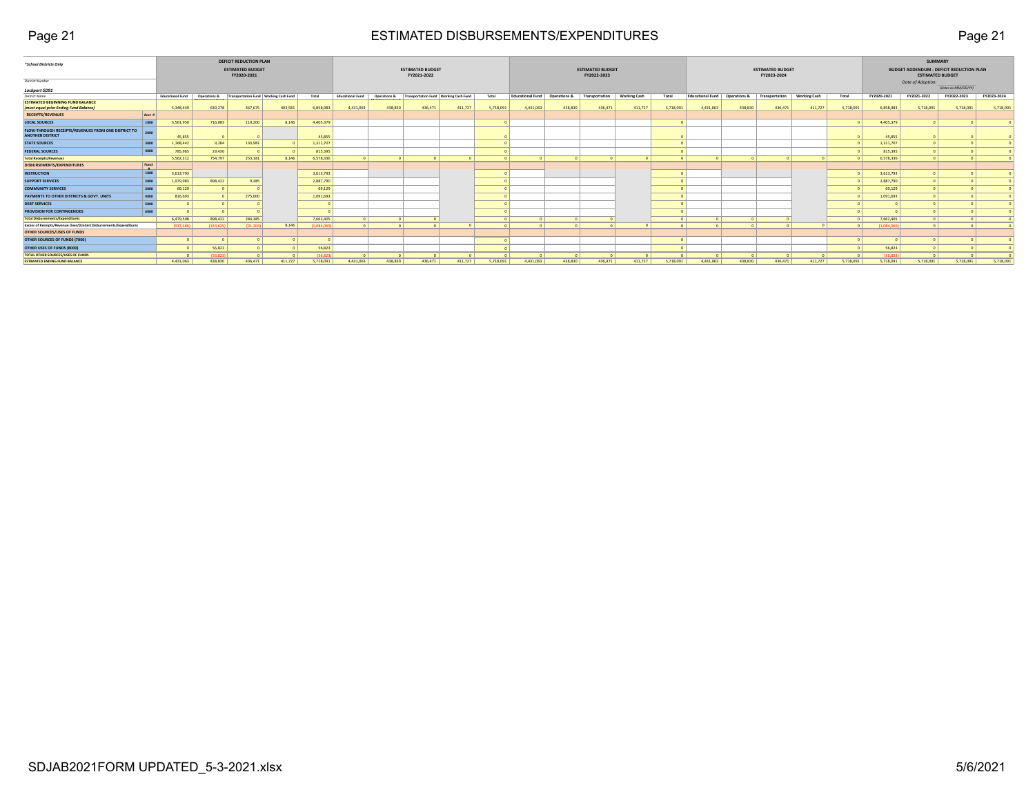# Page 21 **ESTIMATED DISBURSEMENTS/EXPENDITURES** Page 21

| *School Districts Only                                                            |                                   |                         |          | <b>DEFICIT REDUCTION PLAN</b><br><b>ESTIMATED BUDGET</b> |         |           | <b>ESTIMATED BUDGET</b><br>FY2021-2022 |              |                                         |         |           |                               |         | <b>ESTIMATED BUDGET</b> |                     |           |                         |                             | <b>ESTIMATED BUDGET</b> |                     |           | <b>SUMMARY</b><br><b>BUDGET ADDENDUM - DEFICIT REDUCTION PLAN</b><br><b>ESTIMATED BUDGET</b> |                   |                     |             |
|-----------------------------------------------------------------------------------|-----------------------------------|-------------------------|----------|----------------------------------------------------------|---------|-----------|----------------------------------------|--------------|-----------------------------------------|---------|-----------|-------------------------------|---------|-------------------------|---------------------|-----------|-------------------------|-----------------------------|-------------------------|---------------------|-----------|----------------------------------------------------------------------------------------------|-------------------|---------------------|-------------|
| District Number                                                                   |                                   |                         |          | FY2020-2021                                              |         |           |                                        |              |                                         |         |           |                               |         | FY2022-2023             |                     |           |                         |                             | FY2023-2024             |                     |           |                                                                                              | Date of Adoption: |                     |             |
| Lockport SD91                                                                     |                                   |                         |          |                                                          |         |           |                                        |              |                                         |         |           |                               |         |                         |                     |           |                         |                             |                         |                     |           |                                                                                              |                   | (Enter as MM/DD/YY) |             |
| District Name                                                                     |                                   | <b>Educational Fund</b> |          | Operations & Transportation Fund   Working Cash Fund     |         | Total     | <b>Educational Fund</b>                | Operations & | Transportation Fund   Working Cash Fund |         | Total     | Educational Fund Operations & |         | Transportation          | <b>Working Cash</b> | Total     | <b>Educational Fund</b> | Operations & Transportation |                         | <b>Working Cash</b> | Total     | FY2020-2021                                                                                  | FY2021-2022       | FY2022-2023         | FY2023-2024 |
| <b>ESTIMATED BEGINNING FUND BALANCE</b><br>(must equal prior Ending Fund Balance) |                                   | 5.348,449               | 639,278  | 467.675                                                  | 403,581 | 6.858.983 | 4.431.063                              | 438,830      | 436.471                                 | 411,727 | 5.718.091 | 4,431,063                     | 438,830 | 436,471                 | 411,727             | 5.718.091 | 4,431,063               | 438,830                     | 436,471                 | 411.727             | 5.718.091 | 6,858,983                                                                                    | 5.718.091         | 5.718.091           | 5,718,091   |
| <b>RECEIPTS/REVENUES</b>                                                          | Acct #                            |                         |          |                                                          |         |           |                                        |              |                                         |         |           |                               |         |                         |                     |           |                         |                             |                         |                     |           |                                                                                              |                   |                     |             |
| <b>LOCAL SOURCES</b>                                                              | 1000                              | 3,561,950               | 716,083  | 119,200                                                  | 8,146   | 4,405,379 |                                        |              |                                         |         |           |                               |         |                         |                     |           |                         |                             |                         |                     |           | 4,405,379                                                                                    |                   |                     |             |
| FLOW-THROUGH RECEIPTS/REVENUES FROM ONE DISTRICT TO<br><b>ANOTHER DISTRICT</b>    |                                   | 45,855                  |          |                                                          |         | 45,855    |                                        |              |                                         |         |           |                               |         |                         |                     |           |                         |                             |                         |                     |           | 45,855                                                                                       |                   |                     |             |
| <b>STATE SOURCES</b>                                                              | 3000                              | 1,168,442               | 9,284    | 133,981                                                  |         | 1,311,707 |                                        |              |                                         |         |           |                               |         |                         |                     |           |                         |                             |                         |                     |           | 1,311,707                                                                                    |                   |                     |             |
| <b>FEDERAL SOURCES</b>                                                            | 4000                              | 785,965                 | 29,430   |                                                          |         | 815,395   |                                        |              |                                         |         |           |                               |         |                         |                     |           |                         |                             |                         |                     |           | 815,395                                                                                      |                   |                     |             |
| <b>Total Receipts/Revenues</b>                                                    |                                   | 5.562.212               | 754,797  | 253.181                                                  | 8.146   | 6,578,336 |                                        |              |                                         |         |           |                               |         |                         |                     |           |                         |                             |                         |                     |           | 6.578.336                                                                                    |                   |                     |             |
| DISBURSEMENTS/EXPENDITURES                                                        | Funct<br>$\overline{\phantom{a}}$ |                         |          |                                                          |         |           |                                        |              |                                         |         |           |                               |         |                         |                     |           |                         |                             |                         |                     |           |                                                                                              |                   |                     |             |
| <b>INSTRUCTION</b>                                                                | 1000                              | 3,613,793               |          |                                                          |         | 3,613,793 |                                        |              |                                         |         |           |                               |         |                         |                     |           |                         |                             |                         |                     |           | 3,613,793                                                                                    |                   |                     |             |
| <b>SUPPORT SERVICES</b>                                                           | 2000                              | 1,979,983               | 898,422  | 9.385                                                    |         | 2,887,790 |                                        |              |                                         |         |           |                               |         |                         |                     |           |                         |                             |                         |                     |           | 2,887,790                                                                                    |                   |                     |             |
| <b>COMMUNITY SERVICES</b>                                                         | 3000                              | 69,129                  |          |                                                          |         | 69,129    |                                        |              |                                         |         |           |                               |         |                         |                     |           |                         |                             |                         |                     |           | 69,129                                                                                       |                   |                     |             |
| PAYMENTS TO OTHER DISTRICTS & GOVT. UNITS                                         | 4000                              | 816,693                 |          | 275,000                                                  |         | 1,091,693 |                                        |              |                                         |         |           |                               |         |                         |                     |           |                         |                             |                         |                     |           | 1,091,693                                                                                    |                   |                     |             |
| <b>DEBT SERVICES</b>                                                              | 5000                              |                         |          |                                                          |         |           |                                        |              |                                         |         |           |                               |         |                         |                     |           |                         |                             |                         |                     |           |                                                                                              |                   |                     |             |
| PROVISION FOR CONTINGENCIES                                                       | 6000                              |                         |          |                                                          |         |           |                                        |              |                                         |         |           |                               |         |                         |                     |           |                         |                             |                         |                     |           |                                                                                              |                   |                     |             |
| <b>Total Disbursements/Expenditures</b>                                           |                                   | 6,479,598               | 898,422  | 284,385                                                  |         | 7.662.405 |                                        |              |                                         |         |           |                               |         |                         |                     |           |                         |                             |                         |                     |           | 7.662.405                                                                                    |                   |                     |             |
| Excess of Receipts/Revenue Over/(Under) Disbursements/Expenditures                |                                   | (917,386                | (143.625 | (31.204)                                                 | 8,146   | (1.084.06 |                                        |              |                                         |         |           |                               |         |                         |                     |           |                         |                             |                         |                     |           | 11.084.065                                                                                   |                   |                     |             |
| OTHER SOURCES/USES OF FUNDS                                                       |                                   |                         |          |                                                          |         |           |                                        |              |                                         |         |           |                               |         |                         |                     |           |                         |                             |                         |                     |           |                                                                                              |                   |                     |             |
| OTHER SOURCES OF FUNDS (7000)                                                     |                                   |                         |          |                                                          |         |           |                                        |              |                                         |         |           |                               |         |                         |                     |           |                         |                             |                         |                     |           |                                                                                              |                   |                     |             |
| OTHER USES OF FUNDS (8000)                                                        |                                   |                         | 56,823   |                                                          |         | 56,823    |                                        |              |                                         |         |           |                               |         |                         |                     |           |                         |                             |                         |                     |           | 56,823                                                                                       |                   |                     |             |
| TOTAL OTHER SOURCES/USES OF FUNDS                                                 |                                   |                         | (56.823  |                                                          |         | (56.823   |                                        |              |                                         |         |           |                               |         |                         |                     |           |                         |                             |                         |                     |           | (56,823)                                                                                     |                   |                     |             |
| <b>ESTIMATED ENDING FUND BALANCE</b>                                              |                                   | 4.431.063               | 438,830  | 436,471                                                  | 411,727 | 5.718.091 | 4.431.063                              | 438,830      | 436.471                                 | 411,727 | 5,718,091 | 4,431,063                     | 438,830 | 436.471                 | 411,727             | 5.718.091 | 4,431,063               | 438,830                     | 436,471                 | 411,727             | 5.718.091 | 5.718.091                                                                                    | 5.718.091         | 5.718.091           | 5.718.091   |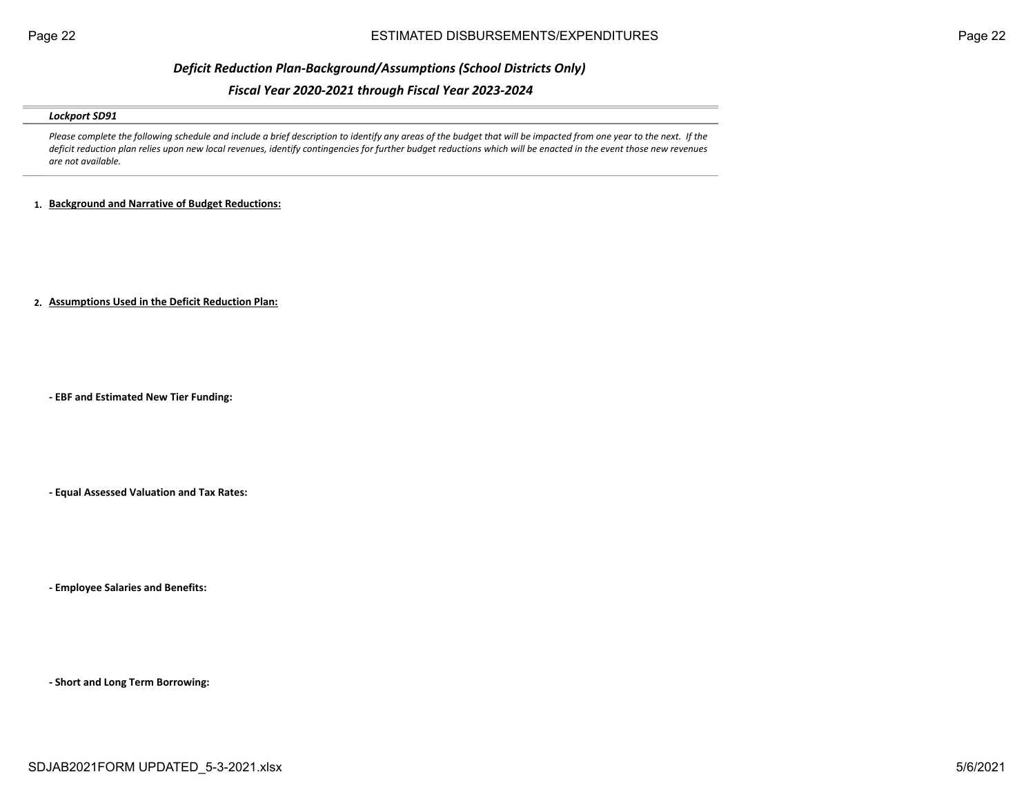## *Deficit Reduction Plan-Background/Assumptions (School Districts Only)*

## *Fiscal Year 2020-2021 through Fiscal Year 2023-2024*

#### *Lockport SD91*

Please complete the following schedule and include a brief description to identify any areas of the budget that will be impacted from one year to the next. If the deficit reduction plan relies upon new local revenues, identify contingencies for further budget reductions which will be enacted in the event those new revenues *are not available.* 

**1. Background and Narrative of Budget Reductions:**

**2. Assumptions Used in the Deficit Reduction Plan:**

**- EBF and Estimated New Tier Funding:**

**- Equal Assessed Valuation and Tax Rates:**

**- Employee Salaries and Benefits:**

**- Short and Long Term Borrowing:**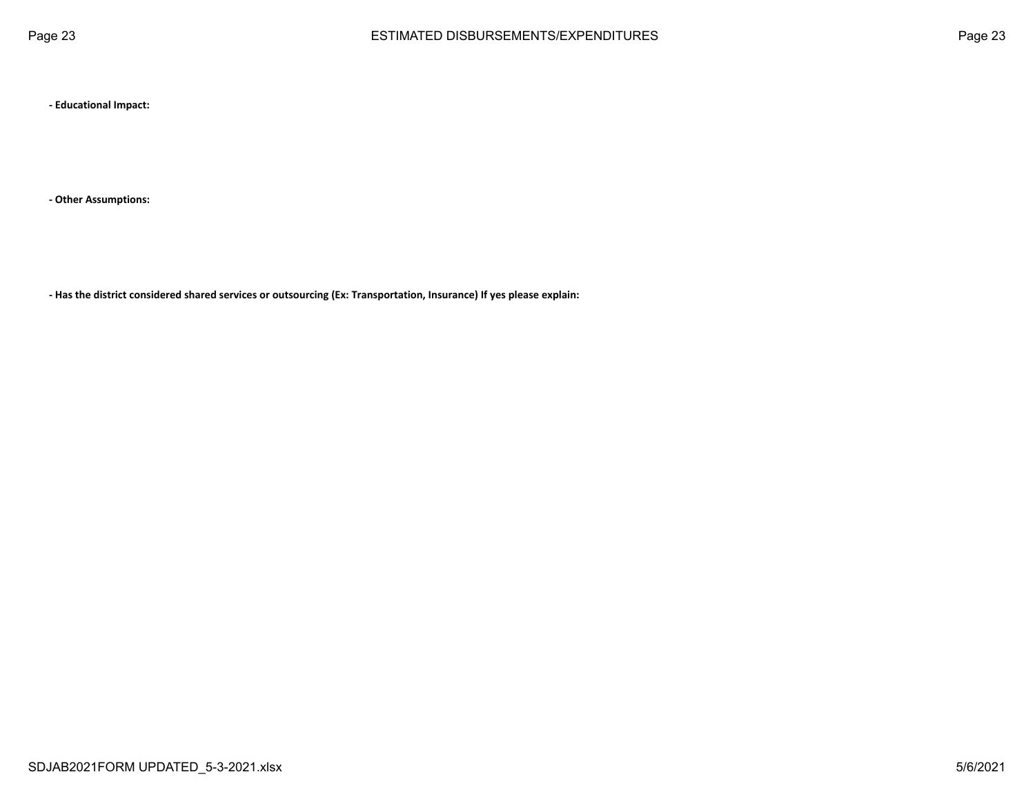**- Educational Impact:**

**- Other Assumptions:**

**- Has the district considered shared services or outsourcing (Ex: Transportation, Insurance) If yes please explain:**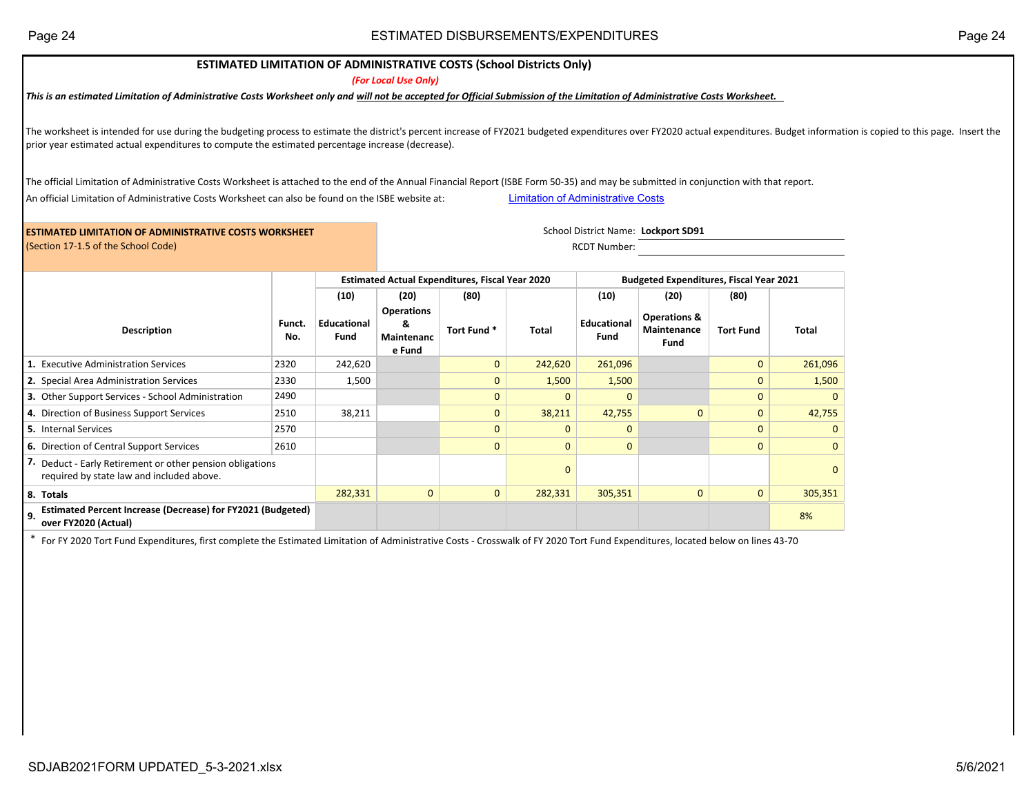## **ESTIMATED LIMITATION OF ADMINISTRATIVE COSTS (School Districts Only)**

*(For Local Use Only)*

*This is an estimated Limitation of Administrative Costs Worksheet only and will not be accepted for Official Submission of the Limitation of Administrative Costs Worksheet.* 

The worksheet is intended for use during the budgeting process to estimate the district's percent increase of FY2021 budgeted expenditures over FY2020 actual expenditures. Budget information is copied to this page. Insert prior year estimated actual expenditures to compute the estimated percentage increase (decrease).

The official Limitation of Administrative Costs Worksheet is attached to the end of the Annual Financial Report (ISBE Form 50-35) and may be submitted in conjunction with that report.

An official Limitation of Administrative Costs Worksheet can also be found on the ISBE website at: [Limitation of Administrative Costs](https://www.isbe.net/Pages/Limitation-of-Administrative-Costs.aspx)

### **ESTIMATED LIMITATION OF ADMINISTRATIVE COSTS WORKSHEET** SCHOOL SETTING SCHOOL District Name: Lockport SD91 (Section 17-1.5 of the School Code) **RCDT Number:** RCDT Number: **RCDT Number:** RCDT Number:

|                                                                                                        |               |                            |                           | <b>Estimated Actual Expenditures, Fiscal Year 2020</b> |              |                     | <b>Budgeted Expenditures, Fiscal Year 2021</b> |                  |              |
|--------------------------------------------------------------------------------------------------------|---------------|----------------------------|---------------------------|--------------------------------------------------------|--------------|---------------------|------------------------------------------------|------------------|--------------|
|                                                                                                        |               | (10)                       | (20)<br><b>Operations</b> | (80)                                                   |              | (10)                | (20)                                           | (80)             |              |
| <b>Description</b>                                                                                     | Funct.<br>No. | <b>Educational</b><br>Fund | &<br>Maintenanc<br>e Fund | Tort Fund*                                             | Total        | Educational<br>Fund | <b>Operations &amp;</b><br>Maintenance<br>Fund | <b>Tort Fund</b> | Total        |
| 1. Executive Administration Services                                                                   | 2320          | 242,620                    |                           | $\mathbf{0}$                                           | 242,620      | 261,096             |                                                | $\mathbf{0}$     | 261,096      |
| 2. Special Area Administration Services                                                                | 2330          | 1,500                      |                           | $\mathbf{0}$                                           | 1,500        | 1,500               |                                                | 0                | 1,500        |
| 3. Other Support Services - School Administration                                                      | 2490          |                            |                           | $\Omega$                                               | $\Omega$     | $\Omega$            |                                                | $\mathbf{0}$     | $\mathbf{0}$ |
| 4. Direction of Business Support Services                                                              | 2510          | 38,211                     |                           | $\mathbf{0}$                                           | 38,211       | 42,755              | $\mathbf{0}$                                   | $\mathbf{0}$     | 42,755       |
| <b>5.</b> Internal Services                                                                            | 2570          |                            |                           | $\Omega$                                               | $\Omega$     | $\Omega$            |                                                | $\mathbf{0}$     | $\mathbf{0}$ |
| <b>6.</b> Direction of Central Support Services                                                        | 2610          |                            |                           | $\Omega$                                               | $\Omega$     | $\Omega$            |                                                | $\mathbf{0}$     | $\mathbf{0}$ |
| 7. Deduct - Early Retirement or other pension obligations<br>required by state law and included above. |               |                            |                           |                                                        | $\mathbf{0}$ |                     |                                                |                  | $\mathbf{0}$ |
| 8. Totals                                                                                              |               | 282,331                    | $\mathbf{0}$              | $\mathbf{0}$                                           | 282,331      | 305,351             | $\mathbf{0}$                                   | $\mathbf{0}$     | 305,351      |
| <b>Estimated Percent Increase (Decrease) for FY2021 (Budgeted)</b><br>9.<br>over FY2020 (Actual)       |               |                            |                           |                                                        |              |                     |                                                |                  | 8%           |

For FY 2020 Tort Fund Expenditures, first complete the Estimated Limitation of Administrative Costs - Crosswalk of FY 2020 Tort Fund Expenditures, located below on lines 43-70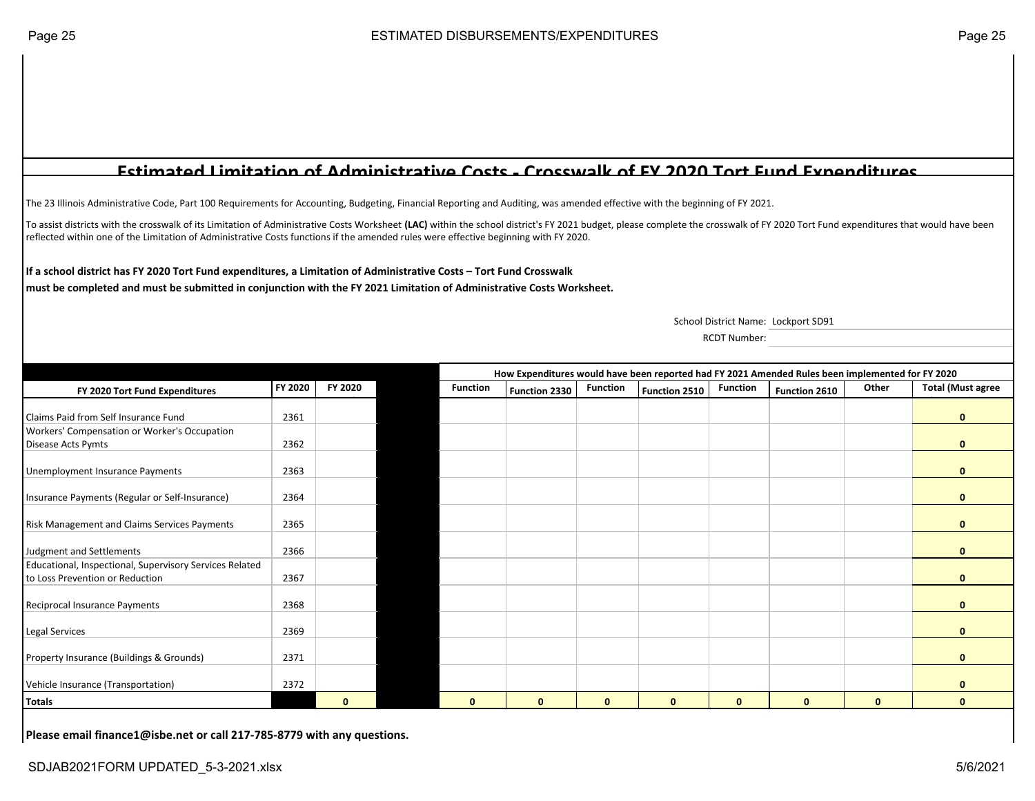## **Estimated Limitation of Administrative Costs - Crosswalk of FY 2020 Tort Fund Expenditures**

The 23 Illinois Administrative Code, Part 100 Requirements for Accounting, Budgeting, Financial Reporting and Auditing, was amended effective with the beginning of FY 2021.

To assist districts with the crosswalk of its Limitation of Administrative Costs Worksheet (LAC) within the school district's FY 2021 budget, please complete the crosswalk of FY 2020 Tort Fund expenditures that would have reflected within one of the Limitation of Administrative Costs functions if the amended rules were effective beginning with FY 2020.

**If a school district has FY 2020 Tort Fund expenditures, a Limitation of Administrative Costs – Tort Fund Crosswalk must be completed and must be submitted in conjunction with the FY 2021 Limitation of Administrative Costs Worksheet.** 

School District Name: Lockport SD91

RCDT Number:

|                                                                                            |         |              |                 |               |                 |               |                 | How Expenditures would have been reported had FY 2021 Amended Rules been implemented for FY 2020 |              |                          |
|--------------------------------------------------------------------------------------------|---------|--------------|-----------------|---------------|-----------------|---------------|-----------------|--------------------------------------------------------------------------------------------------|--------------|--------------------------|
| FY 2020 Tort Fund Expenditures                                                             | FY 2020 | FY 2020      | <b>Function</b> | Function 2330 | <b>Function</b> | Function 2510 | <b>Function</b> | Function 2610                                                                                    | Other        | <b>Total (Must agree</b> |
| Claims Paid from Self Insurance Fund                                                       | 2361    |              |                 |               |                 |               |                 |                                                                                                  |              | $\mathbf{0}$             |
| Workers' Compensation or Worker's Occupation<br>Disease Acts Pymts                         | 2362    |              |                 |               |                 |               |                 |                                                                                                  |              | $\mathbf{0}$             |
| Unemployment Insurance Payments                                                            | 2363    |              |                 |               |                 |               |                 |                                                                                                  |              | $\mathbf{0}$             |
| Insurance Payments (Regular or Self-Insurance)                                             | 2364    |              |                 |               |                 |               |                 |                                                                                                  |              | $\mathbf{0}$             |
| Risk Management and Claims Services Payments                                               | 2365    |              |                 |               |                 |               |                 |                                                                                                  |              | $\mathbf{0}$             |
| Judgment and Settlements                                                                   | 2366    |              |                 |               |                 |               |                 |                                                                                                  |              | $\Omega$                 |
| Educational, Inspectional, Supervisory Services Related<br>to Loss Prevention or Reduction | 2367    |              |                 |               |                 |               |                 |                                                                                                  |              | $\mathbf{0}$             |
| Reciprocal Insurance Payments                                                              | 2368    |              |                 |               |                 |               |                 |                                                                                                  |              | $\mathbf{0}$             |
| <b>Legal Services</b>                                                                      | 2369    |              |                 |               |                 |               |                 |                                                                                                  |              | $\mathbf{0}$             |
| Property Insurance (Buildings & Grounds)                                                   | 2371    |              |                 |               |                 |               |                 |                                                                                                  |              | $\mathbf{0}$             |
| Vehicle Insurance (Transportation)                                                         | 2372    |              |                 |               |                 |               |                 |                                                                                                  |              | $\Omega$                 |
| <b>Totals</b>                                                                              |         | $\mathbf{0}$ | $\mathbf{0}$    | $\mathbf{0}$  | $\mathbf{0}$    | $\mathbf{0}$  | $\mathbf{0}$    | $\mathbf{0}$                                                                                     | $\mathbf{0}$ | $\mathbf{0}$             |

**Please email finance1@isbe.net or call 217-785-8779 with any questions.**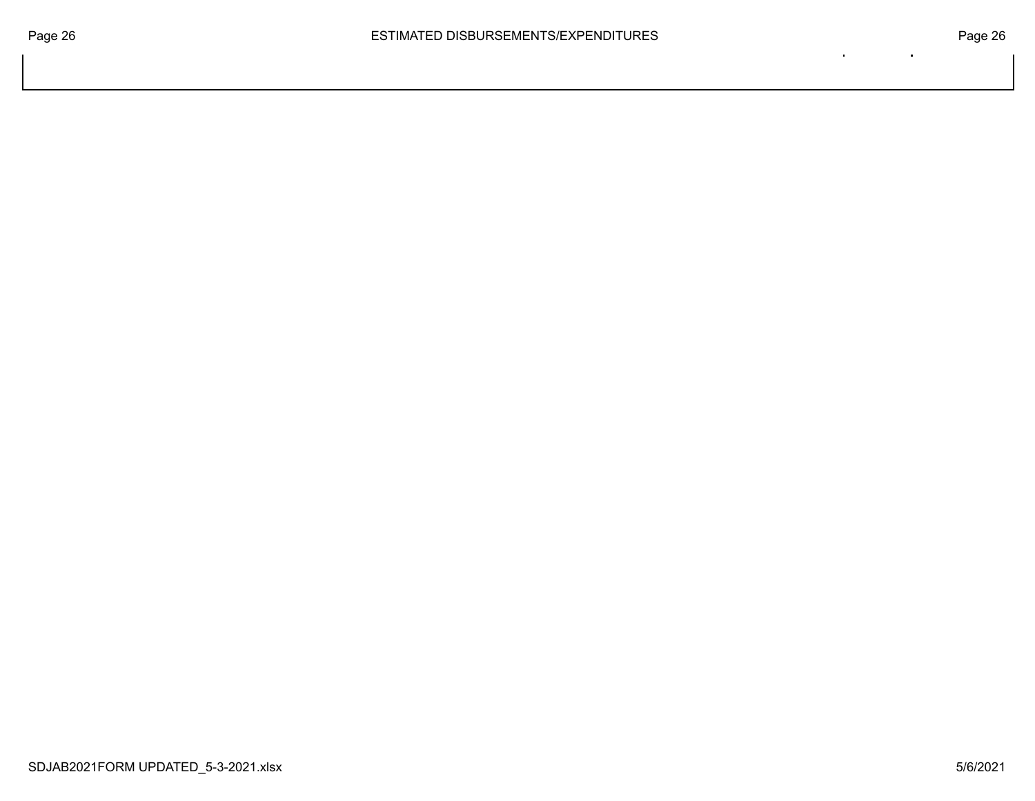$\blacksquare$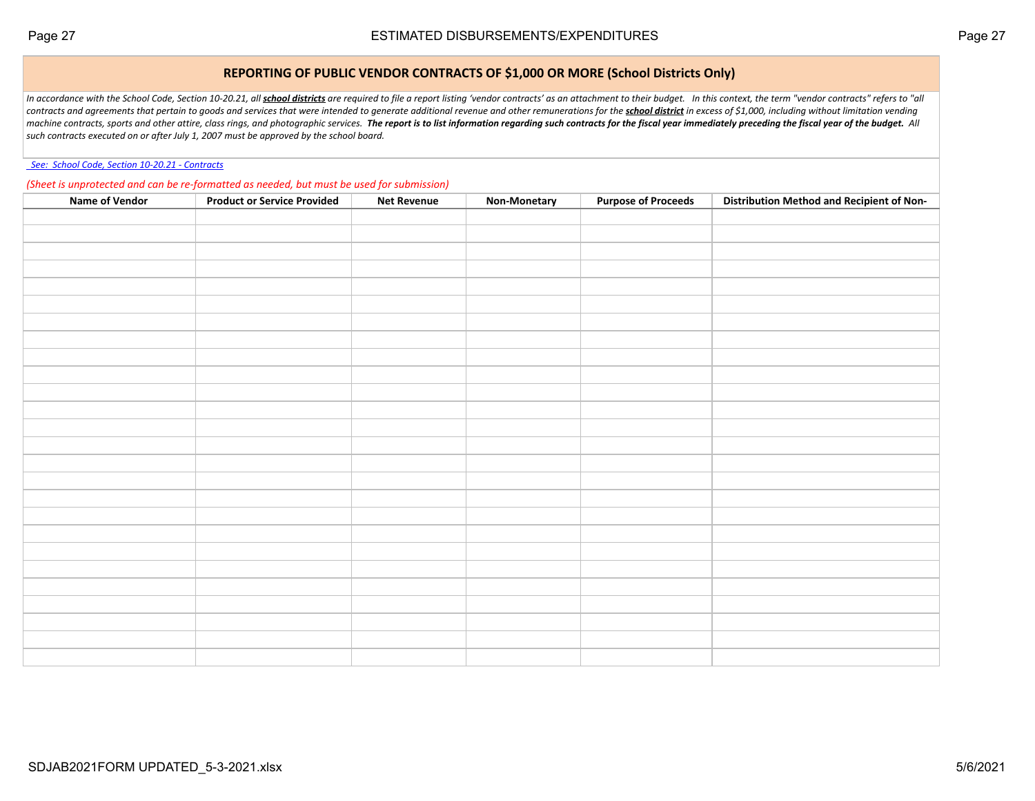### **REPORTING OF PUBLIC VENDOR CONTRACTS OF \$1,000 OR MORE (School Districts Only)**

In accordance with the School Code, Section 10-20.21, all school districts are required to file a report listing 'vendor contracts' as an attachment to their budget. In this context, the term "vendor contracts" refers to " contracts and agreements that pertain to goods and services that were intended to generate additional revenue and other remunerations for the school district in excess of \$1,000, including without limitation vending machine contracts, sports and other attire, class rings, and photographic services. The report is to list information regarding such contracts for the fiscal year immediately preceding the fiscal year of the budget. All *such contracts executed on or after July 1, 2007 must be approved by the school board.*

### *[See: School Code, Section 10-20.21 - Contracts](http://www.ilga.gov/legislation/ilcs/ilcs4.asp?DocName=010500050HArt%2E+10&ActID=1005&ChapAct=105%26nbsp%3BILCS%26nbsp%3B5%2F&ChapterID=17&ChapterName=SCHOOLS&SectionID=48899&SeqStart=53200000&SeqEnd=74800000&ActName=School+Code%2E)*

#### *(Sheet is unprotected and can be re-formatted as needed, but must be used for submission)*

| <b>Name of Vendor</b> | <b>Product or Service Provided</b> | <b>Net Revenue</b> | Non-Monetary | <b>Purpose of Proceeds</b> | <b>Distribution Method and Recipient of Non-</b> |
|-----------------------|------------------------------------|--------------------|--------------|----------------------------|--------------------------------------------------|
|                       |                                    |                    |              |                            |                                                  |
|                       |                                    |                    |              |                            |                                                  |
|                       |                                    |                    |              |                            |                                                  |
|                       |                                    |                    |              |                            |                                                  |
|                       |                                    |                    |              |                            |                                                  |
|                       |                                    |                    |              |                            |                                                  |
|                       |                                    |                    |              |                            |                                                  |
|                       |                                    |                    |              |                            |                                                  |
|                       |                                    |                    |              |                            |                                                  |
|                       |                                    |                    |              |                            |                                                  |
|                       |                                    |                    |              |                            |                                                  |
|                       |                                    |                    |              |                            |                                                  |
|                       |                                    |                    |              |                            |                                                  |
|                       |                                    |                    |              |                            |                                                  |
|                       |                                    |                    |              |                            |                                                  |
|                       |                                    |                    |              |                            |                                                  |
|                       |                                    |                    |              |                            |                                                  |
|                       |                                    |                    |              |                            |                                                  |
|                       |                                    |                    |              |                            |                                                  |
|                       |                                    |                    |              |                            |                                                  |
|                       |                                    |                    |              |                            |                                                  |
|                       |                                    |                    |              |                            |                                                  |
|                       |                                    |                    |              |                            |                                                  |
|                       |                                    |                    |              |                            |                                                  |
|                       |                                    |                    |              |                            |                                                  |
|                       |                                    |                    |              |                            |                                                  |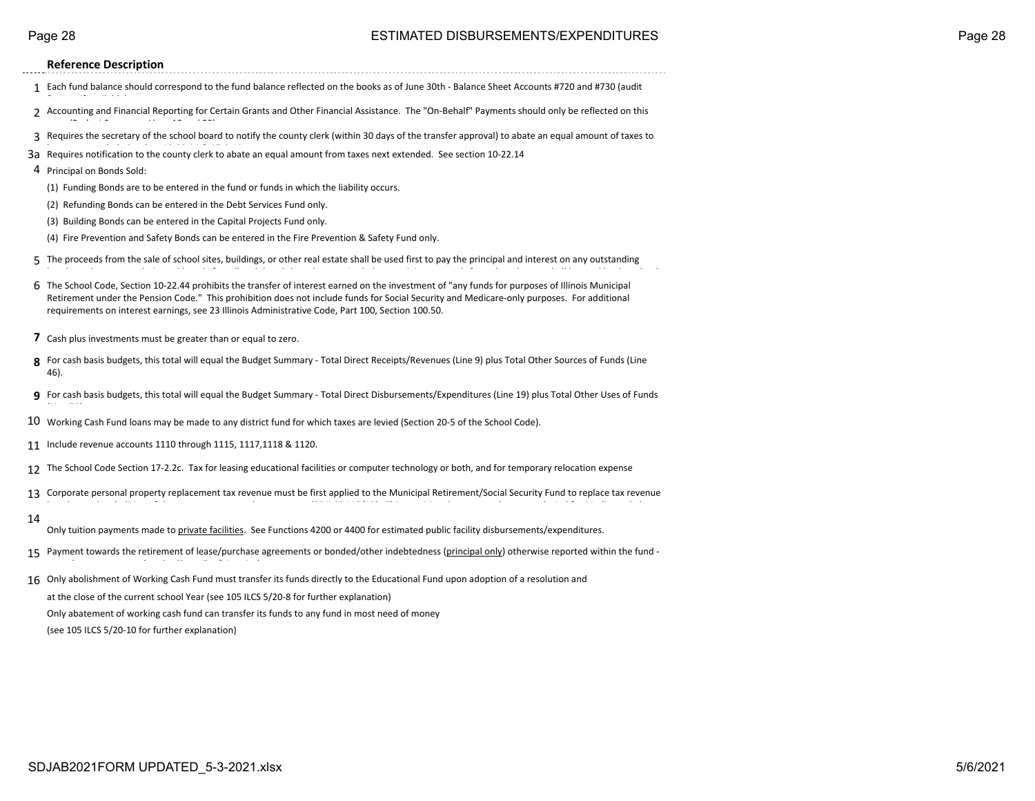#### **Reference Description**

- 1 Each fund balance should correspond to the fund balance reflected on the books as of June 30th Balance Sheet Accounts #720 and #730 (audit
- figures, if available). 2 Accounting and Financial Reporting for Certain Grants and Other Financial Assistance. The "On-Behalf" Payments should only be reflected on this page (Budget Summary, Lines 10 and 20).
- 3 Requires the secretary of the school board to notify the county clerk (within 30 days of the transfer approval) to abate an equal amount of taxes to
- 3a Requires notification to the county clerk to abate an equal amount from taxes next extended. See section 10-22.14
- 4 Principal on Bonds Sold:
	- (1) Funding Bonds are to be entered in the fund or funds in which the liability occurs.
	- (2) Refunding Bonds can be entered in the Debt Services Fund only.
	- (3) Building Bonds can be entered in the Capital Projects Fund only.
	- (4) Fire Prevention and Safety Bonds can be entered in the Fire Prevention & Safety Fund only.
- 5 The proceeds from the sale of school sites, buildings, or other real estate shall be used first to pay the principal and interest on any outstanding

bonds on the property being sold, and after all such bonds have been retired, the remaining proceeds from the sale next shall be used by the school

- 6 The School Code, Section 10-22.44 prohibits the transfer of interest earned on the investment of "any funds for purposes of Illinois Municipal Retirement under the Pension Code." This prohibition does not include funds for Social Security and Medicare-only purposes. For additional requirements on interest earnings, see 23 Illinois Administrative Code, Part 100, Section 100.50.
- **7** Cash plus investments must be greater than or equal to zero.
- **8** For cash basis budgets, this total will equal the Budget Summary Total Direct Receipts/Revenues (Line 9) plus Total Other Sources of Funds (Line 46).
- **9** For cash basis budgets, this total will equal the Budget Summary Total Direct Disbursements/Expenditures (Line 19) plus Total Other Uses of Funds
- 10 Working Cash Fund loans may be made to any district fund for which taxes are levied (Section 20-5 of the School Code).
- 11 Include revenue accounts 1110 through 1115, 1117,1118 & 1120.
- 12 The School Code Section 17-2.2c. Tax for leasing educational facilities or computer technology or both, and for temporary relocation expense
- 13 Corporate personal property replacement tax revenue must be first applied to the Municipal Retirement/Social Security Fund to replace tax revenue lost due to the abolition of the corporate personal property tax (30 ILCS 115/12). This provision does not apply to taxes levied for Medicare-Only
- 14

(Line 79).

- Only tuition payments made to private facilities. See Functions 4200 or 4400 for estimated public facility disbursements/expenditures.
- 15 Payment towards the retirement of lease/purchase agreements or bonded/other indebtedness (principal only) otherwise reported within the fund -
- 16 Only abolishment of Working Cash Fund must transfer its funds directly to the Educational Fund upon adoption of a resolution and at the close of the current school Year (see 105 ILCS 5/20-8 for further explanation) Only abatement of working cash fund can transfer its funds to any fund in most need of money (see 105 ILCS 5/20-10 for further explanation)

e.g.: alternate revenue bonds. (Describe & Itemize)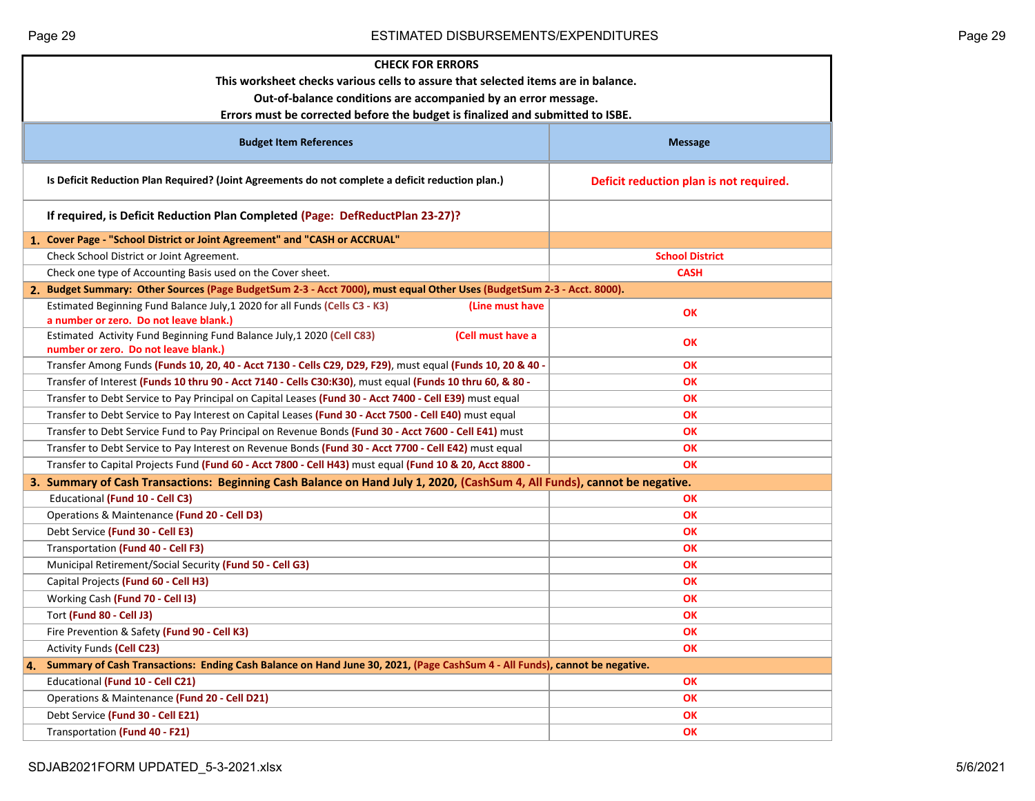| <b>CHECK FOR ERRORS</b><br>This worksheet checks various cells to assure that selected items are in balance.<br>Out-of-balance conditions are accompanied by an error message.<br>Errors must be corrected before the budget is finalized and submitted to ISBE. |                                                           |  |  |
|------------------------------------------------------------------------------------------------------------------------------------------------------------------------------------------------------------------------------------------------------------------|-----------------------------------------------------------|--|--|
| <b>Budget Item References</b>                                                                                                                                                                                                                                    | <b>Message</b><br>Deficit reduction plan is not required. |  |  |
| Is Deficit Reduction Plan Required? (Joint Agreements do not complete a deficit reduction plan.)                                                                                                                                                                 |                                                           |  |  |
| If required, is Deficit Reduction Plan Completed (Page: DefReductPlan 23-27)?                                                                                                                                                                                    |                                                           |  |  |
| 1. Cover Page - "School District or Joint Agreement" and "CASH or ACCRUAL"                                                                                                                                                                                       |                                                           |  |  |
| Check School District or Joint Agreement.                                                                                                                                                                                                                        | <b>School District</b>                                    |  |  |
| Check one type of Accounting Basis used on the Cover sheet.                                                                                                                                                                                                      | <b>CASH</b>                                               |  |  |
| 2. Budget Summary: Other Sources (Page BudgetSum 2-3 - Acct 7000), must equal Other Uses (BudgetSum 2-3 - Acct. 8000).                                                                                                                                           |                                                           |  |  |
| Estimated Beginning Fund Balance July, 1 2020 for all Funds (Cells C3 - K3)<br>(Line must have<br>a number or zero. Do not leave blank.)                                                                                                                         | OK                                                        |  |  |
| Estimated Activity Fund Beginning Fund Balance July, 1 2020 (Cell C83)<br>(Cell must have a<br>number or zero. Do not leave blank.)                                                                                                                              | OK                                                        |  |  |
| Transfer Among Funds (Funds 10, 20, 40 - Acct 7130 - Cells C29, D29, F29), must equal (Funds 10, 20 & 40 -                                                                                                                                                       | OK                                                        |  |  |
| Transfer of Interest (Funds 10 thru 90 - Acct 7140 - Cells C30:K30), must equal (Funds 10 thru 60, & 80 -                                                                                                                                                        | <b>OK</b>                                                 |  |  |
| Transfer to Debt Service to Pay Principal on Capital Leases (Fund 30 - Acct 7400 - Cell E39) must equal                                                                                                                                                          | OK                                                        |  |  |
| Transfer to Debt Service to Pay Interest on Capital Leases (Fund 30 - Acct 7500 - Cell E40) must equal                                                                                                                                                           | <b>OK</b>                                                 |  |  |
| Transfer to Debt Service Fund to Pay Principal on Revenue Bonds (Fund 30 - Acct 7600 - Cell E41) must                                                                                                                                                            | <b>OK</b>                                                 |  |  |
| Transfer to Debt Service to Pay Interest on Revenue Bonds (Fund 30 - Acct 7700 - Cell E42) must equal                                                                                                                                                            | OK                                                        |  |  |
| Transfer to Capital Projects Fund (Fund 60 - Acct 7800 - Cell H43) must equal (Fund 10 & 20, Acct 8800 -                                                                                                                                                         | OK                                                        |  |  |
| 3. Summary of Cash Transactions: Beginning Cash Balance on Hand July 1, 2020, (CashSum 4, All Funds), cannot be negative.                                                                                                                                        |                                                           |  |  |
| Educational (Fund 10 - Cell C3)                                                                                                                                                                                                                                  | <b>OK</b>                                                 |  |  |
| Operations & Maintenance (Fund 20 - Cell D3)                                                                                                                                                                                                                     | OK                                                        |  |  |
| Debt Service (Fund 30 - Cell E3)                                                                                                                                                                                                                                 | <b>OK</b>                                                 |  |  |
| Transportation (Fund 40 - Cell F3)                                                                                                                                                                                                                               | <b>OK</b>                                                 |  |  |
| Municipal Retirement/Social Security (Fund 50 - Cell G3)                                                                                                                                                                                                         | OK                                                        |  |  |
| Capital Projects (Fund 60 - Cell H3)                                                                                                                                                                                                                             | <b>OK</b>                                                 |  |  |
| Working Cash (Fund 70 - Cell I3)                                                                                                                                                                                                                                 | <b>OK</b>                                                 |  |  |
| Tort (Fund 80 - Cell J3)                                                                                                                                                                                                                                         | OK                                                        |  |  |
| Fire Prevention & Safety (Fund 90 - Cell K3)                                                                                                                                                                                                                     | <b>OK</b>                                                 |  |  |
| <b>Activity Funds (Cell C23)</b>                                                                                                                                                                                                                                 | <b>OK</b>                                                 |  |  |
| 4. Summary of Cash Transactions: Ending Cash Balance on Hand June 30, 2021, (Page CashSum 4 - All Funds), cannot be negative.                                                                                                                                    |                                                           |  |  |
| Educational (Fund 10 - Cell C21)                                                                                                                                                                                                                                 | <b>OK</b>                                                 |  |  |
| Operations & Maintenance (Fund 20 - Cell D21)                                                                                                                                                                                                                    | <b>OK</b>                                                 |  |  |
| Debt Service (Fund 30 - Cell E21)                                                                                                                                                                                                                                | OK                                                        |  |  |
| Transportation (Fund 40 - F21)                                                                                                                                                                                                                                   | OK                                                        |  |  |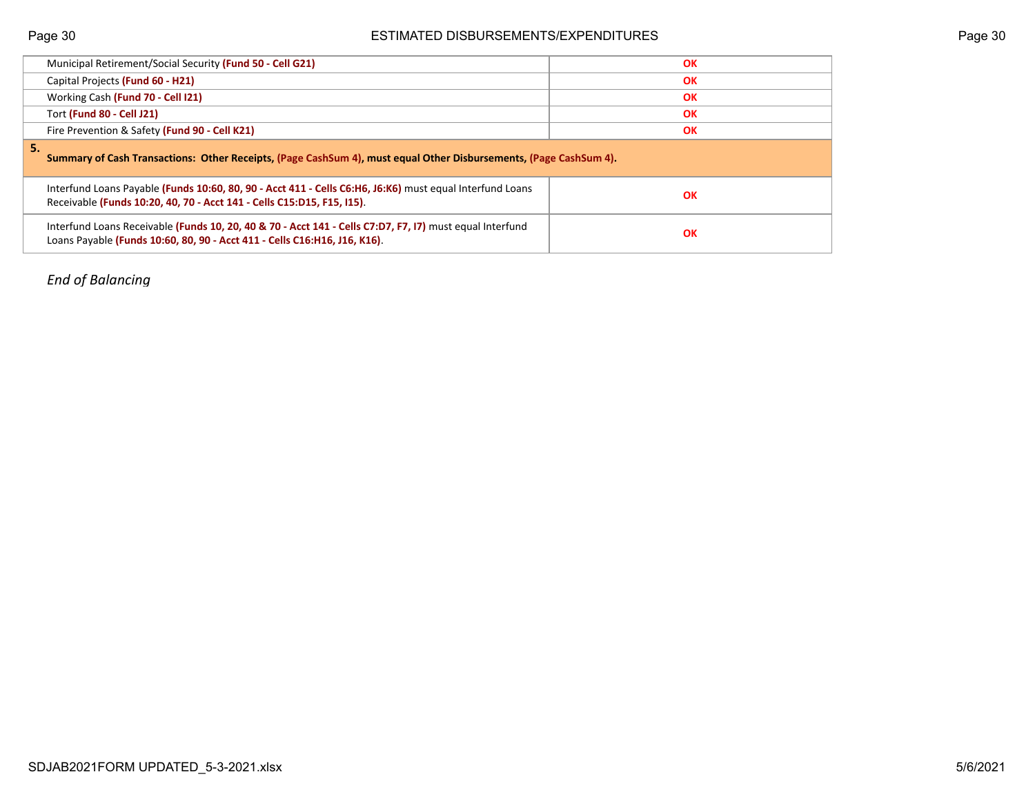**5.**

| Page 30                                                                                                                                                                                                                           | ESTIMATED DISBURSEMENTS/EXPENDITURES                                                                              |    | Page 30 |
|-----------------------------------------------------------------------------------------------------------------------------------------------------------------------------------------------------------------------------------|-------------------------------------------------------------------------------------------------------------------|----|---------|
| Municipal Retirement/Social Security (Fund 50 - Cell G21)                                                                                                                                                                         |                                                                                                                   | OK |         |
| Capital Projects (Fund 60 - H21)                                                                                                                                                                                                  |                                                                                                                   | OK |         |
| Working Cash (Fund 70 - Cell I21)                                                                                                                                                                                                 |                                                                                                                   | OK |         |
| <b>Tort (Fund 80 - Cell J21)</b>                                                                                                                                                                                                  |                                                                                                                   | OK |         |
| Fire Prevention & Safety (Fund 90 - Cell K21)                                                                                                                                                                                     |                                                                                                                   | OK |         |
| 5.                                                                                                                                                                                                                                | Summary of Cash Transactions: Other Receipts, (Page CashSum 4), must equal Other Disbursements, (Page CashSum 4). |    |         |
| Receivable (Funds 10:20, 40, 70 - Acct 141 - Cells C15:D15, F15, I15).                                                                                                                                                            | Interfund Loans Payable (Funds 10:60, 80, 90 - Acct 411 - Cells C6:H6, J6:K6) must equal Interfund Loans          | OK |         |
| $\mathbf{r}$ . The set of the set of the set of the set of the set of the set of the set of the set of the set of the set of the set of the set of the set of the set of the set of the set of the set of the set of the set of t | Interfund Loans Receivable (Funds 10, 20, 40 & 70 - Acct 141 - Cells C7:D7, F7, I7) must equal Interfund          | OK |         |

*End of Balancing*

Loans Payable **(Funds 10:60, 80, 90 - Acct 411 - Cells C16:H16, J16, K16)**.